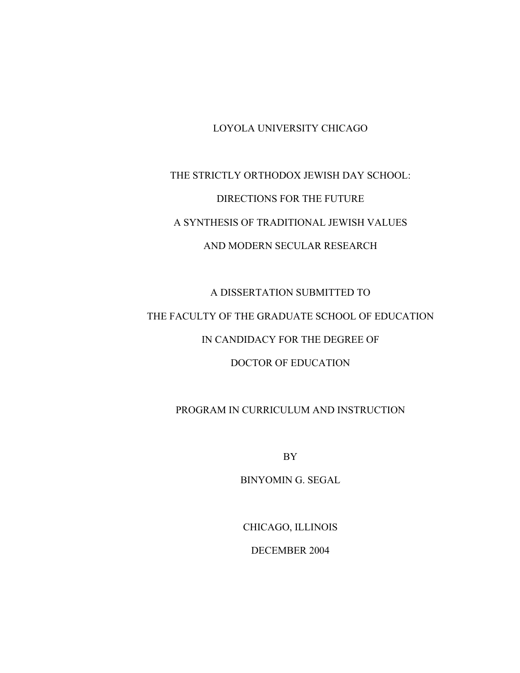### LOYOLA UNIVERSITY CHICAGO

# THE STRICTLY ORTHODOX JEWISH DAY SCHOOL: DIRECTIONS FOR THE FUTURE A SYNTHESIS OF TRADITIONAL JEWISH VALUES AND MODERN SECULAR RESEARCH

# A DISSERTATION SUBMITTED TO THE FACULTY OF THE GRADUATE SCHOOL OF EDUCATION IN CANDIDACY FOR THE DEGREE OF DOCTOR OF EDUCATION

### PROGRAM IN CURRICULUM AND INSTRUCTION

BY

BINYOMIN G. SEGAL

CHICAGO, ILLINOIS

DECEMBER 2004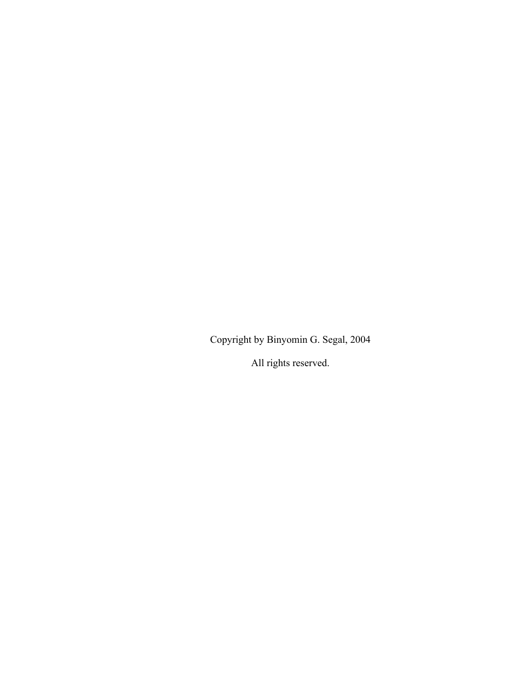Copyright by Binyomin G. Segal, 2004

All rights reserved.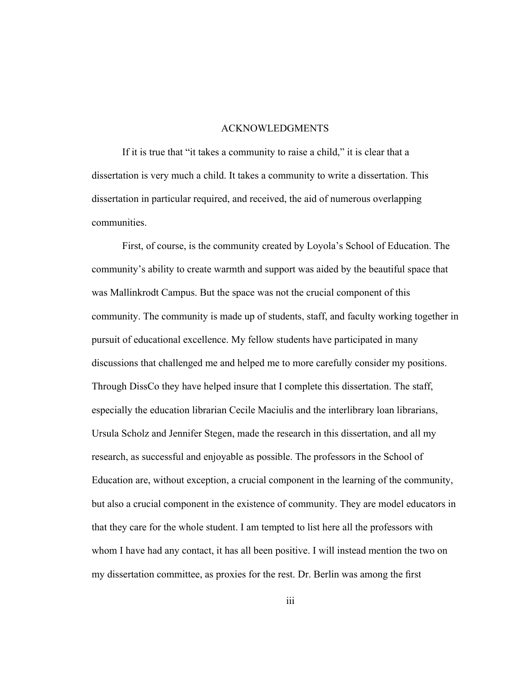#### ACKNOWLEDGMENTS

If it is true that "it takes a community to raise a child," it is clear that a dissertation is very much a child. It takes a community to write a dissertation. This dissertation in particular required, and received, the aid of numerous overlapping communities.

First, of course, is the community created by Loyola's School of Education. The community's ability to create warmth and support was aided by the beautiful space that was Mallinkrodt Campus. But the space was not the crucial component of this community. The community is made up of students, staff, and faculty working together in pursuit of educational excellence. My fellow students have participated in many discussions that challenged me and helped me to more carefully consider my positions. Through DissCo they have helped insure that I complete this dissertation. The staff, especially the education librarian Cecile Maciulis and the interlibrary loan librarians, Ursula Scholz and Jennifer Stegen, made the research in this dissertation, and all my research, as successful and enjoyable as possible. The professors in the School of Education are, without exception, a crucial component in the learning of the community, but also a crucial component in the existence of community. They are model educators in that they care for the whole student. I am tempted to list here all the professors with whom I have had any contact, it has all been positive. I will instead mention the two on my dissertation committee, as proxies for the rest. Dr. Berlin was among the first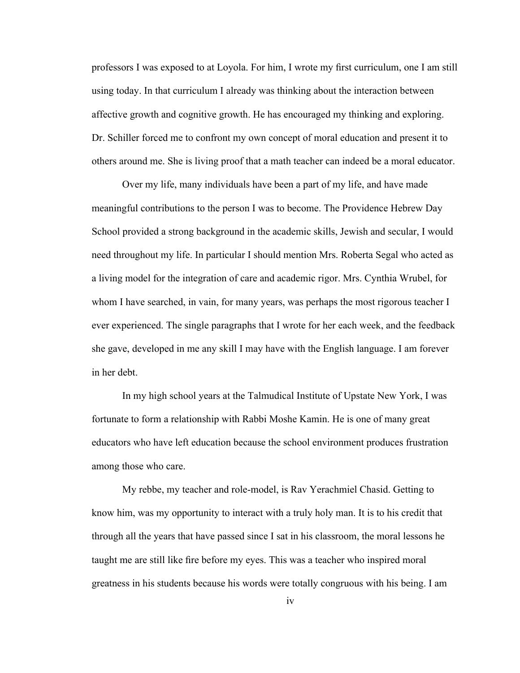professors I was exposed to at Loyola. For him, I wrote my first curriculum, one I am still using today. In that curriculum I already was thinking about the interaction between affective growth and cognitive growth. He has encouraged my thinking and exploring. Dr. Schiller forced me to confront my own concept of moral education and present it to others around me. She is living proof that a math teacher can indeed be a moral educator.

Over my life, many individuals have been a part of my life, and have made meaningful contributions to the person I was to become. The Providence Hebrew Day School provided a strong background in the academic skills, Jewish and secular, I would need throughout my life. In particular I should mention Mrs. Roberta Segal who acted as a living model for the integration of care and academic rigor. Mrs. Cynthia Wrubel, for whom I have searched, in vain, for many years, was perhaps the most rigorous teacher I ever experienced. The single paragraphs that I wrote for her each week, and the feedback she gave, developed in me any skill I may have with the English language. I am forever in her debt.

In my high school years at the Talmudical Institute of Upstate New York, I was fortunate to form a relationship with Rabbi Moshe Kamin. He is one of many great educators who have left education because the school environment produces frustration among those who care.

My rebbe, my teacher and role-model, is Rav Yerachmiel Chasid. Getting to know him, was my opportunity to interact with a truly holy man. It is to his credit that through all the years that have passed since I sat in his classroom, the moral lessons he taught me are still like fire before my eyes. This was a teacher who inspired moral greatness in his students because his words were totally congruous with his being. I am

iv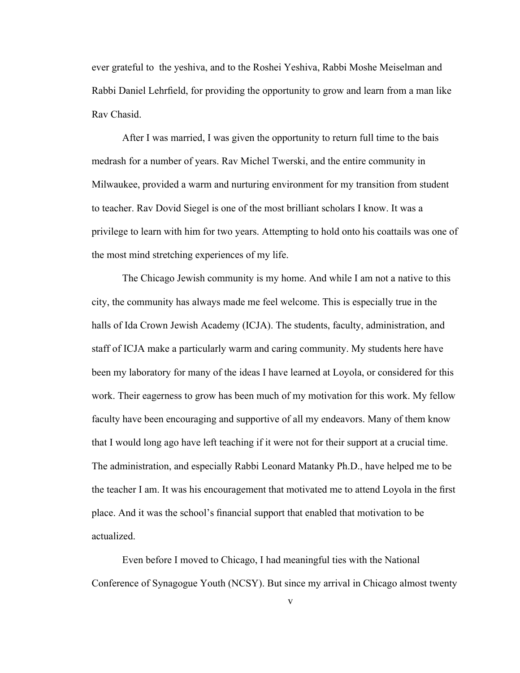ever grateful to the yeshiva, and to the Roshei Yeshiva, Rabbi Moshe Meiselman and Rabbi Daniel Lehrfield, for providing the opportunity to grow and learn from a man like Rav Chasid.

After I was married, I was given the opportunity to return full time to the bais medrash for a number of years. Rav Michel Twerski, and the entire community in Milwaukee, provided a warm and nurturing environment for my transition from student to teacher. Rav Dovid Siegel is one of the most brilliant scholars I know. It was a privilege to learn with him for two years. Attempting to hold onto his coattails was one of the most mind stretching experiences of my life.

The Chicago Jewish community is my home. And while I am not a native to this city, the community has always made me feel welcome. This is especially true in the halls of Ida Crown Jewish Academy (ICJA). The students, faculty, administration, and staff of ICJA make a particularly warm and caring community. My students here have been my laboratory for many of the ideas I have learned at Loyola, or considered for this work. Their eagerness to grow has been much of my motivation for this work. My fellow faculty have been encouraging and supportive of all my endeavors. Many of them know that I would long ago have left teaching if it were not for their support at a crucial time. The administration, and especially Rabbi Leonard Matanky Ph.D., have helped me to be the teacher I am. It was his encouragement that motivated me to attend Loyola in the first place. And it was the school's financial support that enabled that motivation to be actualized.

Even before I moved to Chicago, I had meaningful ties with the National Conference of Synagogue Youth (NCSY). But since my arrival in Chicago almost twenty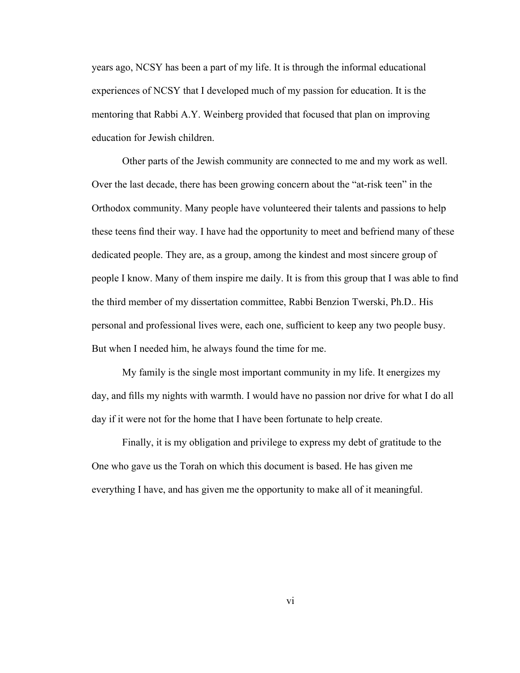years ago, NCSY has been a part of my life. It is through the informal educational experiences of NCSY that I developed much of my passion for education. It is the mentoring that Rabbi A.Y. Weinberg provided that focused that plan on improving education for Jewish children.

Other parts of the Jewish community are connected to me and my work as well. Over the last decade, there has been growing concern about the "at-risk teen" in the Orthodox community. Many people have volunteered their talents and passions to help these teens find their way. I have had the opportunity to meet and befriend many of these dedicated people. They are, as a group, among the kindest and most sincere group of people I know. Many of them inspire me daily. It is from this group that I was able to find the third member of my dissertation committee, Rabbi Benzion Twerski, Ph.D.. His personal and professional lives were, each one, sufficient to keep any two people busy. But when I needed him, he always found the time for me.

My family is the single most important community in my life. It energizes my day, and fills my nights with warmth. I would have no passion nor drive for what I do all day if it were not for the home that I have been fortunate to help create.

Finally, it is my obligation and privilege to express my debt of gratitude to the One who gave us the Torah on which this document is based. He has given me everything I have, and has given me the opportunity to make all of it meaningful.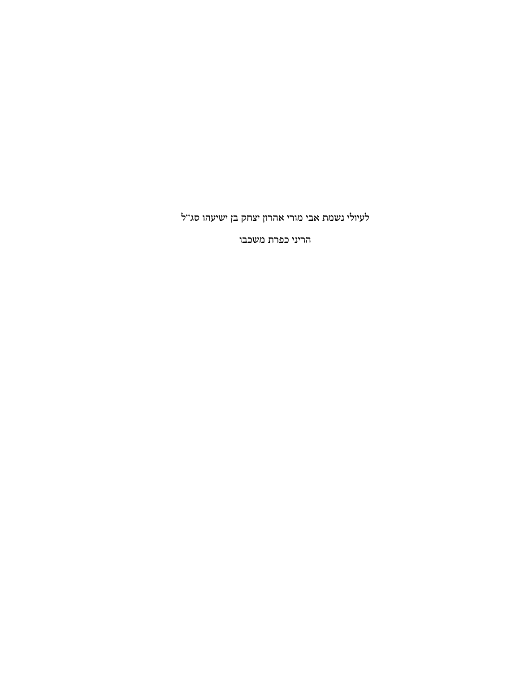הריני כפרת משכבו

לעיולי נשמת אבי מורי אהרון יצחק בן ישיעהו סג"ל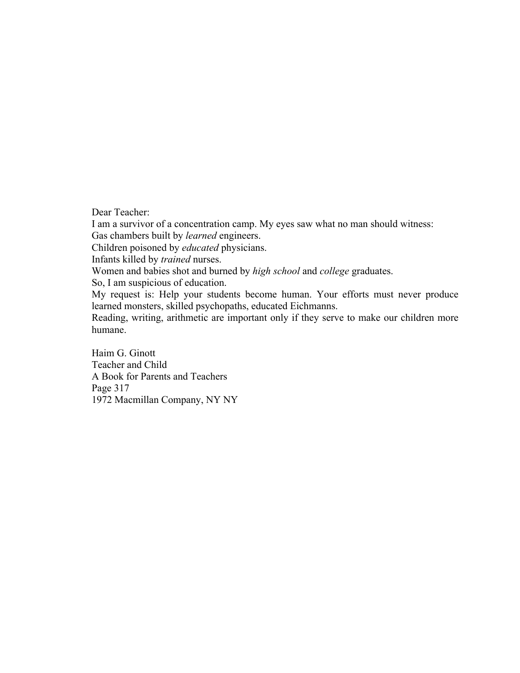Dear Teacher:

I am a survivor of a concentration camp. My eyes saw what no man should witness: Gas chambers built by *learned* engineers.

Children poisoned by *educated* physicians.

Infants killed by *trained* nurses.

Women and babies shot and burned by *high school* and *college* graduates.

So, I am suspicious of education.

My request is: Help your students become human. Your efforts must never produce learned monsters, skilled psychopaths, educated Eichmanns.

Reading, writing, arithmetic are important only if they serve to make our children more humane.

Haim G. Ginott Teacher and Child A Book for Parents and Teachers Page 317 1972 Macmillan Company, NY NY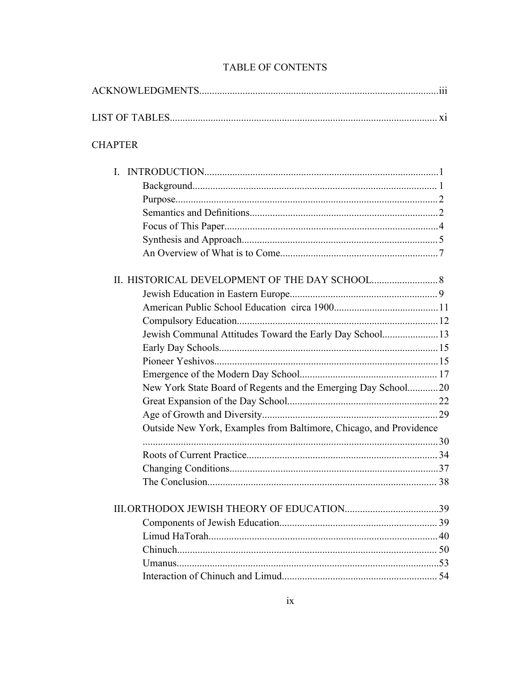| <b>CHAPTER</b>                                                     |  |
|--------------------------------------------------------------------|--|
| L.                                                                 |  |
|                                                                    |  |
|                                                                    |  |
|                                                                    |  |
|                                                                    |  |
|                                                                    |  |
|                                                                    |  |
|                                                                    |  |
|                                                                    |  |
|                                                                    |  |
|                                                                    |  |
| Jewish Communal Attitudes Toward the Early Day School13            |  |
|                                                                    |  |
|                                                                    |  |
|                                                                    |  |
| New York State Board of Regents and the Emerging Day School20      |  |
|                                                                    |  |
|                                                                    |  |
| Outside New York, Examples from Baltimore, Chicago, and Providence |  |
|                                                                    |  |
|                                                                    |  |
|                                                                    |  |
|                                                                    |  |
|                                                                    |  |
|                                                                    |  |
|                                                                    |  |
|                                                                    |  |
|                                                                    |  |
|                                                                    |  |

## TABLE OF CONTENTS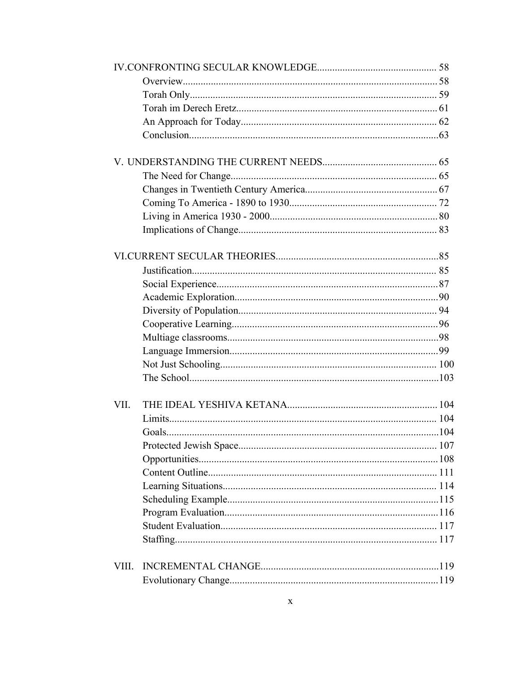| VII.  |  |
|-------|--|
|       |  |
|       |  |
|       |  |
|       |  |
|       |  |
|       |  |
|       |  |
|       |  |
|       |  |
|       |  |
|       |  |
| VIII. |  |
|       |  |
|       |  |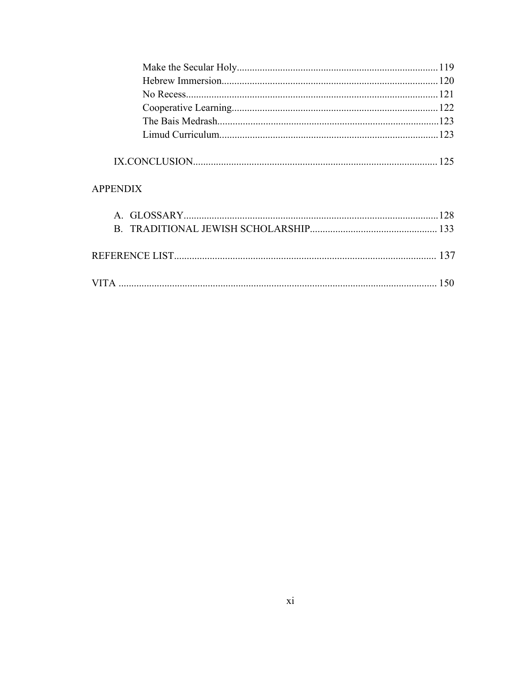| <b>APPENDIX</b> |     |
|-----------------|-----|
|                 |     |
|                 |     |
|                 | 137 |
|                 | 150 |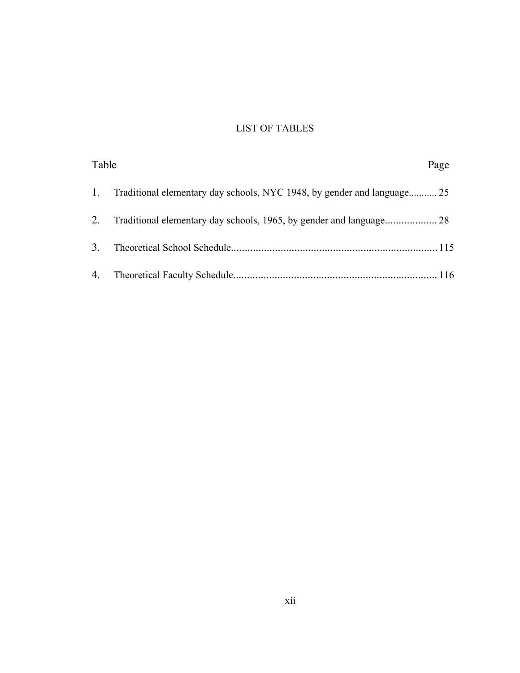## LIST OF TABLES

| Table |                                                                            | Page |
|-------|----------------------------------------------------------------------------|------|
|       | 1. Traditional elementary day schools, NYC 1948, by gender and language 25 |      |
|       |                                                                            |      |
| 3.    |                                                                            |      |
|       |                                                                            |      |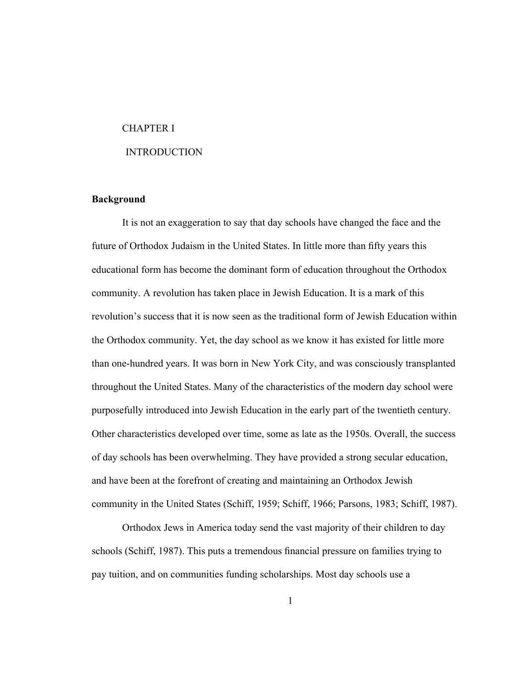#### CHAPTER I

#### INTRODUCTION

#### **Background**

It is not an exaggeration to say that day schools have changed the face and the future of Orthodox Judaism in the United States. In little more than fifty years this educational form has become the dominant form of education throughout the Orthodox community. A revolution has taken place in Jewish Education. It is a mark of this revolution's success that it is now seen as the traditional form of Jewish Education within the Orthodox community. Yet, the day school as we know it has existed for little more than one-hundred years. It was born in New York City, and was consciously transplanted throughout the United States. Many of the characteristics of the modern day school were purposefully introduced into Jewish Education in the early part of the twentieth century. Other characteristics developed over time, some as late as the 1950s. Overall, the success of day schools has been overwhelming. They have provided a strong secular education, and have been at the forefront of creating and maintaining an Orthodox Jewish community in the United States (Schiff, 1959; Schiff, 1966; Parsons, 1983; Schiff, 1987).

Orthodox Jews in America today send the vast majority of their children to day schools (Schiff, 1987). This puts a tremendous financial pressure on families trying to pay tuition, and on communities funding scholarships. Most day schools use a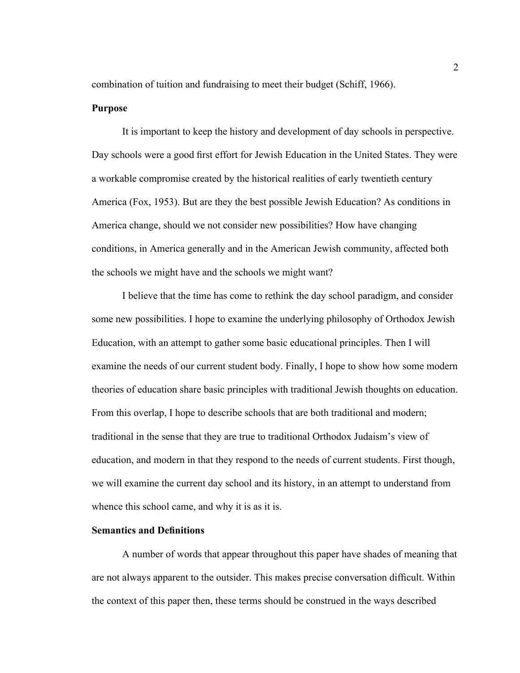combination of tuition and fundraising to meet their budget (Schiff, 1966).

#### **Purpose**

It is important to keep the history and development of day schools in perspective. Day schools were a good first effort for Jewish Education in the United States. They were a workable compromise created by the historical realities of early twentieth century America (Fox, 1953). But are they the best possible Jewish Education? As conditions in America change, should we not consider new possibilities? How have changing conditions, in America generally and in the American Jewish community, affected both the schools we might have and the schools we might want?

I believe that the time has come to rethink the day school paradigm, and consider some new possibilities. I hope to examine the underlying philosophy of Orthodox Jewish Education, with an attempt to gather some basic educational principles. Then I will examine the needs of our current student body. Finally, I hope to show how some modern theories of education share basic principles with traditional Jewish thoughts on education. From this overlap, I hope to describe schools that are both traditional and modern; traditional in the sense that they are true to traditional Orthodox Judaism's view of education, and modern in that they respond to the needs of current students. First though, we will examine the current day school and its history, in an attempt to understand from whence this school came, and why it is as it is.

#### **Semantics and Definitions**

A number of words that appear throughout this paper have shades of meaning that are not always apparent to the outsider. This makes precise conversation difficult. Within the context of this paper then, these terms should be construed in the ways described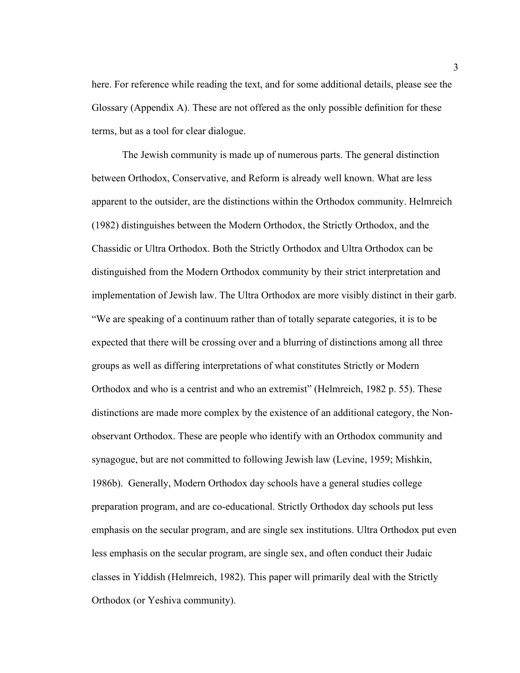here. For reference while reading the text, and for some additional details, please see the Glossary (Appendix A). These are not offered as the only possible definition for these terms, but as a tool for clear dialogue.

The Jewish community is made up of numerous parts. The general distinction between Orthodox, Conservative, and Reform is already well known. What are less apparent to the outsider, are the distinctions within the Orthodox community. Helmreich (1982) distinguishes between the Modern Orthodox, the Strictly Orthodox, and the Chassidic or Ultra Orthodox. Both the Strictly Orthodox and Ultra Orthodox can be distinguished from the Modern Orthodox community by their strict interpretation and implementation of Jewish law. The Ultra Orthodox are more visibly distinct in their garb. "We are speaking of a continuum rather than of totally separate categories, it is to be expected that there will be crossing over and a blurring of distinctions among all three groups as well as differing interpretations of what constitutes Strictly or Modern Orthodox and who is a centrist and who an extremist" (Helmreich, 1982 p. 55). These distinctions are made more complex by the existence of an additional category, the Nonobservant Orthodox. These are people who identify with an Orthodox community and synagogue, but are not committed to following Jewish law (Levine, 1959; Mishkin, 1986b). Generally, Modern Orthodox day schools have a general studies college preparation program, and are co-educational. Strictly Orthodox day schools put less emphasis on the secular program, and are single sex institutions. Ultra Orthodox put even less emphasis on the secular program, are single sex, and often conduct their Judaic classes in Yiddish (Helmreich, 1982). This paper will primarily deal with the Strictly Orthodox (or Yeshiva community).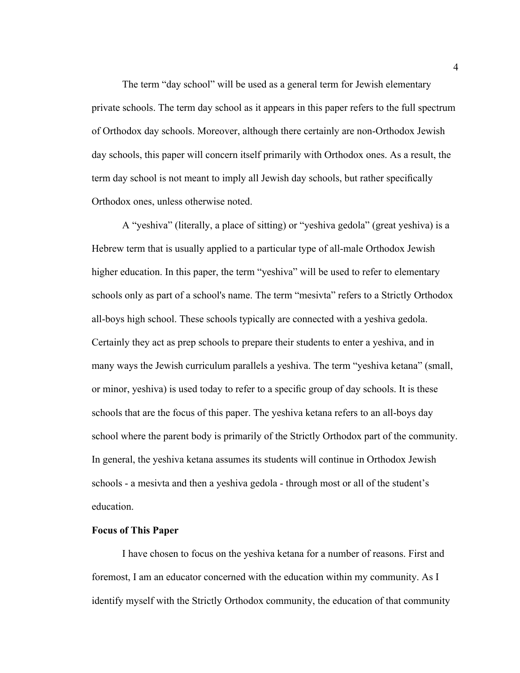The term "day school" will be used as a general term for Jewish elementary private schools. The term day school as it appears in this paper refers to the full spectrum of Orthodox day schools. Moreover, although there certainly are non-Orthodox Jewish day schools, this paper will concern itself primarily with Orthodox ones. As a result, the term day school is not meant to imply all Jewish day schools, but rather specifically Orthodox ones, unless otherwise noted.

A "yeshiva" (literally, a place of sitting) or "yeshiva gedola" (great yeshiva) is a Hebrew term that is usually applied to a particular type of all-male Orthodox Jewish higher education. In this paper, the term "yeshiva" will be used to refer to elementary schools only as part of a school's name. The term "mesivta" refers to a Strictly Orthodox all-boys high school. These schools typically are connected with a yeshiva gedola. Certainly they act as prep schools to prepare their students to enter a yeshiva, and in many ways the Jewish curriculum parallels a yeshiva. The term "yeshiva ketana" (small, or minor, yeshiva) is used today to refer to a specific group of day schools. It is these schools that are the focus of this paper. The yeshiva ketana refers to an all-boys day school where the parent body is primarily of the Strictly Orthodox part of the community. In general, the yeshiva ketana assumes its students will continue in Orthodox Jewish schools - a mesivta and then a yeshiva gedola - through most or all of the student's education.

#### **Focus of This Paper**

I have chosen to focus on the yeshiva ketana for a number of reasons. First and foremost, I am an educator concerned with the education within my community. As I identify myself with the Strictly Orthodox community, the education of that community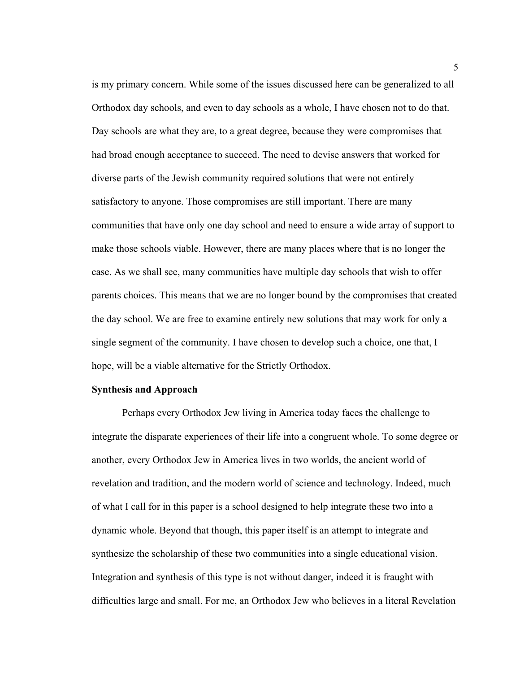is my primary concern. While some of the issues discussed here can be generalized to all Orthodox day schools, and even to day schools as a whole, I have chosen not to do that. Day schools are what they are, to a great degree, because they were compromises that had broad enough acceptance to succeed. The need to devise answers that worked for diverse parts of the Jewish community required solutions that were not entirely satisfactory to anyone. Those compromises are still important. There are many communities that have only one day school and need to ensure a wide array of support to make those schools viable. However, there are many places where that is no longer the case. As we shall see, many communities have multiple day schools that wish to offer parents choices. This means that we are no longer bound by the compromises that created the day school. We are free to examine entirely new solutions that may work for only a single segment of the community. I have chosen to develop such a choice, one that, I hope, will be a viable alternative for the Strictly Orthodox.

#### **Synthesis and Approach**

Perhaps every Orthodox Jew living in America today faces the challenge to integrate the disparate experiences of their life into a congruent whole. To some degree or another, every Orthodox Jew in America lives in two worlds, the ancient world of revelation and tradition, and the modern world of science and technology. Indeed, much of what I call for in this paper is a school designed to help integrate these two into a dynamic whole. Beyond that though, this paper itself is an attempt to integrate and synthesize the scholarship of these two communities into a single educational vision. Integration and synthesis of this type is not without danger, indeed it is fraught with difficulties large and small. For me, an Orthodox Jew who believes in a literal Revelation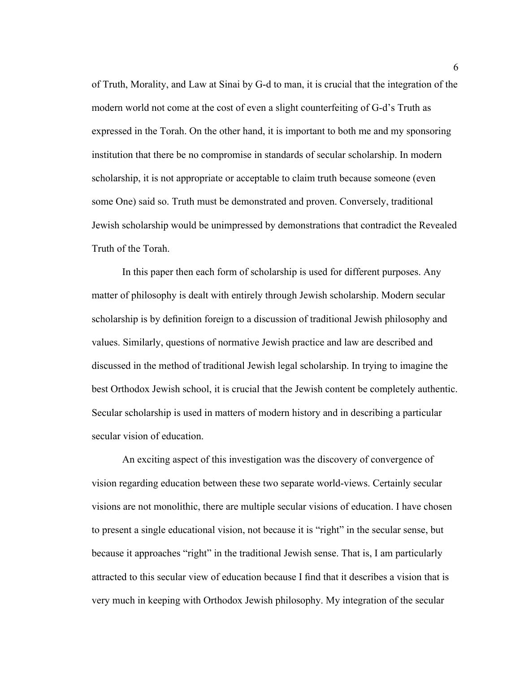of Truth, Morality, and Law at Sinai by G-d to man, it is crucial that the integration of the modern world not come at the cost of even a slight counterfeiting of G-d's Truth as expressed in the Torah. On the other hand, it is important to both me and my sponsoring institution that there be no compromise in standards of secular scholarship. In modern scholarship, it is not appropriate or acceptable to claim truth because someone (even some One) said so. Truth must be demonstrated and proven. Conversely, traditional Jewish scholarship would be unimpressed by demonstrations that contradict the Revealed Truth of the Torah.

In this paper then each form of scholarship is used for different purposes. Any matter of philosophy is dealt with entirely through Jewish scholarship. Modern secular scholarship is by definition foreign to a discussion of traditional Jewish philosophy and values. Similarly, questions of normative Jewish practice and law are described and discussed in the method of traditional Jewish legal scholarship. In trying to imagine the best Orthodox Jewish school, it is crucial that the Jewish content be completely authentic. Secular scholarship is used in matters of modern history and in describing a particular secular vision of education.

An exciting aspect of this investigation was the discovery of convergence of vision regarding education between these two separate world-views. Certainly secular visions are not monolithic, there are multiple secular visions of education. I have chosen to present a single educational vision, not because it is "right" in the secular sense, but because it approaches "right" in the traditional Jewish sense. That is, I am particularly attracted to this secular view of education because I find that it describes a vision that is very much in keeping with Orthodox Jewish philosophy. My integration of the secular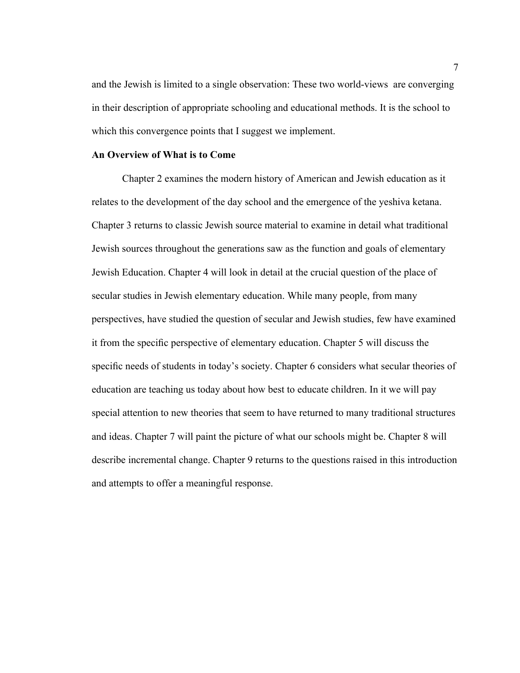and the Jewish is limited to a single observation: These two world-views are converging in their description of appropriate schooling and educational methods. It is the school to which this convergence points that I suggest we implement.

#### **An Overview of What is to Come**

Chapter 2 examines the modern history of American and Jewish education as it relates to the development of the day school and the emergence of the yeshiva ketana. Chapter 3 returns to classic Jewish source material to examine in detail what traditional Jewish sources throughout the generations saw as the function and goals of elementary Jewish Education. Chapter 4 will look in detail at the crucial question of the place of secular studies in Jewish elementary education. While many people, from many perspectives, have studied the question of secular and Jewish studies, few have examined it from the specific perspective of elementary education. Chapter 5 will discuss the specific needs of students in today's society. Chapter 6 considers what secular theories of education are teaching us today about how best to educate children. In it we will pay special attention to new theories that seem to have returned to many traditional structures and ideas. Chapter 7 will paint the picture of what our schools might be. Chapter 8 will describe incremental change. Chapter 9 returns to the questions raised in this introduction and attempts to offer a meaningful response.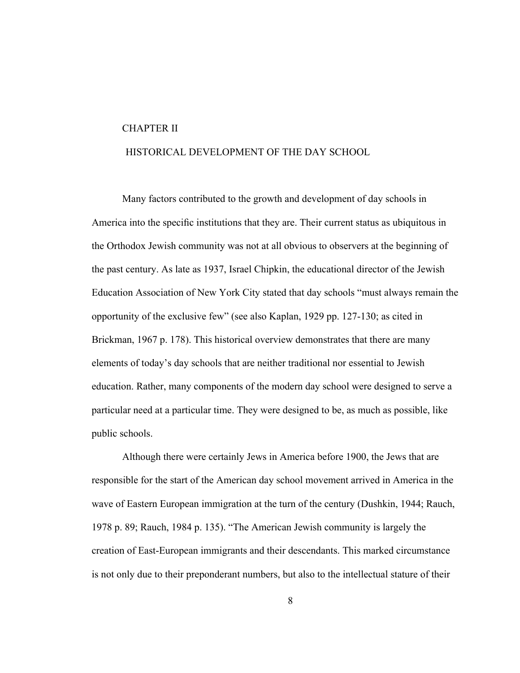#### CHAPTER II

#### HISTORICAL DEVELOPMENT OF THE DAY SCHOOL

Many factors contributed to the growth and development of day schools in America into the specific institutions that they are. Their current status as ubiquitous in the Orthodox Jewish community was not at all obvious to observers at the beginning of the past century. As late as 1937, Israel Chipkin, the educational director of the Jewish Education Association of New York City stated that day schools "must always remain the opportunity of the exclusive few" (see also Kaplan, 1929 pp. 127-130; as cited in Brickman, 1967 p. 178). This historical overview demonstrates that there are many elements of today's day schools that are neither traditional nor essential to Jewish education. Rather, many components of the modern day school were designed to serve a particular need at a particular time. They were designed to be, as much as possible, like public schools.

Although there were certainly Jews in America before 1900, the Jews that are responsible for the start of the American day school movement arrived in America in the wave of Eastern European immigration at the turn of the century (Dushkin, 1944; Rauch, 1978 p. 89; Rauch, 1984 p. 135). "The American Jewish community is largely the creation of East-European immigrants and their descendants. This marked circumstance is not only due to their preponderant numbers, but also to the intellectual stature of their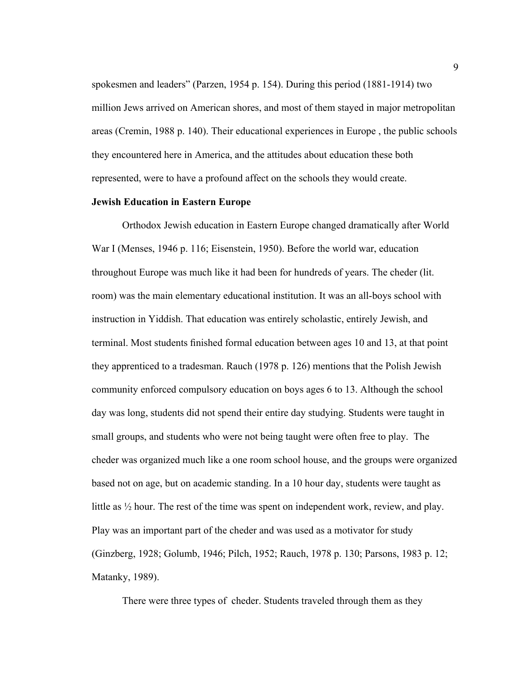spokesmen and leaders" (Parzen, 1954 p. 154). During this period (1881-1914) two million Jews arrived on American shores, and most of them stayed in major metropolitan areas (Cremin, 1988 p. 140). Their educational experiences in Europe , the public schools they encountered here in America, and the attitudes about education these both represented, were to have a profound affect on the schools they would create.

#### **Jewish Education in Eastern Europe**

Orthodox Jewish education in Eastern Europe changed dramatically after World War I (Menses, 1946 p. 116; Eisenstein, 1950). Before the world war, education throughout Europe was much like it had been for hundreds of years. The cheder (lit. room) was the main elementary educational institution. It was an all-boys school with instruction in Yiddish. That education was entirely scholastic, entirely Jewish, and terminal. Most students finished formal education between ages 10 and 13, at that point they apprenticed to a tradesman. Rauch (1978 p. 126) mentions that the Polish Jewish community enforced compulsory education on boys ages 6 to 13. Although the school day was long, students did not spend their entire day studying. Students were taught in small groups, and students who were not being taught were often free to play. The cheder was organized much like a one room school house, and the groups were organized based not on age, but on academic standing. In a 10 hour day, students were taught as little as ½ hour. The rest of the time was spent on independent work, review, and play. Play was an important part of the cheder and was used as a motivator for study (Ginzberg, 1928; Golumb, 1946; Pilch, 1952; Rauch, 1978 p. 130; Parsons, 1983 p. 12; Matanky, 1989).

There were three types of cheder. Students traveled through them as they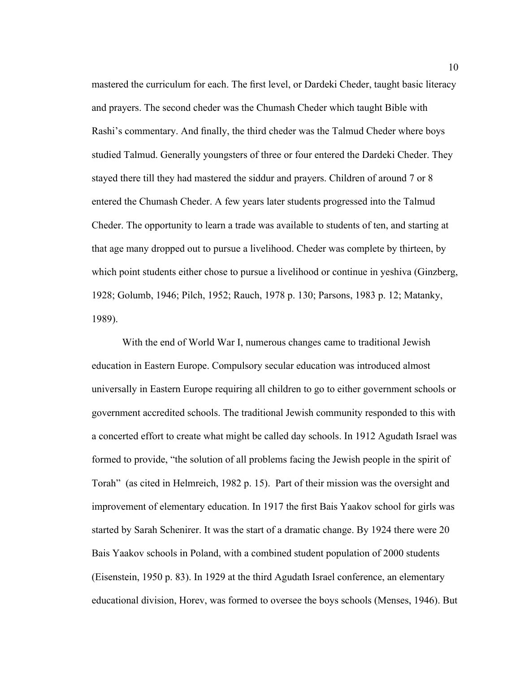mastered the curriculum for each. The first level, or Dardeki Cheder, taught basic literacy and prayers. The second cheder was the Chumash Cheder which taught Bible with Rashi's commentary. And finally, the third cheder was the Talmud Cheder where boys studied Talmud. Generally youngsters of three or four entered the Dardeki Cheder. They stayed there till they had mastered the siddur and prayers. Children of around 7 or 8 entered the Chumash Cheder. A few years later students progressed into the Talmud Cheder. The opportunity to learn a trade was available to students of ten, and starting at that age many dropped out to pursue a livelihood. Cheder was complete by thirteen, by which point students either chose to pursue a livelihood or continue in yeshiva (Ginzberg, 1928; Golumb, 1946; Pilch, 1952; Rauch, 1978 p. 130; Parsons, 1983 p. 12; Matanky, 1989).

With the end of World War I, numerous changes came to traditional Jewish education in Eastern Europe. Compulsory secular education was introduced almost universally in Eastern Europe requiring all children to go to either government schools or government accredited schools. The traditional Jewish community responded to this with a concerted effort to create what might be called day schools. In 1912 Agudath Israel was formed to provide, "the solution of all problems facing the Jewish people in the spirit of Torah" (as cited in Helmreich, 1982 p. 15). Part of their mission was the oversight and improvement of elementary education. In 1917 the first Bais Yaakov school for girls was started by Sarah Schenirer. It was the start of a dramatic change. By 1924 there were 20 Bais Yaakov schools in Poland, with a combined student population of 2000 students (Eisenstein, 1950 p. 83). In 1929 at the third Agudath Israel conference, an elementary educational division, Horev, was formed to oversee the boys schools (Menses, 1946). But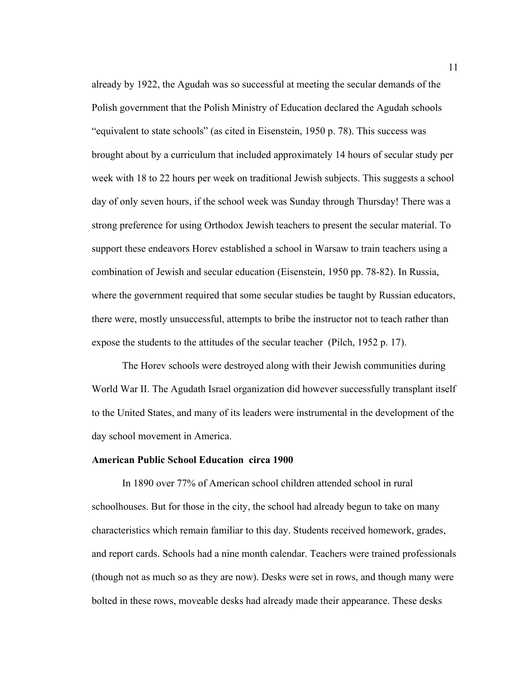already by 1922, the Agudah was so successful at meeting the secular demands of the Polish government that the Polish Ministry of Education declared the Agudah schools "equivalent to state schools" (as cited in Eisenstein, 1950 p. 78). This success was brought about by a curriculum that included approximately 14 hours of secular study per week with 18 to 22 hours per week on traditional Jewish subjects. This suggests a school day of only seven hours, if the school week was Sunday through Thursday! There was a strong preference for using Orthodox Jewish teachers to present the secular material. To support these endeavors Horev established a school in Warsaw to train teachers using a combination of Jewish and secular education (Eisenstein, 1950 pp. 78-82). In Russia, where the government required that some secular studies be taught by Russian educators, there were, mostly unsuccessful, attempts to bribe the instructor not to teach rather than expose the students to the attitudes of the secular teacher (Pilch, 1952 p. 17).

The Horev schools were destroyed along with their Jewish communities during World War II. The Agudath Israel organization did however successfully transplant itself to the United States, and many of its leaders were instrumental in the development of the day school movement in America.

#### **American Public School Education circa 1900**

In 1890 over 77% of American school children attended school in rural schoolhouses. But for those in the city, the school had already begun to take on many characteristics which remain familiar to this day. Students received homework, grades, and report cards. Schools had a nine month calendar. Teachers were trained professionals (though not as much so as they are now). Desks were set in rows, and though many were bolted in these rows, moveable desks had already made their appearance. These desks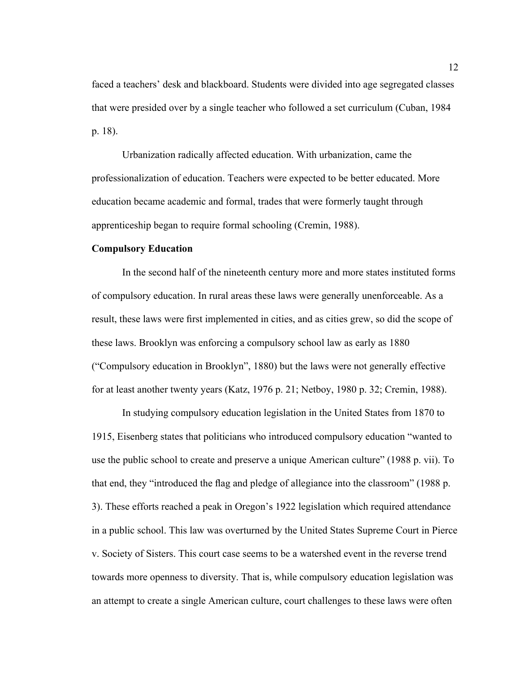faced a teachers' desk and blackboard. Students were divided into age segregated classes that were presided over by a single teacher who followed a set curriculum (Cuban, 1984 p. 18).

Urbanization radically affected education. With urbanization, came the professionalization of education. Teachers were expected to be better educated. More education became academic and formal, trades that were formerly taught through apprenticeship began to require formal schooling (Cremin, 1988).

#### **Compulsory Education**

In the second half of the nineteenth century more and more states instituted forms of compulsory education. In rural areas these laws were generally unenforceable. As a result, these laws were first implemented in cities, and as cities grew, so did the scope of these laws. Brooklyn was enforcing a compulsory school law as early as 1880 ("Compulsory education in Brooklyn", 1880) but the laws were not generally effective for at least another twenty years (Katz, 1976 p. 21; Netboy, 1980 p. 32; Cremin, 1988).

In studying compulsory education legislation in the United States from 1870 to 1915, Eisenberg states that politicians who introduced compulsory education "wanted to use the public school to create and preserve a unique American culture" (1988 p. vii). To that end, they "introduced the flag and pledge of allegiance into the classroom" (1988 p. 3). These efforts reached a peak in Oregon's 1922 legislation which required attendance in a public school. This law was overturned by the United States Supreme Court in Pierce v. Society of Sisters. This court case seems to be a watershed event in the reverse trend towards more openness to diversity. That is, while compulsory education legislation was an attempt to create a single American culture, court challenges to these laws were often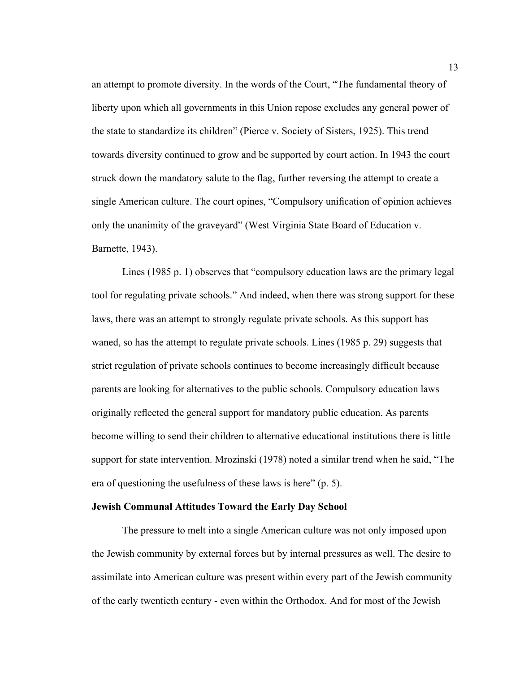an attempt to promote diversity. In the words of the Court, "The fundamental theory of liberty upon which all governments in this Union repose excludes any general power of the state to standardize its children" (Pierce v. Society of Sisters, 1925). This trend towards diversity continued to grow and be supported by court action. In 1943 the court struck down the mandatory salute to the flag, further reversing the attempt to create a single American culture. The court opines, "Compulsory unification of opinion achieves only the unanimity of the graveyard" (West Virginia State Board of Education v. Barnette, 1943).

Lines (1985 p. 1) observes that "compulsory education laws are the primary legal tool for regulating private schools." And indeed, when there was strong support for these laws, there was an attempt to strongly regulate private schools. As this support has waned, so has the attempt to regulate private schools. Lines (1985 p. 29) suggests that strict regulation of private schools continues to become increasingly difficult because parents are looking for alternatives to the public schools. Compulsory education laws originally reflected the general support for mandatory public education. As parents become willing to send their children to alternative educational institutions there is little support for state intervention. Mrozinski (1978) noted a similar trend when he said, "The era of questioning the usefulness of these laws is here" (p. 5).

#### **Jewish Communal Attitudes Toward the Early Day School**

The pressure to melt into a single American culture was not only imposed upon the Jewish community by external forces but by internal pressures as well. The desire to assimilate into American culture was present within every part of the Jewish community of the early twentieth century - even within the Orthodox. And for most of the Jewish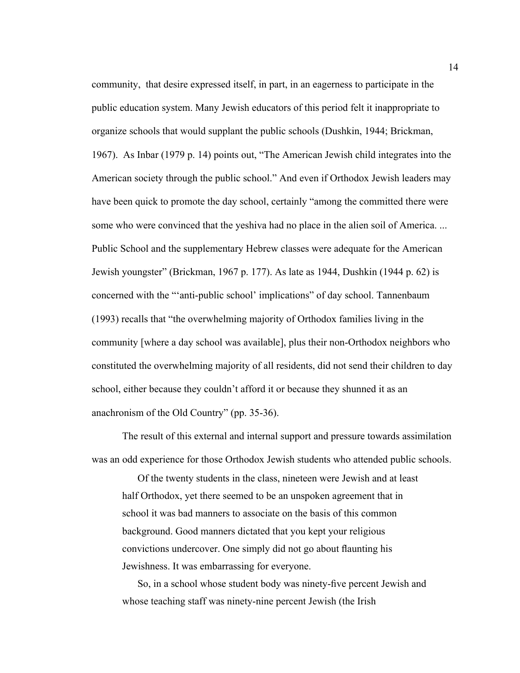community, that desire expressed itself, in part, in an eagerness to participate in the public education system. Many Jewish educators of this period felt it inappropriate to organize schools that would supplant the public schools (Dushkin, 1944; Brickman, 1967). As Inbar (1979 p. 14) points out, "The American Jewish child integrates into the American society through the public school." And even if Orthodox Jewish leaders may have been quick to promote the day school, certainly "among the committed there were some who were convinced that the yeshiva had no place in the alien soil of America. ... Public School and the supplementary Hebrew classes were adequate for the American Jewish youngster" (Brickman, 1967 p. 177). As late as 1944, Dushkin (1944 p. 62) is concerned with the "'anti-public school' implications" of day school. Tannenbaum (1993) recalls that "the overwhelming majority of Orthodox families living in the community [where a day school was available], plus their non-Orthodox neighbors who constituted the overwhelming majority of all residents, did not send their children to day school, either because they couldn't afford it or because they shunned it as an anachronism of the Old Country" (pp. 35-36).

The result of this external and internal support and pressure towards assimilation was an odd experience for those Orthodox Jewish students who attended public schools.

Of the twenty students in the class, nineteen were Jewish and at least half Orthodox, yet there seemed to be an unspoken agreement that in school it was bad manners to associate on the basis of this common background. Good manners dictated that you kept your religious convictions undercover. One simply did not go about flaunting his Jewishness. It was embarrassing for everyone.

So, in a school whose student body was ninety-five percent Jewish and whose teaching staff was ninety-nine percent Jewish (the Irish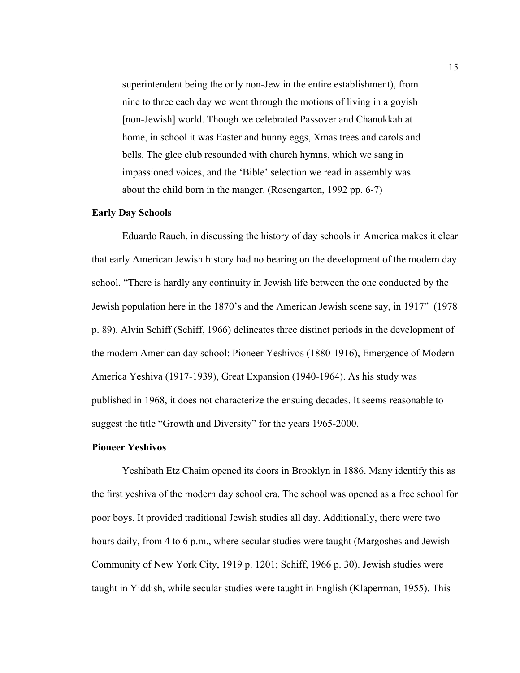superintendent being the only non-Jew in the entire establishment), from nine to three each day we went through the motions of living in a goyish [non-Jewish] world. Though we celebrated Passover and Chanukkah at home, in school it was Easter and bunny eggs, Xmas trees and carols and bells. The glee club resounded with church hymns, which we sang in impassioned voices, and the 'Bible' selection we read in assembly was about the child born in the manger. (Rosengarten, 1992 pp. 6-7)

#### **Early Day Schools**

Eduardo Rauch, in discussing the history of day schools in America makes it clear that early American Jewish history had no bearing on the development of the modern day school. "There is hardly any continuity in Jewish life between the one conducted by the Jewish population here in the 1870's and the American Jewish scene say, in 1917" (1978 p. 89). Alvin Schiff (Schiff, 1966) delineates three distinct periods in the development of the modern American day school: Pioneer Yeshivos (1880-1916), Emergence of Modern America Yeshiva (1917-1939), Great Expansion (1940-1964). As his study was published in 1968, it does not characterize the ensuing decades. It seems reasonable to suggest the title "Growth and Diversity" for the years 1965-2000.

#### **Pioneer Yeshivos**

Yeshibath Etz Chaim opened its doors in Brooklyn in 1886. Many identify this as the first yeshiva of the modern day school era. The school was opened as a free school for poor boys. It provided traditional Jewish studies all day. Additionally, there were two hours daily, from 4 to 6 p.m., where secular studies were taught (Margoshes and Jewish Community of New York City, 1919 p. 1201; Schiff, 1966 p. 30). Jewish studies were taught in Yiddish, while secular studies were taught in English (Klaperman, 1955). This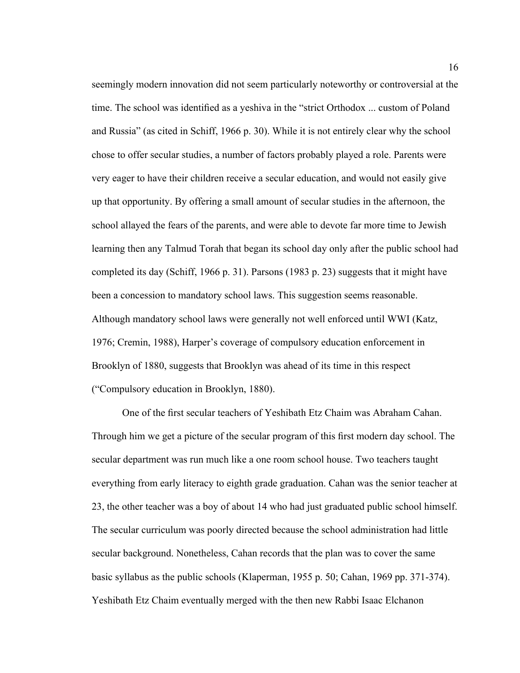seemingly modern innovation did not seem particularly noteworthy or controversial at the time. The school was identified as a yeshiva in the "strict Orthodox ... custom of Poland and Russia" (as cited in Schiff, 1966 p. 30). While it is not entirely clear why the school chose to offer secular studies, a number of factors probably played a role. Parents were very eager to have their children receive a secular education, and would not easily give up that opportunity. By offering a small amount of secular studies in the afternoon, the school allayed the fears of the parents, and were able to devote far more time to Jewish learning then any Talmud Torah that began its school day only after the public school had completed its day (Schiff, 1966 p. 31). Parsons (1983 p. 23) suggests that it might have been a concession to mandatory school laws. This suggestion seems reasonable. Although mandatory school laws were generally not well enforced until WWI (Katz, 1976; Cremin, 1988), Harper's coverage of compulsory education enforcement in Brooklyn of 1880, suggests that Brooklyn was ahead of its time in this respect ("Compulsory education in Brooklyn, 1880).

One of the first secular teachers of Yeshibath Etz Chaim was Abraham Cahan. Through him we get a picture of the secular program of this first modern day school. The secular department was run much like a one room school house. Two teachers taught everything from early literacy to eighth grade graduation. Cahan was the senior teacher at 23, the other teacher was a boy of about 14 who had just graduated public school himself. The secular curriculum was poorly directed because the school administration had little secular background. Nonetheless, Cahan records that the plan was to cover the same basic syllabus as the public schools (Klaperman, 1955 p. 50; Cahan, 1969 pp. 371-374). Yeshibath Etz Chaim eventually merged with the then new Rabbi Isaac Elchanon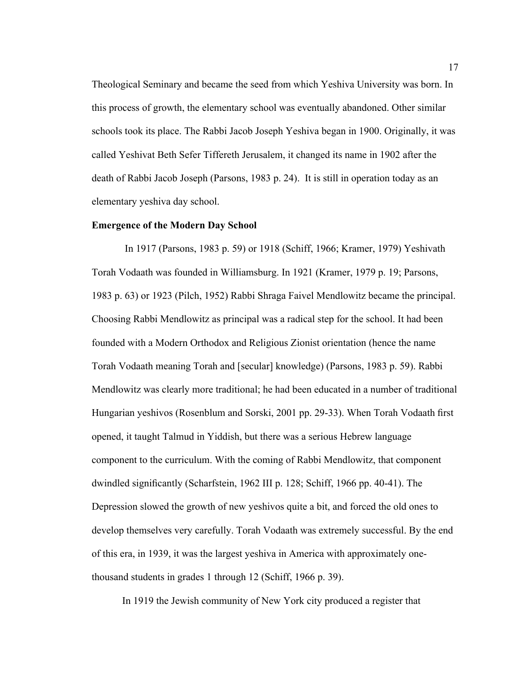Theological Seminary and became the seed from which Yeshiva University was born. In this process of growth, the elementary school was eventually abandoned. Other similar schools took its place. The Rabbi Jacob Joseph Yeshiva began in 1900. Originally, it was called Yeshivat Beth Sefer Tiffereth Jerusalem, it changed its name in 1902 after the death of Rabbi Jacob Joseph (Parsons, 1983 p. 24). It is still in operation today as an elementary yeshiva day school.

#### **Emergence of the Modern Day School**

 In 1917 (Parsons, 1983 p. 59) or 1918 (Schiff, 1966; Kramer, 1979) Yeshivath Torah Vodaath was founded in Williamsburg. In 1921 (Kramer, 1979 p. 19; Parsons, 1983 p. 63) or 1923 (Pilch, 1952) Rabbi Shraga Faivel Mendlowitz became the principal. Choosing Rabbi Mendlowitz as principal was a radical step for the school. It had been founded with a Modern Orthodox and Religious Zionist orientation (hence the name Torah Vodaath meaning Torah and [secular] knowledge) (Parsons, 1983 p. 59). Rabbi Mendlowitz was clearly more traditional; he had been educated in a number of traditional Hungarian yeshivos (Rosenblum and Sorski, 2001 pp. 29-33). When Torah Vodaath first opened, it taught Talmud in Yiddish, but there was a serious Hebrew language component to the curriculum. With the coming of Rabbi Mendlowitz, that component dwindled significantly (Scharfstein, 1962 III p. 128; Schiff, 1966 pp. 40-41). The Depression slowed the growth of new yeshivos quite a bit, and forced the old ones to develop themselves very carefully. Torah Vodaath was extremely successful. By the end of this era, in 1939, it was the largest yeshiva in America with approximately onethousand students in grades 1 through 12 (Schiff, 1966 p. 39).

In 1919 the Jewish community of New York city produced a register that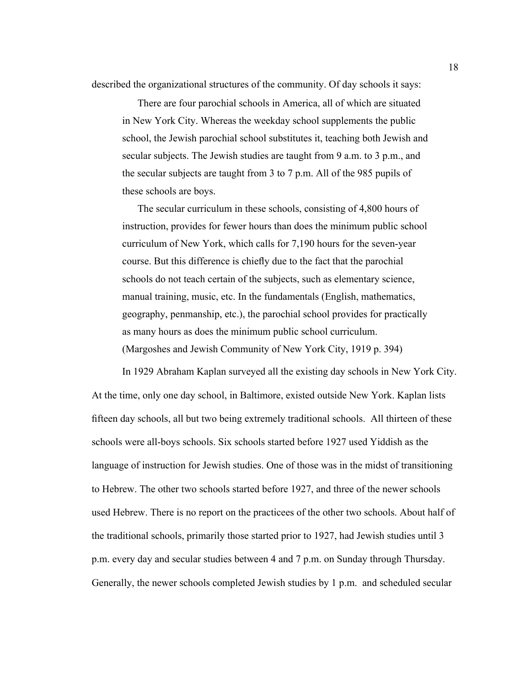described the organizational structures of the community. Of day schools it says:

There are four parochial schools in America, all of which are situated in New York City. Whereas the weekday school supplements the public school, the Jewish parochial school substitutes it, teaching both Jewish and secular subjects. The Jewish studies are taught from 9 a.m. to 3 p.m., and the secular subjects are taught from 3 to 7 p.m. All of the 985 pupils of these schools are boys.

The secular curriculum in these schools, consisting of 4,800 hours of instruction, provides for fewer hours than does the minimum public school curriculum of New York, which calls for 7,190 hours for the seven-year course. But this difference is chiefly due to the fact that the parochial schools do not teach certain of the subjects, such as elementary science, manual training, music, etc. In the fundamentals (English, mathematics, geography, penmanship, etc.), the parochial school provides for practically as many hours as does the minimum public school curriculum. (Margoshes and Jewish Community of New York City, 1919 p. 394)

In 1929 Abraham Kaplan surveyed all the existing day schools in New York City. At the time, only one day school, in Baltimore, existed outside New York. Kaplan lists fifteen day schools, all but two being extremely traditional schools. All thirteen of these schools were all-boys schools. Six schools started before 1927 used Yiddish as the language of instruction for Jewish studies. One of those was in the midst of transitioning to Hebrew. The other two schools started before 1927, and three of the newer schools used Hebrew. There is no report on the practicees of the other two schools. About half of the traditional schools, primarily those started prior to 1927, had Jewish studies until 3 p.m. every day and secular studies between 4 and 7 p.m. on Sunday through Thursday. Generally, the newer schools completed Jewish studies by 1 p.m. and scheduled secular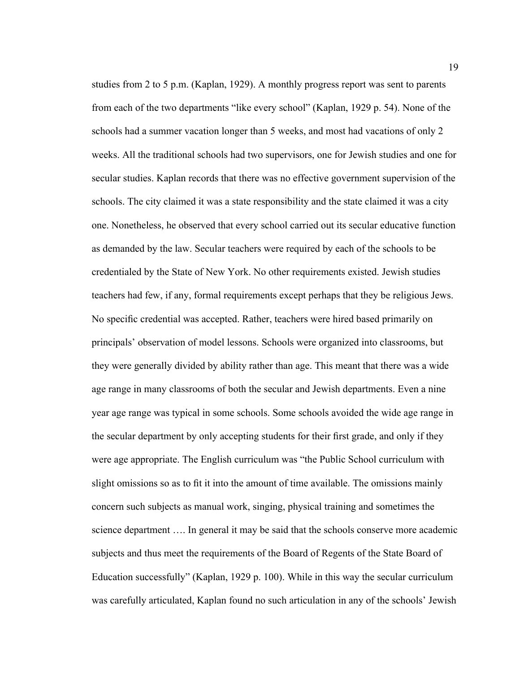studies from 2 to 5 p.m. (Kaplan, 1929). A monthly progress report was sent to parents from each of the two departments "like every school" (Kaplan, 1929 p. 54). None of the schools had a summer vacation longer than 5 weeks, and most had vacations of only 2 weeks. All the traditional schools had two supervisors, one for Jewish studies and one for secular studies. Kaplan records that there was no effective government supervision of the schools. The city claimed it was a state responsibility and the state claimed it was a city one. Nonetheless, he observed that every school carried out its secular educative function as demanded by the law. Secular teachers were required by each of the schools to be credentialed by the State of New York. No other requirements existed. Jewish studies teachers had few, if any, formal requirements except perhaps that they be religious Jews. No specific credential was accepted. Rather, teachers were hired based primarily on principals' observation of model lessons. Schools were organized into classrooms, but they were generally divided by ability rather than age. This meant that there was a wide age range in many classrooms of both the secular and Jewish departments. Even a nine year age range was typical in some schools. Some schools avoided the wide age range in the secular department by only accepting students for their first grade, and only if they were age appropriate. The English curriculum was "the Public School curriculum with slight omissions so as to fit it into the amount of time available. The omissions mainly concern such subjects as manual work, singing, physical training and sometimes the science department …. In general it may be said that the schools conserve more academic subjects and thus meet the requirements of the Board of Regents of the State Board of Education successfully" (Kaplan, 1929 p. 100). While in this way the secular curriculum was carefully articulated, Kaplan found no such articulation in any of the schools' Jewish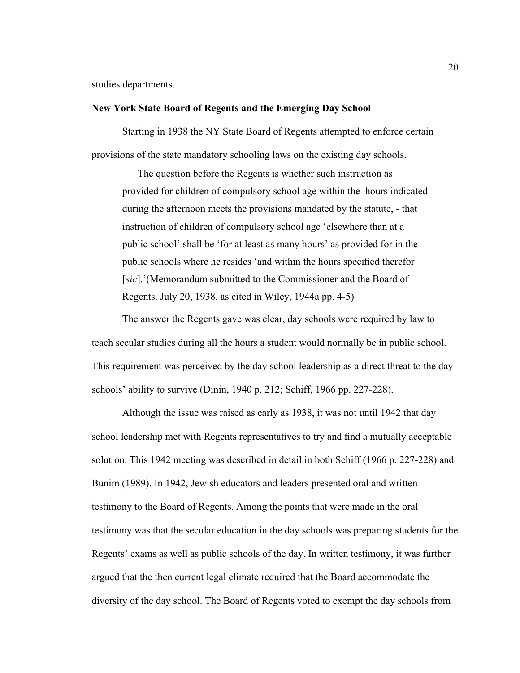studies departments.

#### **New York State Board of Regents and the Emerging Day School**

Starting in 1938 the NY State Board of Regents attempted to enforce certain provisions of the state mandatory schooling laws on the existing day schools.

The question before the Regents is whether such instruction as provided for children of compulsory school age within the hours indicated during the afternoon meets the provisions mandated by the statute, - that instruction of children of compulsory school age 'elsewhere than at a public school' shall be 'for at least as many hours' as provided for in the public schools where he resides 'and within the hours specified therefor [*sic*].'(Memorandum submitted to the Commissioner and the Board of Regents. July 20, 1938. as cited in Wiley, 1944a pp. 4-5)

The answer the Regents gave was clear, day schools were required by law to teach secular studies during all the hours a student would normally be in public school. This requirement was perceived by the day school leadership as a direct threat to the day schools' ability to survive (Dinin, 1940 p. 212; Schiff, 1966 pp. 227-228).

Although the issue was raised as early as 1938, it was not until 1942 that day school leadership met with Regents representatives to try and find a mutually acceptable solution. This 1942 meeting was described in detail in both Schiff (1966 p. 227-228) and Bunim (1989). In 1942, Jewish educators and leaders presented oral and written testimony to the Board of Regents. Among the points that were made in the oral testimony was that the secular education in the day schools was preparing students for the Regents' exams as well as public schools of the day. In written testimony, it was further argued that the then current legal climate required that the Board accommodate the diversity of the day school. The Board of Regents voted to exempt the day schools from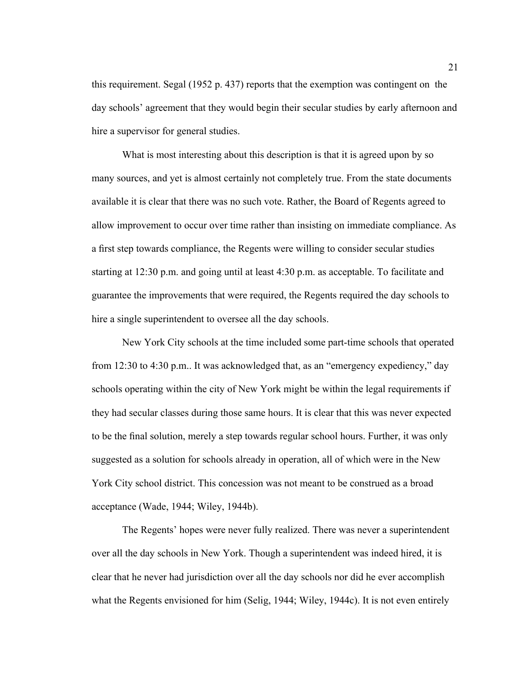this requirement. Segal (1952 p. 437) reports that the exemption was contingent on the day schools' agreement that they would begin their secular studies by early afternoon and hire a supervisor for general studies.

What is most interesting about this description is that it is agreed upon by so many sources, and yet is almost certainly not completely true. From the state documents available it is clear that there was no such vote. Rather, the Board of Regents agreed to allow improvement to occur over time rather than insisting on immediate compliance. As a first step towards compliance, the Regents were willing to consider secular studies starting at 12:30 p.m. and going until at least 4:30 p.m. as acceptable. To facilitate and guarantee the improvements that were required, the Regents required the day schools to hire a single superintendent to oversee all the day schools.

New York City schools at the time included some part-time schools that operated from 12:30 to 4:30 p.m.. It was acknowledged that, as an "emergency expediency," day schools operating within the city of New York might be within the legal requirements if they had secular classes during those same hours. It is clear that this was never expected to be the final solution, merely a step towards regular school hours. Further, it was only suggested as a solution for schools already in operation, all of which were in the New York City school district. This concession was not meant to be construed as a broad acceptance (Wade, 1944; Wiley, 1944b).

The Regents' hopes were never fully realized. There was never a superintendent over all the day schools in New York. Though a superintendent was indeed hired, it is clear that he never had jurisdiction over all the day schools nor did he ever accomplish what the Regents envisioned for him (Selig, 1944; Wiley, 1944c). It is not even entirely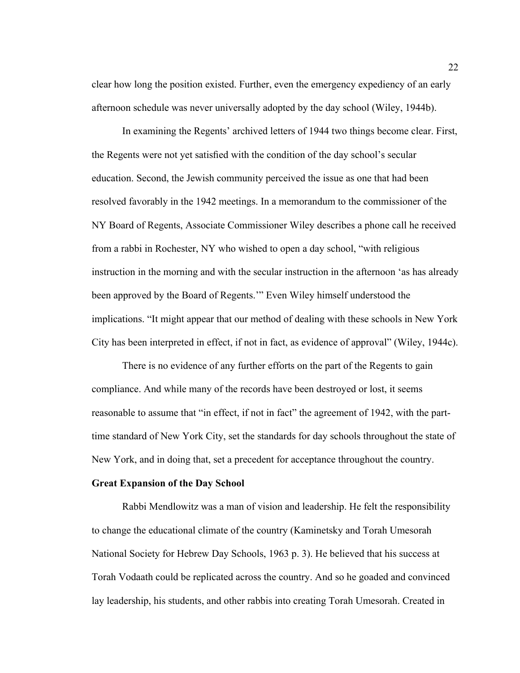clear how long the position existed. Further, even the emergency expediency of an early afternoon schedule was never universally adopted by the day school (Wiley, 1944b).

In examining the Regents' archived letters of 1944 two things become clear. First, the Regents were not yet satisfied with the condition of the day school's secular education. Second, the Jewish community perceived the issue as one that had been resolved favorably in the 1942 meetings. In a memorandum to the commissioner of the NY Board of Regents, Associate Commissioner Wiley describes a phone call he received from a rabbi in Rochester, NY who wished to open a day school, "with religious instruction in the morning and with the secular instruction in the afternoon 'as has already been approved by the Board of Regents.'" Even Wiley himself understood the implications. "It might appear that our method of dealing with these schools in New York City has been interpreted in effect, if not in fact, as evidence of approval" (Wiley, 1944c).

There is no evidence of any further efforts on the part of the Regents to gain compliance. And while many of the records have been destroyed or lost, it seems reasonable to assume that "in effect, if not in fact" the agreement of 1942, with the parttime standard of New York City, set the standards for day schools throughout the state of New York, and in doing that, set a precedent for acceptance throughout the country.

#### **Great Expansion of the Day School**

Rabbi Mendlowitz was a man of vision and leadership. He felt the responsibility to change the educational climate of the country (Kaminetsky and Torah Umesorah National Society for Hebrew Day Schools, 1963 p. 3). He believed that his success at Torah Vodaath could be replicated across the country. And so he goaded and convinced lay leadership, his students, and other rabbis into creating Torah Umesorah. Created in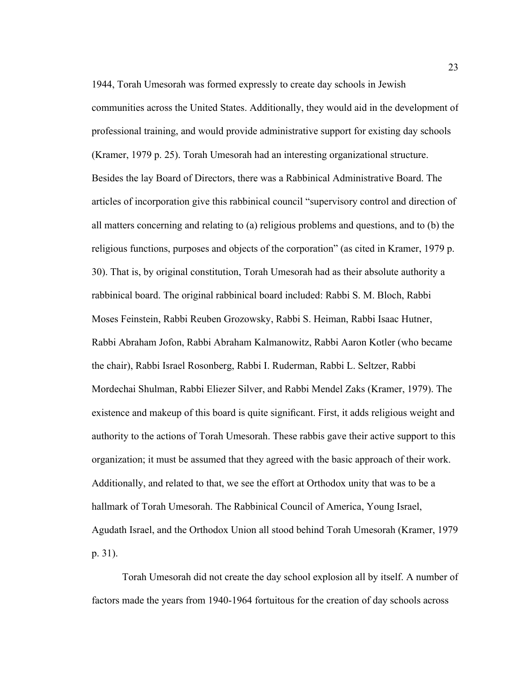1944, Torah Umesorah was formed expressly to create day schools in Jewish communities across the United States. Additionally, they would aid in the development of professional training, and would provide administrative support for existing day schools (Kramer, 1979 p. 25). Torah Umesorah had an interesting organizational structure. Besides the lay Board of Directors, there was a Rabbinical Administrative Board. The articles of incorporation give this rabbinical council "supervisory control and direction of all matters concerning and relating to (a) religious problems and questions, and to (b) the religious functions, purposes and objects of the corporation" (as cited in Kramer, 1979 p. 30). That is, by original constitution, Torah Umesorah had as their absolute authority a rabbinical board. The original rabbinical board included: Rabbi S. M. Bloch, Rabbi Moses Feinstein, Rabbi Reuben Grozowsky, Rabbi S. Heiman, Rabbi Isaac Hutner, Rabbi Abraham Jofon, Rabbi Abraham Kalmanowitz, Rabbi Aaron Kotler (who became the chair), Rabbi Israel Rosonberg, Rabbi I. Ruderman, Rabbi L. Seltzer, Rabbi Mordechai Shulman, Rabbi Eliezer Silver, and Rabbi Mendel Zaks (Kramer, 1979). The existence and makeup of this board is quite significant. First, it adds religious weight and authority to the actions of Torah Umesorah. These rabbis gave their active support to this organization; it must be assumed that they agreed with the basic approach of their work. Additionally, and related to that, we see the effort at Orthodox unity that was to be a hallmark of Torah Umesorah. The Rabbinical Council of America, Young Israel, Agudath Israel, and the Orthodox Union all stood behind Torah Umesorah (Kramer, 1979 p. 31).

Torah Umesorah did not create the day school explosion all by itself. A number of factors made the years from 1940-1964 fortuitous for the creation of day schools across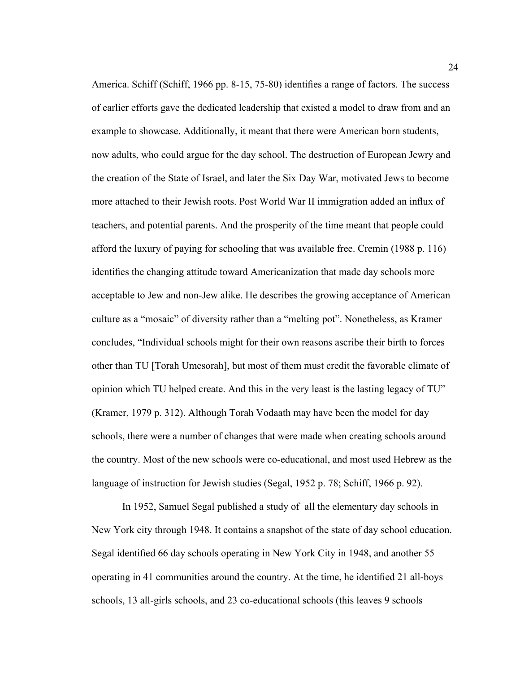America. Schiff (Schiff, 1966 pp. 8-15, 75-80) identifies a range of factors. The success of earlier efforts gave the dedicated leadership that existed a model to draw from and an example to showcase. Additionally, it meant that there were American born students, now adults, who could argue for the day school. The destruction of European Jewry and the creation of the State of Israel, and later the Six Day War, motivated Jews to become more attached to their Jewish roots. Post World War II immigration added an influx of teachers, and potential parents. And the prosperity of the time meant that people could afford the luxury of paying for schooling that was available free. Cremin (1988 p. 116) identifies the changing attitude toward Americanization that made day schools more acceptable to Jew and non-Jew alike. He describes the growing acceptance of American culture as a "mosaic" of diversity rather than a "melting pot". Nonetheless, as Kramer concludes, "Individual schools might for their own reasons ascribe their birth to forces other than TU [Torah Umesorah], but most of them must credit the favorable climate of opinion which TU helped create. And this in the very least is the lasting legacy of TU" (Kramer, 1979 p. 312). Although Torah Vodaath may have been the model for day schools, there were a number of changes that were made when creating schools around the country. Most of the new schools were co-educational, and most used Hebrew as the language of instruction for Jewish studies (Segal, 1952 p. 78; Schiff, 1966 p. 92).

In 1952, Samuel Segal published a study of all the elementary day schools in New York city through 1948. It contains a snapshot of the state of day school education. Segal identified 66 day schools operating in New York City in 1948, and another 55 operating in 41 communities around the country. At the time, he identified 21 all-boys schools, 13 all-girls schools, and 23 co-educational schools (this leaves 9 schools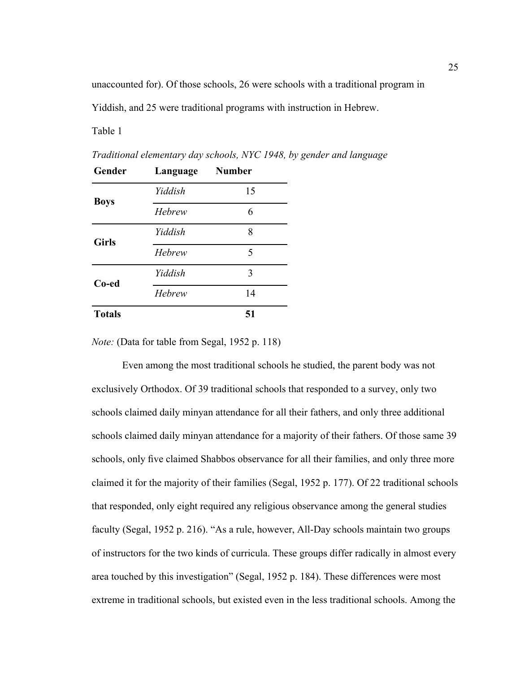unaccounted for). Of those schools, 26 were schools with a traditional program in

Yiddish, and 25 were traditional programs with instruction in Hebrew.

Table 1

| Gender        | Language | <b>Number</b> |
|---------------|----------|---------------|
| <b>Boys</b>   | Yiddish  | 15            |
|               | Hebrew   | 6             |
| <b>Girls</b>  | Yiddish  | 8             |
|               | Hebrew   | 5             |
| Co-ed         | Yiddish  | 3             |
|               | Hebrew   | 14            |
| <b>Totals</b> |          | 51            |

*Traditional elementary day schools, NYC 1948, by gender and language*

*Note:* (Data for table from Segal, 1952 p. 118)

Even among the most traditional schools he studied, the parent body was not exclusively Orthodox. Of 39 traditional schools that responded to a survey, only two schools claimed daily minyan attendance for all their fathers, and only three additional schools claimed daily minyan attendance for a majority of their fathers. Of those same 39 schools, only five claimed Shabbos observance for all their families, and only three more claimed it for the majority of their families (Segal, 1952 p. 177). Of 22 traditional schools that responded, only eight required any religious observance among the general studies faculty (Segal, 1952 p. 216). "As a rule, however, All-Day schools maintain two groups of instructors for the two kinds of curricula. These groups differ radically in almost every area touched by this investigation" (Segal, 1952 p. 184). These differences were most extreme in traditional schools, but existed even in the less traditional schools. Among the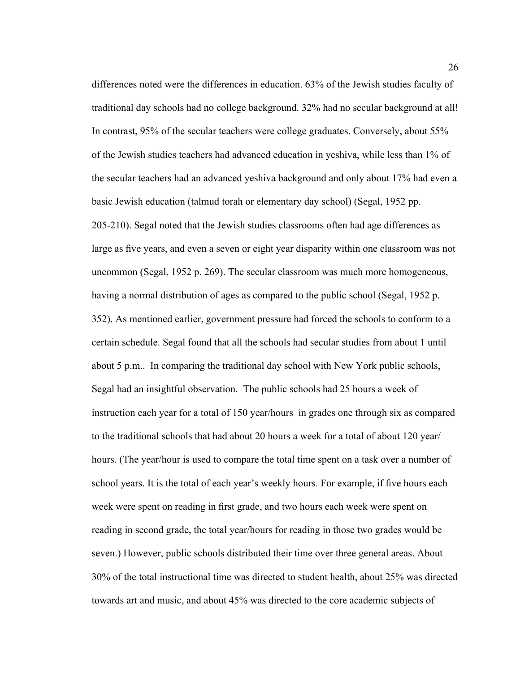differences noted were the differences in education. 63% of the Jewish studies faculty of traditional day schools had no college background. 32% had no secular background at all! In contrast, 95% of the secular teachers were college graduates. Conversely, about 55% of the Jewish studies teachers had advanced education in yeshiva, while less than 1% of the secular teachers had an advanced yeshiva background and only about 17% had even a basic Jewish education (talmud torah or elementary day school) (Segal, 1952 pp. 205-210). Segal noted that the Jewish studies classrooms often had age differences as large as five years, and even a seven or eight year disparity within one classroom was not uncommon (Segal, 1952 p. 269). The secular classroom was much more homogeneous, having a normal distribution of ages as compared to the public school (Segal, 1952 p. 352). As mentioned earlier, government pressure had forced the schools to conform to a certain schedule. Segal found that all the schools had secular studies from about 1 until about 5 p.m.. In comparing the traditional day school with New York public schools, Segal had an insightful observation. The public schools had 25 hours a week of instruction each year for a total of 150 year/hours in grades one through six as compared to the traditional schools that had about 20 hours a week for a total of about 120 year/ hours. (The year/hour is used to compare the total time spent on a task over a number of school years. It is the total of each year's weekly hours. For example, if five hours each week were spent on reading in first grade, and two hours each week were spent on reading in second grade, the total year/hours for reading in those two grades would be seven.) However, public schools distributed their time over three general areas. About 30% of the total instructional time was directed to student health, about 25% was directed towards art and music, and about 45% was directed to the core academic subjects of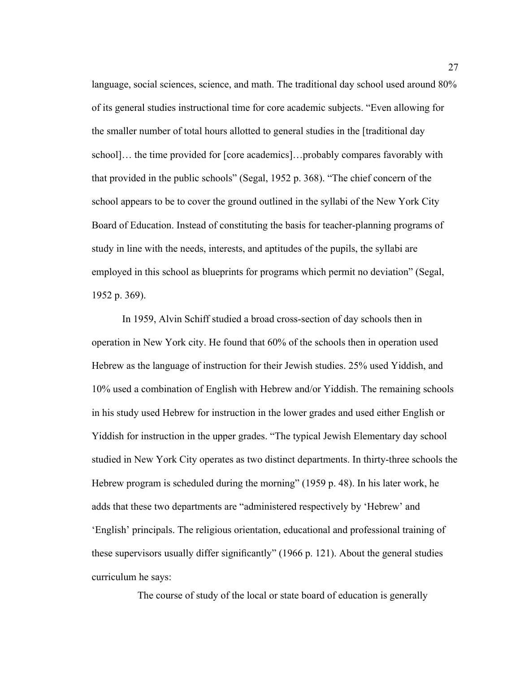language, social sciences, science, and math. The traditional day school used around 80% of its general studies instructional time for core academic subjects. "Even allowing for the smaller number of total hours allotted to general studies in the [traditional day school]… the time provided for [core academics]…probably compares favorably with that provided in the public schools" (Segal, 1952 p. 368). "The chief concern of the school appears to be to cover the ground outlined in the syllabi of the New York City Board of Education. Instead of constituting the basis for teacher-planning programs of study in line with the needs, interests, and aptitudes of the pupils, the syllabi are employed in this school as blueprints for programs which permit no deviation" (Segal, 1952 p. 369).

In 1959, Alvin Schiff studied a broad cross-section of day schools then in operation in New York city. He found that 60% of the schools then in operation used Hebrew as the language of instruction for their Jewish studies. 25% used Yiddish, and 10% used a combination of English with Hebrew and/or Yiddish. The remaining schools in his study used Hebrew for instruction in the lower grades and used either English or Yiddish for instruction in the upper grades. "The typical Jewish Elementary day school studied in New York City operates as two distinct departments. In thirty-three schools the Hebrew program is scheduled during the morning" (1959 p. 48). In his later work, he adds that these two departments are "administered respectively by 'Hebrew' and 'English' principals. The religious orientation, educational and professional training of these supervisors usually differ significantly" (1966 p. 121). About the general studies curriculum he says:

The course of study of the local or state board of education is generally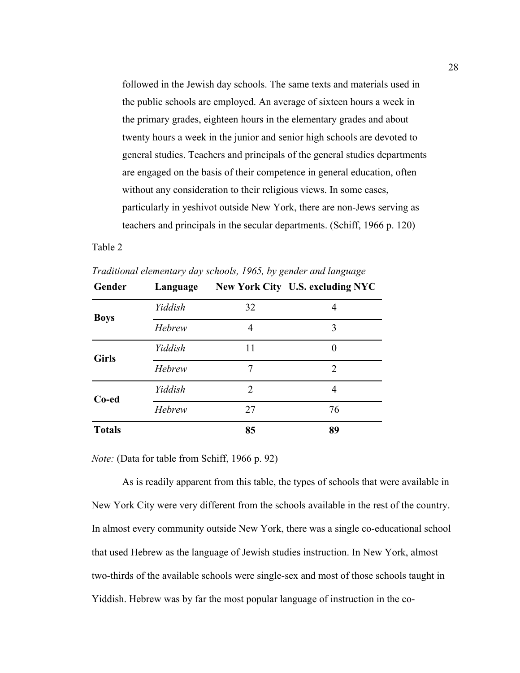followed in the Jewish day schools. The same texts and materials used in the public schools are employed. An average of sixteen hours a week in the primary grades, eighteen hours in the elementary grades and about twenty hours a week in the junior and senior high schools are devoted to general studies. Teachers and principals of the general studies departments are engaged on the basis of their competence in general education, often without any consideration to their religious views. In some cases, particularly in yeshivot outside New York, there are non-Jews serving as teachers and principals in the secular departments. (Schiff, 1966 p. 120)

## Table 2

| Gender        | Language |    | New York City U.S. excluding NYC |
|---------------|----------|----|----------------------------------|
| <b>Boys</b>   | Yiddish  | 32 | 4                                |
|               | Hebrew   | 4  | 3                                |
| <b>Girls</b>  | Yiddish  | 11 | 0                                |
|               | Hebrew   | 7  | 2                                |
| Co-ed         | Yiddish  | 2  | 4                                |
|               | Hebrew   | 27 | 76                               |
| <b>Totals</b> |          | 85 | 89                               |

*Traditional elementary day schools, 1965, by gender and language*

*Note:* (Data for table from Schiff, 1966 p. 92)

As is readily apparent from this table, the types of schools that were available in New York City were very different from the schools available in the rest of the country. In almost every community outside New York, there was a single co-educational school that used Hebrew as the language of Jewish studies instruction. In New York, almost two-thirds of the available schools were single-sex and most of those schools taught in Yiddish. Hebrew was by far the most popular language of instruction in the co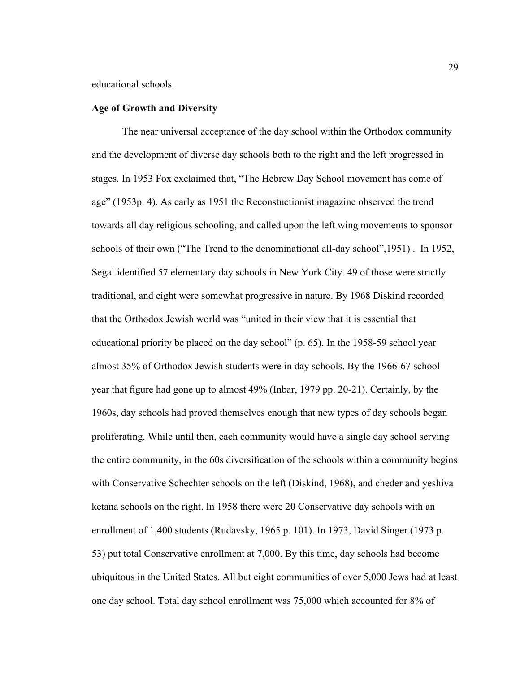educational schools.

### **Age of Growth and Diversity**

The near universal acceptance of the day school within the Orthodox community and the development of diverse day schools both to the right and the left progressed in stages. In 1953 Fox exclaimed that, "The Hebrew Day School movement has come of age" (1953p. 4). As early as 1951 the Reconstuctionist magazine observed the trend towards all day religious schooling, and called upon the left wing movements to sponsor schools of their own ("The Trend to the denominational all-day school",1951) . In 1952, Segal identified 57 elementary day schools in New York City. 49 of those were strictly traditional, and eight were somewhat progressive in nature. By 1968 Diskind recorded that the Orthodox Jewish world was "united in their view that it is essential that educational priority be placed on the day school" (p. 65). In the 1958-59 school year almost 35% of Orthodox Jewish students were in day schools. By the 1966-67 school year that figure had gone up to almost 49% (Inbar, 1979 pp. 20-21). Certainly, by the 1960s, day schools had proved themselves enough that new types of day schools began proliferating. While until then, each community would have a single day school serving the entire community, in the 60s diversification of the schools within a community begins with Conservative Schechter schools on the left (Diskind, 1968), and cheder and yeshiva ketana schools on the right. In 1958 there were 20 Conservative day schools with an enrollment of 1,400 students (Rudavsky, 1965 p. 101). In 1973, David Singer (1973 p. 53) put total Conservative enrollment at 7,000. By this time, day schools had become ubiquitous in the United States. All but eight communities of over 5,000 Jews had at least one day school. Total day school enrollment was 75,000 which accounted for 8% of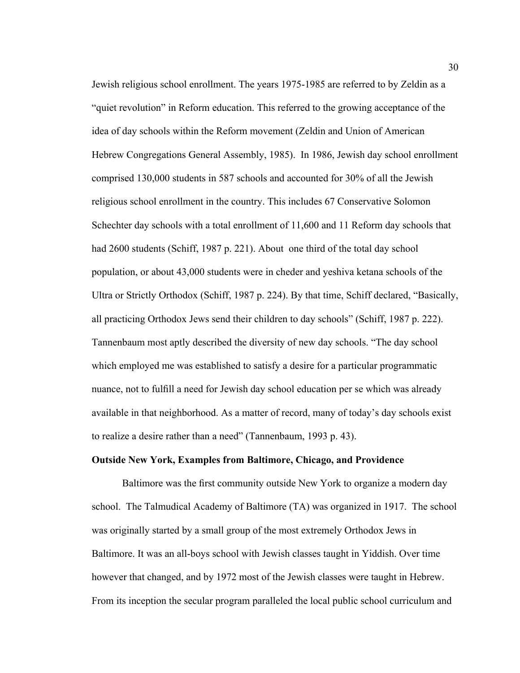Jewish religious school enrollment. The years 1975-1985 are referred to by Zeldin as a "quiet revolution" in Reform education. This referred to the growing acceptance of the idea of day schools within the Reform movement (Zeldin and Union of American Hebrew Congregations General Assembly, 1985). In 1986, Jewish day school enrollment comprised 130,000 students in 587 schools and accounted for 30% of all the Jewish religious school enrollment in the country. This includes 67 Conservative Solomon Schechter day schools with a total enrollment of 11,600 and 11 Reform day schools that had 2600 students (Schiff, 1987 p. 221). About one third of the total day school population, or about 43,000 students were in cheder and yeshiva ketana schools of the Ultra or Strictly Orthodox (Schiff, 1987 p. 224). By that time, Schiff declared, "Basically, all practicing Orthodox Jews send their children to day schools" (Schiff, 1987 p. 222). Tannenbaum most aptly described the diversity of new day schools. "The day school which employed me was established to satisfy a desire for a particular programmatic nuance, not to fulfill a need for Jewish day school education per se which was already available in that neighborhood. As a matter of record, many of today's day schools exist to realize a desire rather than a need" (Tannenbaum, 1993 p. 43).

# **Outside New York, Examples from Baltimore, Chicago, and Providence**

Baltimore was the first community outside New York to organize a modern day school. The Talmudical Academy of Baltimore (TA) was organized in 1917. The school was originally started by a small group of the most extremely Orthodox Jews in Baltimore. It was an all-boys school with Jewish classes taught in Yiddish. Over time however that changed, and by 1972 most of the Jewish classes were taught in Hebrew. From its inception the secular program paralleled the local public school curriculum and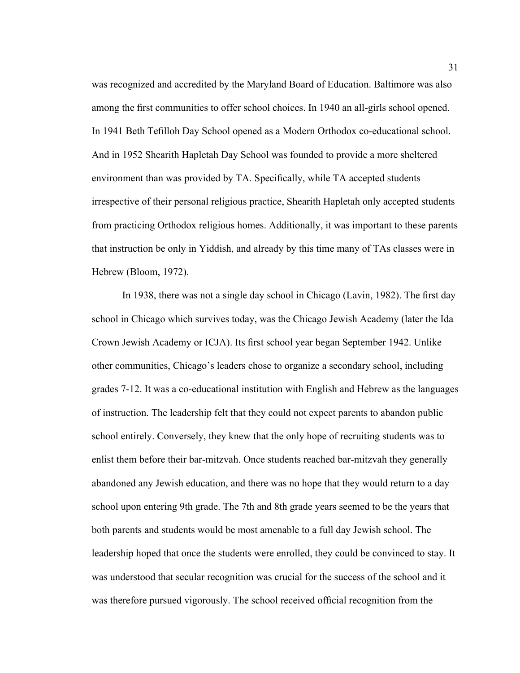was recognized and accredited by the Maryland Board of Education. Baltimore was also among the first communities to offer school choices. In 1940 an all-girls school opened. In 1941 Beth Tefilloh Day School opened as a Modern Orthodox co-educational school. And in 1952 Shearith Hapletah Day School was founded to provide a more sheltered environment than was provided by TA. Specifically, while TA accepted students irrespective of their personal religious practice, Shearith Hapletah only accepted students from practicing Orthodox religious homes. Additionally, it was important to these parents that instruction be only in Yiddish, and already by this time many of TAs classes were in Hebrew (Bloom, 1972).

In 1938, there was not a single day school in Chicago (Lavin, 1982). The first day school in Chicago which survives today, was the Chicago Jewish Academy (later the Ida Crown Jewish Academy or ICJA). Its first school year began September 1942. Unlike other communities, Chicago's leaders chose to organize a secondary school, including grades 7-12. It was a co-educational institution with English and Hebrew as the languages of instruction. The leadership felt that they could not expect parents to abandon public school entirely. Conversely, they knew that the only hope of recruiting students was to enlist them before their bar-mitzvah. Once students reached bar-mitzvah they generally abandoned any Jewish education, and there was no hope that they would return to a day school upon entering 9th grade. The 7th and 8th grade years seemed to be the years that both parents and students would be most amenable to a full day Jewish school. The leadership hoped that once the students were enrolled, they could be convinced to stay. It was understood that secular recognition was crucial for the success of the school and it was therefore pursued vigorously. The school received official recognition from the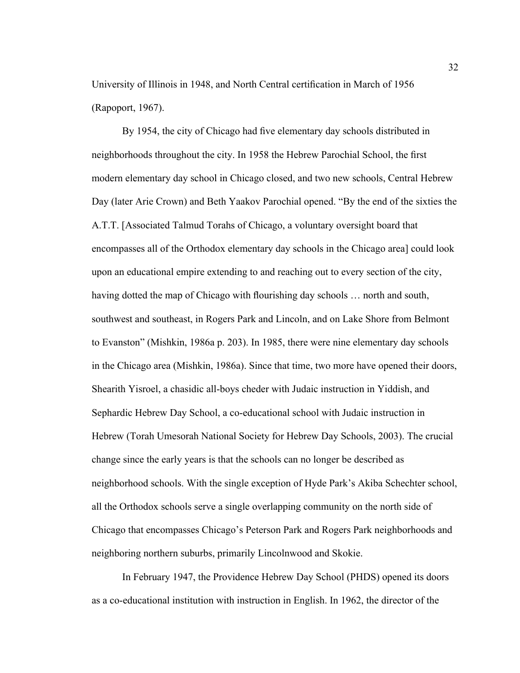University of Illinois in 1948, and North Central certification in March of 1956 (Rapoport, 1967).

By 1954, the city of Chicago had five elementary day schools distributed in neighborhoods throughout the city. In 1958 the Hebrew Parochial School, the first modern elementary day school in Chicago closed, and two new schools, Central Hebrew Day (later Arie Crown) and Beth Yaakov Parochial opened. "By the end of the sixties the A.T.T. [Associated Talmud Torahs of Chicago, a voluntary oversight board that encompasses all of the Orthodox elementary day schools in the Chicago area] could look upon an educational empire extending to and reaching out to every section of the city, having dotted the map of Chicago with flourishing day schools … north and south, southwest and southeast, in Rogers Park and Lincoln, and on Lake Shore from Belmont to Evanston" (Mishkin, 1986a p. 203). In 1985, there were nine elementary day schools in the Chicago area (Mishkin, 1986a). Since that time, two more have opened their doors, Shearith Yisroel, a chasidic all-boys cheder with Judaic instruction in Yiddish, and Sephardic Hebrew Day School, a co-educational school with Judaic instruction in Hebrew (Torah Umesorah National Society for Hebrew Day Schools, 2003). The crucial change since the early years is that the schools can no longer be described as neighborhood schools. With the single exception of Hyde Park's Akiba Schechter school, all the Orthodox schools serve a single overlapping community on the north side of Chicago that encompasses Chicago's Peterson Park and Rogers Park neighborhoods and neighboring northern suburbs, primarily Lincolnwood and Skokie.

In February 1947, the Providence Hebrew Day School (PHDS) opened its doors as a co-educational institution with instruction in English. In 1962, the director of the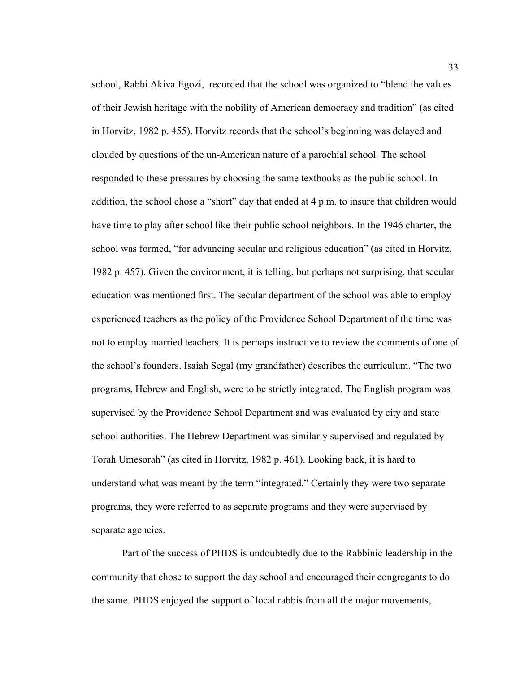school, Rabbi Akiva Egozi, recorded that the school was organized to "blend the values of their Jewish heritage with the nobility of American democracy and tradition" (as cited in Horvitz, 1982 p. 455). Horvitz records that the school's beginning was delayed and clouded by questions of the un-American nature of a parochial school. The school responded to these pressures by choosing the same textbooks as the public school. In addition, the school chose a "short" day that ended at 4 p.m. to insure that children would have time to play after school like their public school neighbors. In the 1946 charter, the school was formed, "for advancing secular and religious education" (as cited in Horvitz, 1982 p. 457). Given the environment, it is telling, but perhaps not surprising, that secular education was mentioned first. The secular department of the school was able to employ experienced teachers as the policy of the Providence School Department of the time was not to employ married teachers. It is perhaps instructive to review the comments of one of the school's founders. Isaiah Segal (my grandfather) describes the curriculum. "The two programs, Hebrew and English, were to be strictly integrated. The English program was supervised by the Providence School Department and was evaluated by city and state school authorities. The Hebrew Department was similarly supervised and regulated by Torah Umesorah" (as cited in Horvitz, 1982 p. 461). Looking back, it is hard to understand what was meant by the term "integrated." Certainly they were two separate programs, they were referred to as separate programs and they were supervised by separate agencies.

Part of the success of PHDS is undoubtedly due to the Rabbinic leadership in the community that chose to support the day school and encouraged their congregants to do the same. PHDS enjoyed the support of local rabbis from all the major movements,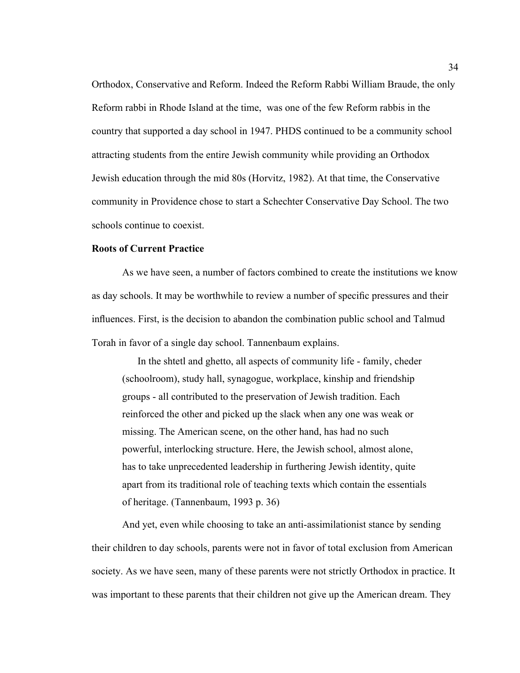Orthodox, Conservative and Reform. Indeed the Reform Rabbi William Braude, the only Reform rabbi in Rhode Island at the time, was one of the few Reform rabbis in the country that supported a day school in 1947. PHDS continued to be a community school attracting students from the entire Jewish community while providing an Orthodox Jewish education through the mid 80s (Horvitz, 1982). At that time, the Conservative community in Providence chose to start a Schechter Conservative Day School. The two schools continue to coexist.

### **Roots of Current Practice**

As we have seen, a number of factors combined to create the institutions we know as day schools. It may be worthwhile to review a number of specific pressures and their influences. First, is the decision to abandon the combination public school and Talmud Torah in favor of a single day school. Tannenbaum explains.

In the shtetl and ghetto, all aspects of community life - family, cheder (schoolroom), study hall, synagogue, workplace, kinship and friendship groups - all contributed to the preservation of Jewish tradition. Each reinforced the other and picked up the slack when any one was weak or missing. The American scene, on the other hand, has had no such powerful, interlocking structure. Here, the Jewish school, almost alone, has to take unprecedented leadership in furthering Jewish identity, quite apart from its traditional role of teaching texts which contain the essentials of heritage. (Tannenbaum, 1993 p. 36)

And yet, even while choosing to take an anti-assimilationist stance by sending their children to day schools, parents were not in favor of total exclusion from American society. As we have seen, many of these parents were not strictly Orthodox in practice. It was important to these parents that their children not give up the American dream. They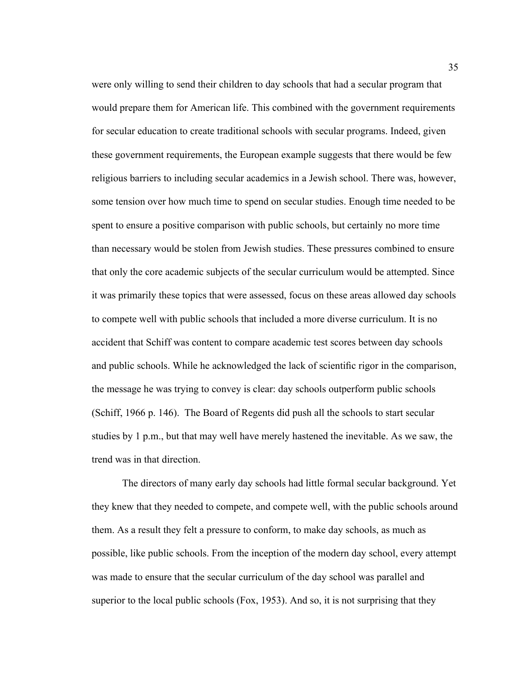were only willing to send their children to day schools that had a secular program that would prepare them for American life. This combined with the government requirements for secular education to create traditional schools with secular programs. Indeed, given these government requirements, the European example suggests that there would be few religious barriers to including secular academics in a Jewish school. There was, however, some tension over how much time to spend on secular studies. Enough time needed to be spent to ensure a positive comparison with public schools, but certainly no more time than necessary would be stolen from Jewish studies. These pressures combined to ensure that only the core academic subjects of the secular curriculum would be attempted. Since it was primarily these topics that were assessed, focus on these areas allowed day schools to compete well with public schools that included a more diverse curriculum. It is no accident that Schiff was content to compare academic test scores between day schools and public schools. While he acknowledged the lack of scientific rigor in the comparison, the message he was trying to convey is clear: day schools outperform public schools (Schiff, 1966 p. 146). The Board of Regents did push all the schools to start secular studies by 1 p.m., but that may well have merely hastened the inevitable. As we saw, the trend was in that direction.

The directors of many early day schools had little formal secular background. Yet they knew that they needed to compete, and compete well, with the public schools around them. As a result they felt a pressure to conform, to make day schools, as much as possible, like public schools. From the inception of the modern day school, every attempt was made to ensure that the secular curriculum of the day school was parallel and superior to the local public schools (Fox, 1953). And so, it is not surprising that they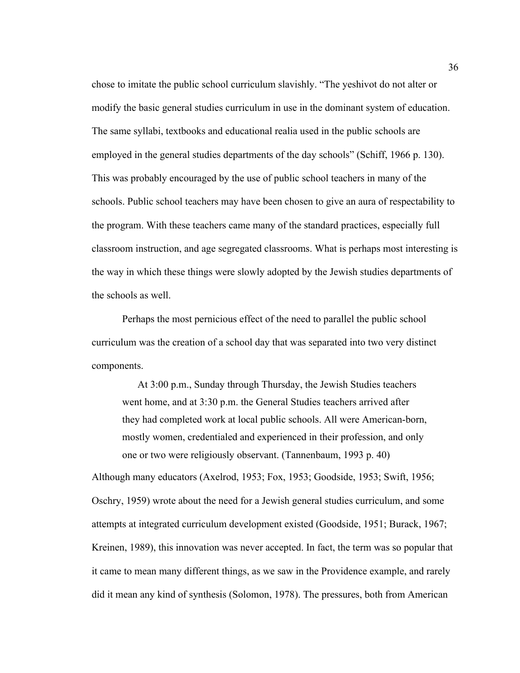chose to imitate the public school curriculum slavishly. "The yeshivot do not alter or modify the basic general studies curriculum in use in the dominant system of education. The same syllabi, textbooks and educational realia used in the public schools are employed in the general studies departments of the day schools" (Schiff, 1966 p. 130). This was probably encouraged by the use of public school teachers in many of the schools. Public school teachers may have been chosen to give an aura of respectability to the program. With these teachers came many of the standard practices, especially full classroom instruction, and age segregated classrooms. What is perhaps most interesting is the way in which these things were slowly adopted by the Jewish studies departments of the schools as well.

Perhaps the most pernicious effect of the need to parallel the public school curriculum was the creation of a school day that was separated into two very distinct components.

At 3:00 p.m., Sunday through Thursday, the Jewish Studies teachers went home, and at 3:30 p.m. the General Studies teachers arrived after they had completed work at local public schools. All were American-born, mostly women, credentialed and experienced in their profession, and only one or two were religiously observant. (Tannenbaum, 1993 p. 40)

Although many educators (Axelrod, 1953; Fox, 1953; Goodside, 1953; Swift, 1956; Oschry, 1959) wrote about the need for a Jewish general studies curriculum, and some attempts at integrated curriculum development existed (Goodside, 1951; Burack, 1967; Kreinen, 1989), this innovation was never accepted. In fact, the term was so popular that it came to mean many different things, as we saw in the Providence example, and rarely did it mean any kind of synthesis (Solomon, 1978). The pressures, both from American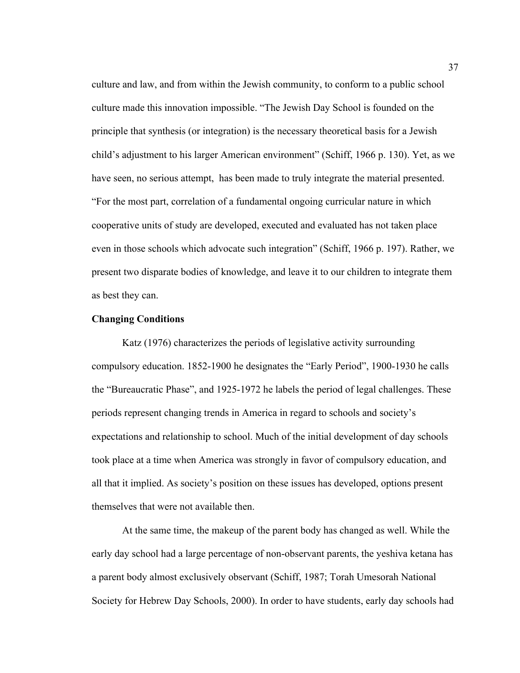culture and law, and from within the Jewish community, to conform to a public school culture made this innovation impossible. "The Jewish Day School is founded on the principle that synthesis (or integration) is the necessary theoretical basis for a Jewish child's adjustment to his larger American environment" (Schiff, 1966 p. 130). Yet, as we have seen, no serious attempt, has been made to truly integrate the material presented. "For the most part, correlation of a fundamental ongoing curricular nature in which cooperative units of study are developed, executed and evaluated has not taken place even in those schools which advocate such integration" (Schiff, 1966 p. 197). Rather, we present two disparate bodies of knowledge, and leave it to our children to integrate them as best they can.

### **Changing Conditions**

Katz (1976) characterizes the periods of legislative activity surrounding compulsory education. 1852-1900 he designates the "Early Period", 1900-1930 he calls the "Bureaucratic Phase", and 1925-1972 he labels the period of legal challenges. These periods represent changing trends in America in regard to schools and society's expectations and relationship to school. Much of the initial development of day schools took place at a time when America was strongly in favor of compulsory education, and all that it implied. As society's position on these issues has developed, options present themselves that were not available then.

At the same time, the makeup of the parent body has changed as well. While the early day school had a large percentage of non-observant parents, the yeshiva ketana has a parent body almost exclusively observant (Schiff, 1987; Torah Umesorah National Society for Hebrew Day Schools, 2000). In order to have students, early day schools had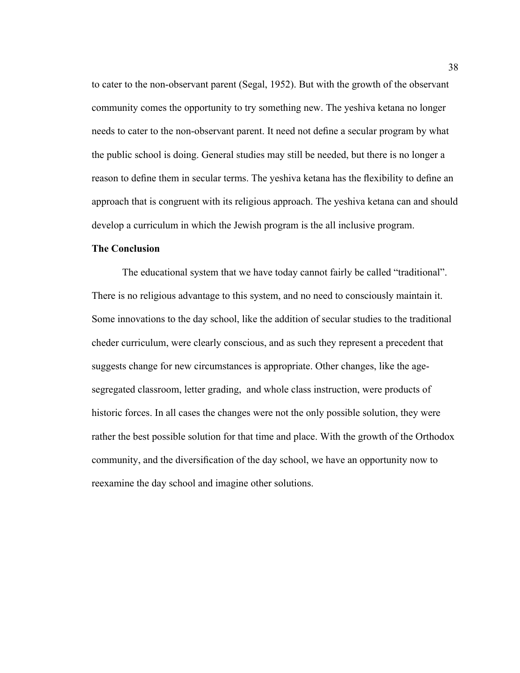to cater to the non-observant parent (Segal, 1952). But with the growth of the observant community comes the opportunity to try something new. The yeshiva ketana no longer needs to cater to the non-observant parent. It need not define a secular program by what the public school is doing. General studies may still be needed, but there is no longer a reason to define them in secular terms. The yeshiva ketana has the flexibility to define an approach that is congruent with its religious approach. The yeshiva ketana can and should develop a curriculum in which the Jewish program is the all inclusive program.

### **The Conclusion**

The educational system that we have today cannot fairly be called "traditional". There is no religious advantage to this system, and no need to consciously maintain it. Some innovations to the day school, like the addition of secular studies to the traditional cheder curriculum, were clearly conscious, and as such they represent a precedent that suggests change for new circumstances is appropriate. Other changes, like the agesegregated classroom, letter grading, and whole class instruction, were products of historic forces. In all cases the changes were not the only possible solution, they were rather the best possible solution for that time and place. With the growth of the Orthodox community, and the diversification of the day school, we have an opportunity now to reexamine the day school and imagine other solutions.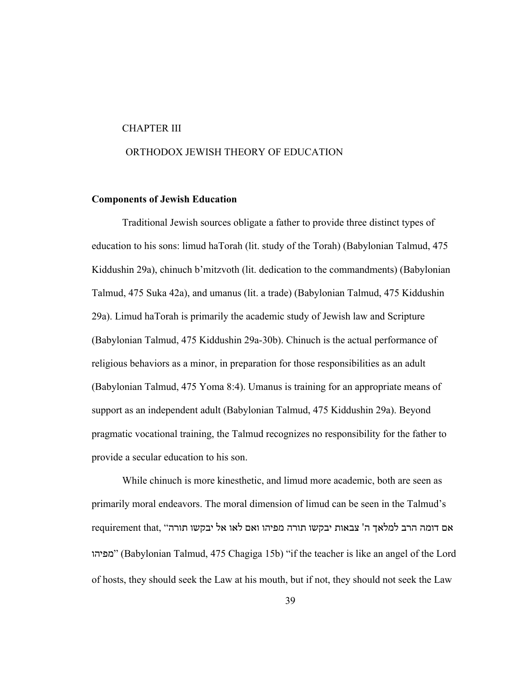#### CHAPTER III

# ORTHODOX JEWISH THEORY OF EDUCATION

### **Components of Jewish Education**

Traditional Jewish sources obligate a father to provide three distinct types of education to his sons: limud haTorah (lit. study of the Torah) (Babylonian Talmud, 475 Kiddushin 29a), chinuch b'mitzvoth (lit. dedication to the commandments) (Babylonian Talmud, 475 Suka 42a), and umanus (lit. a trade) (Babylonian Talmud, 475 Kiddushin 29a). Limud haTorah is primarily the academic study of Jewish law and Scripture (Babylonian Talmud, 475 Kiddushin 29a-30b). Chinuch is the actual performance of religious behaviors as a minor, in preparation for those responsibilities as an adult (Babylonian Talmud, 475 Yoma 8:4). Umanus is training for an appropriate means of support as an independent adult (Babylonian Talmud, 475 Kiddushin 29a). Beyond pragmatic vocational training, the Talmud recognizes no responsibility for the father to provide a secular education to his son.

While chinuch is more kinesthetic, and limud more academic, both are seen as primarily moral endeavors. The moral dimension of limud can be seen in the Talmud's אם דומה הרב למלאך ה' צבאות יבקשו תורה מפיהו ואם לאו אל יבקשו תורה" ,requirement that מפיהו) "Babylonian Talmud, 475 Chagiga 15b) "if the teacher is like an angel of the Lord of hosts, they should seek the Law at his mouth, but if not, they should not seek the Law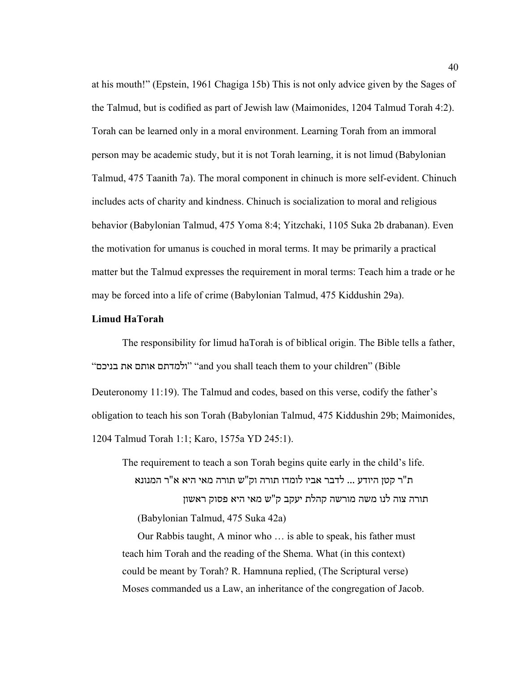at his mouth!" (Epstein, 1961 Chagiga 15b) This is not only advice given by the Sages of the Talmud, but is codified as part of Jewish law (Maimonides, 1204 Talmud Torah 4:2). Torah can be learned only in a moral environment. Learning Torah from an immoral person may be academic study, but it is not Torah learning, it is not limud (Babylonian Talmud, 475 Taanith 7a). The moral component in chinuch is more self-evident. Chinuch includes acts of charity and kindness. Chinuch is socialization to moral and religious behavior (Babylonian Talmud, 475 Yoma 8:4; Yitzchaki, 1105 Suka 2b drabanan). Even the motivation for umanus is couched in moral terms. It may be primarily a practical matter but the Talmud expresses the requirement in moral terms: Teach him a trade or he may be forced into a life of crime (Babylonian Talmud, 475 Kiddushin 29a).

#### **Limud HaTorah**

The responsibility for limud haTorah is of biblical origin. The Bible tells a father, "בניכם את אותם ולמדתם" "and you shall teach them to your children" (Bible Deuteronomy 11:19). The Talmud and codes, based on this verse, codify the father's obligation to teach his son Torah (Babylonian Talmud, 475 Kiddushin 29b; Maimonides, 1204 Talmud Torah 1:1; Karo, 1575a YD 245:1).

The requirement to teach a son Torah begins quite early in the child's life. ת"ר קטן היודע ... לדבר אביו לומדו תורה וק"ש תורה מאי היא א"ר המנונא תורה צוה לנו משה מורשה קהלת יעקב ק"ש מאי היא פסוק ראשון (Babylonian Talmud, 475 Suka 42a)

Our Rabbis taught, A minor who … is able to speak, his father must teach him Torah and the reading of the Shema. What (in this context) could be meant by Torah? R. Hamnuna replied, (The Scriptural verse) Moses commanded us a Law, an inheritance of the congregation of Jacob.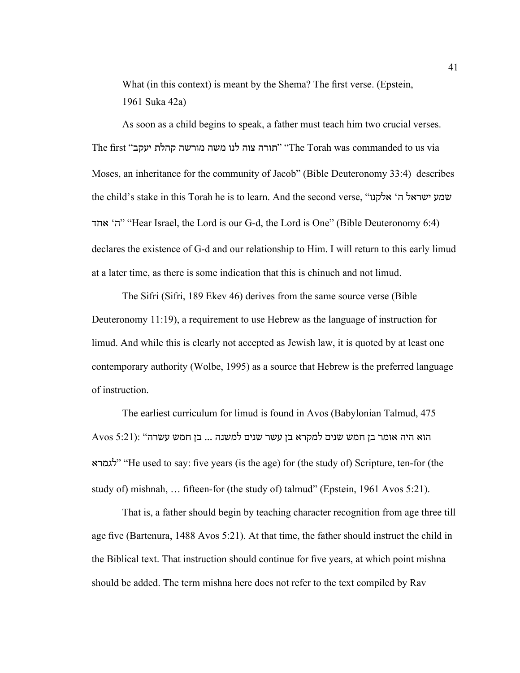What (in this context) is meant by the Shema? The first verse. (Epstein, 1961 Suka 42a)

As soon as a child begins to speak, a father must teach him two crucial verses. The first "יעקב קהלת מורשה משה לנו צוה תורה" "The Torah was commanded to us via Moses, an inheritance for the community of Jacob" (Bible Deuteronomy 33:4) describes the child's stake in this Torah he is to learn. And the second verse, "אלקנו' ה ישראל שמע אחד' ה" "Hear Israel, the Lord is our G-d, the Lord is One" (Bible Deuteronomy 6:4) declares the existence of G-d and our relationship to Him. I will return to this early limud at a later time, as there is some indication that this is chinuch and not limud.

The Sifri (Sifri, 189 Ekev 46) derives from the same source verse (Bible Deuteronomy 11:19), a requirement to use Hebrew as the language of instruction for limud. And while this is clearly not accepted as Jewish law, it is quoted by at least one contemporary authority (Wolbe, 1995) as a source that Hebrew is the preferred language of instruction.

The earliest curriculum for limud is found in Avos (Babylonian Talmud, 475 הוא היה אומר בן חמש שנים למקרא בן עשר שנים למשנה ... בן חמש עשרה" :(5:21 Avos לגמרא" "He used to say: five years (is the age) for (the study of) Scripture, ten-for (the study of) mishnah, ... fifteen-for (the study of) talmud" (Epstein, 1961 Avos 5:21).

That is, a father should begin by teaching character recognition from age three till age five (Bartenura, 1488 Avos 5:21). At that time, the father should instruct the child in the Biblical text. That instruction should continue for five years, at which point mishna should be added. The term mishna here does not refer to the text compiled by Rav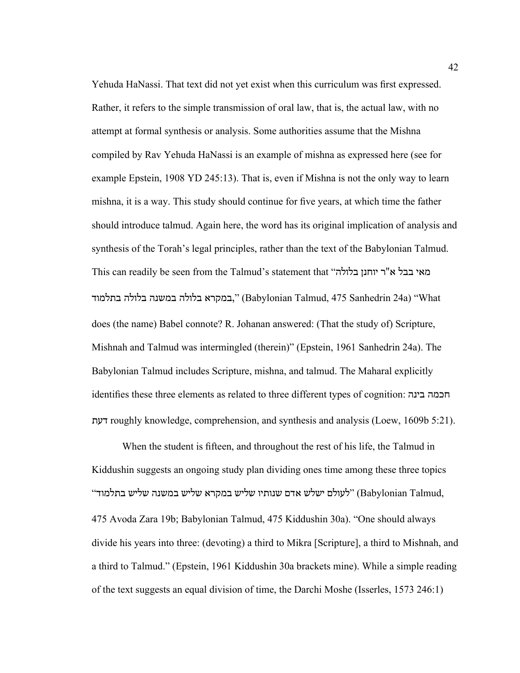Yehuda HaNassi. That text did not yet exist when this curriculum was first expressed. Rather, it refers to the simple transmission of oral law, that is, the actual law, with no attempt at formal synthesis or analysis. Some authorities assume that the Mishna compiled by Rav Yehuda HaNassi is an example of mishna as expressed here (see for example Epstein, 1908 YD 245:13). That is, even if Mishna is not the only way to learn mishna, it is a way. This study should continue for five years, at which time the father should introduce talmud. Again here, the word has its original implication of analysis and synthesis of the Torah's legal principles, rather than the text of the Babylonian Talmud. This can readily be seen from the Talmud's statement that "היוחנן בלולה במקרא בלולה במשנה בלולה בתלמוד)" (Babylonian Talmud, 475 Sanhedrin 24a) בתלמוד does (the name) Babel connote? R. Johanan answered: (That the study of) Scripture, Mishnah and Talmud was intermingled (therein)" (Epstein, 1961 Sanhedrin 24a). The Babylonian Talmud includes Scripture, mishna, and talmud. The Maharal explicitly identifies these three elements as related to three different types of cognition: בינה חכמה דעת roughly knowledge, comprehension, and synthesis and analysis (Loew, 1609b 5:21).

When the student is fifteen, and throughout the rest of his life, the Talmud in Kiddushin suggests an ongoing study plan dividing ones time among these three topics ה, לעולם ישלש אדם שנותיו שליש במקרא שליש במשנה שליש בתלמוד (Babylonian Talmud, 475 Avoda Zara 19b; Babylonian Talmud, 475 Kiddushin 30a). "One should always divide his years into three: (devoting) a third to Mikra [Scripture], a third to Mishnah, and a third to Talmud." (Epstein, 1961 Kiddushin 30a brackets mine). While a simple reading of the text suggests an equal division of time, the Darchi Moshe (Isserles, 1573 246:1)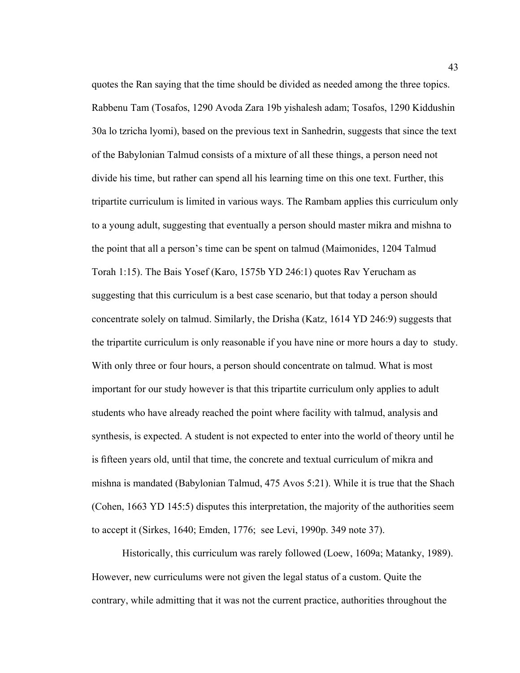quotes the Ran saying that the time should be divided as needed among the three topics. Rabbenu Tam (Tosafos, 1290 Avoda Zara 19b yishalesh adam; Tosafos, 1290 Kiddushin 30a lo tzricha lyomi), based on the previous text in Sanhedrin, suggests that since the text of the Babylonian Talmud consists of a mixture of all these things, a person need not divide his time, but rather can spend all his learning time on this one text. Further, this tripartite curriculum is limited in various ways. The Rambam applies this curriculum only to a young adult, suggesting that eventually a person should master mikra and mishna to the point that all a person's time can be spent on talmud (Maimonides, 1204 Talmud Torah 1:15). The Bais Yosef (Karo, 1575b YD 246:1) quotes Rav Yerucham as suggesting that this curriculum is a best case scenario, but that today a person should concentrate solely on talmud. Similarly, the Drisha (Katz, 1614 YD 246:9) suggests that the tripartite curriculum is only reasonable if you have nine or more hours a day to study. With only three or four hours, a person should concentrate on talmud. What is most important for our study however is that this tripartite curriculum only applies to adult students who have already reached the point where facility with talmud, analysis and synthesis, is expected. A student is not expected to enter into the world of theory until he is fifteen years old, until that time, the concrete and textual curriculum of mikra and mishna is mandated (Babylonian Talmud, 475 Avos 5:21). While it is true that the Shach (Cohen, 1663 YD 145:5) disputes this interpretation, the majority of the authorities seem to accept it (Sirkes, 1640; Emden, 1776; see Levi, 1990p. 349 note 37).

Historically, this curriculum was rarely followed (Loew, 1609a; Matanky, 1989). However, new curriculums were not given the legal status of a custom. Quite the contrary, while admitting that it was not the current practice, authorities throughout the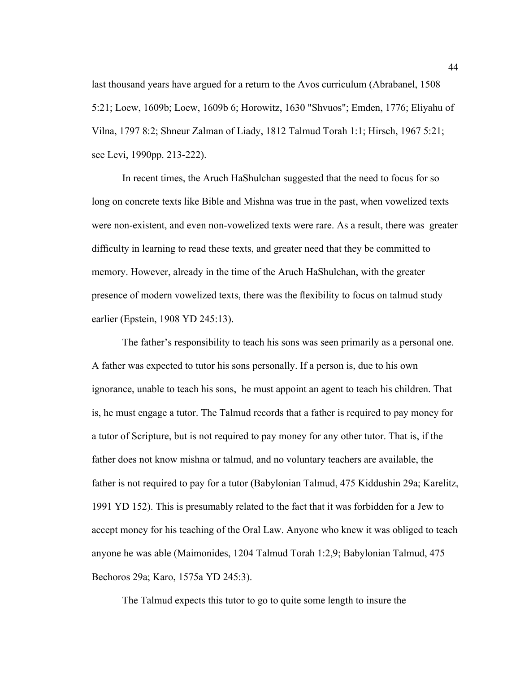last thousand years have argued for a return to the Avos curriculum (Abrabanel, 1508 5:21; Loew, 1609b; Loew, 1609b 6; Horowitz, 1630 "Shvuos"; Emden, 1776; Eliyahu of Vilna, 1797 8:2; Shneur Zalman of Liady, 1812 Talmud Torah 1:1; Hirsch, 1967 5:21; see Levi, 1990pp. 213-222).

In recent times, the Aruch HaShulchan suggested that the need to focus for so long on concrete texts like Bible and Mishna was true in the past, when vowelized texts were non-existent, and even non-vowelized texts were rare. As a result, there was greater difficulty in learning to read these texts, and greater need that they be committed to memory. However, already in the time of the Aruch HaShulchan, with the greater presence of modern vowelized texts, there was the flexibility to focus on talmud study earlier (Epstein, 1908 YD 245:13).

The father's responsibility to teach his sons was seen primarily as a personal one. A father was expected to tutor his sons personally. If a person is, due to his own ignorance, unable to teach his sons, he must appoint an agent to teach his children. That is, he must engage a tutor. The Talmud records that a father is required to pay money for a tutor of Scripture, but is not required to pay money for any other tutor. That is, if the father does not know mishna or talmud, and no voluntary teachers are available, the father is not required to pay for a tutor (Babylonian Talmud, 475 Kiddushin 29a; Karelitz, 1991 YD 152). This is presumably related to the fact that it was forbidden for a Jew to accept money for his teaching of the Oral Law. Anyone who knew it was obliged to teach anyone he was able (Maimonides, 1204 Talmud Torah 1:2,9; Babylonian Talmud, 475 Bechoros 29a; Karo, 1575a YD 245:3).

The Talmud expects this tutor to go to quite some length to insure the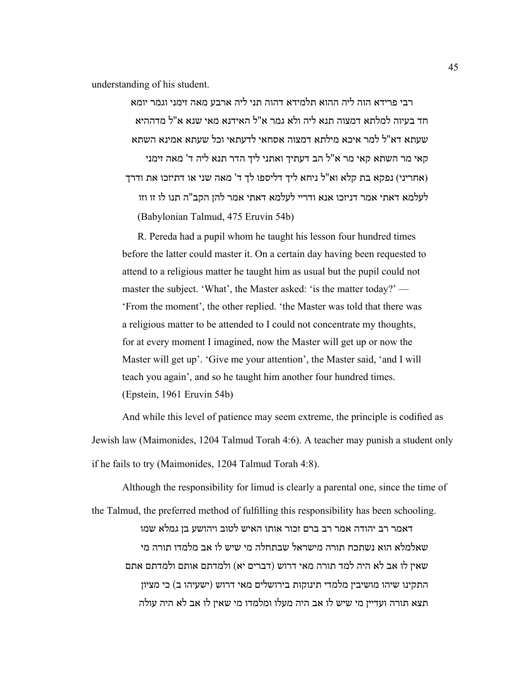understanding of his student.

רבי פרידא הוה ליה ההוא תלמידא דהוה תני ליה ארבע מאה זימני וגמר יומא חד בעיוה למלתא דמצוה תנא ליה ולא גמר א"ל האידנא מאי שנא א"ל מדההיא שעתא דא"ל למר איכא מילתא דמצוה אסחאי לדעתאי וכל שעתא אמינא השתא קאי מר השתא קאי מר א"ל הב דעתיך ואתני ליך הדר תנא ליה ד' מאה זימני (אחריני) נפקא בת קלא וא"ל ניחא ליך דליספו לך ד' מאה שני או דתיזכו את ודרך לעלמא דאתי אמר דניזכו אנא ודריי לעלמא דאתי אמר להן הקב"ה תנו לו זו וזו (Babylonian Talmud, 475 Eruvin 54b)

R. Pereda had a pupil whom he taught his lesson four hundred times before the latter could master it. On a certain day having been requested to attend to a religious matter he taught him as usual but the pupil could not master the subject. 'What', the Master asked: 'is the matter today?' — 'From the moment', the other replied. 'the Master was told that there was a religious matter to be attended to I could not concentrate my thoughts, for at every moment I imagined, now the Master will get up or now the Master will get up'. 'Give me your attention', the Master said, 'and I will teach you again', and so he taught him another four hundred times. (Epstein, 1961 Eruvin 54b)

And while this level of patience may seem extreme, the principle is codified as Jewish law (Maimonides, 1204 Talmud Torah 4:6). A teacher may punish a student only if he fails to try (Maimonides, 1204 Talmud Torah 4:8).

Although the responsibility for limud is clearly a parental one, since the time of the Talmud, the preferred method of fulfilling this responsibility has been schooling. דאמר רב יהודה אמר רב ברם זכור אותו האיש לטוב ויהושע בן גמלא שמו שאלמלא הוא נשתכח תורה מישראל שבתחלה מי שיש לו אב מלמדו תורה מי שאין לו אב לא היה למד תורה מאי דרוש (דברים יא) ולמדתם אותם ולמדתם אתם התקינו שיהו מושיבין מלמדי תינוקות בירושלים מאי דרוש (ישעיהו ב) כי מציון תצא תורה ועדיין מי שיש לו אב היה מעלו ומלמדו מי שאין לו אב לא היה עולה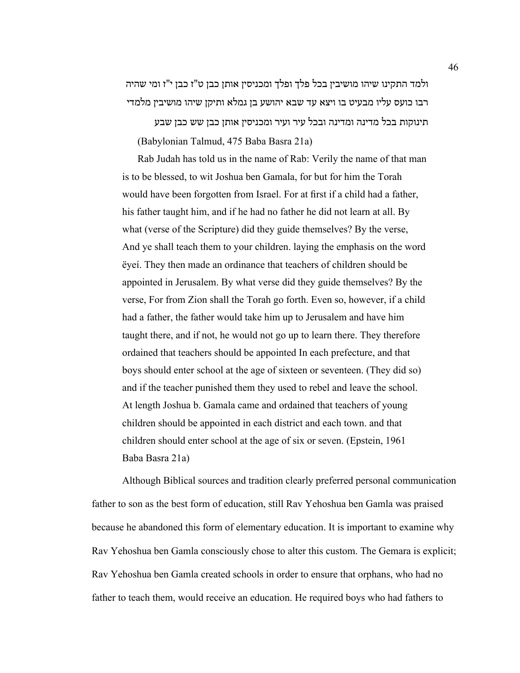ולמד התקינו שיהו מושיבין בכל פלך ופלך ומכניסין אותן כבן ט"ז כבן י"ז ומי שהיה רבו כועס עליו מבעיט בו ויצא עד שבא יהושע בן גמלא ותיקן שיהו מושיבין מלמדי

תינוקות בכל מדינה ומדינה ובכל עיר ועיר ומכניסין אותן כבן שש כבן שבע (Babylonian Talmud, 475 Baba Basra 21a)

Rab Judah has told us in the name of Rab: Verily the name of that man is to be blessed, to wit Joshua ben Gamala, for but for him the Torah would have been forgotten from Israel. For at first if a child had a father, his father taught him, and if he had no father he did not learn at all. By what (verse of the Scripture) did they guide themselves? By the verse, And ye shall teach them to your children. laying the emphasis on the word ëyeí. They then made an ordinance that teachers of children should be appointed in Jerusalem. By what verse did they guide themselves? By the verse, For from Zion shall the Torah go forth. Even so, however, if a child had a father, the father would take him up to Jerusalem and have him taught there, and if not, he would not go up to learn there. They therefore ordained that teachers should be appointed In each prefecture, and that boys should enter school at the age of sixteen or seventeen. (They did so) and if the teacher punished them they used to rebel and leave the school. At length Joshua b. Gamala came and ordained that teachers of young children should be appointed in each district and each town. and that children should enter school at the age of six or seven. (Epstein, 1961 Baba Basra 21a)

Although Biblical sources and tradition clearly preferred personal communication father to son as the best form of education, still Rav Yehoshua ben Gamla was praised because he abandoned this form of elementary education. It is important to examine why Rav Yehoshua ben Gamla consciously chose to alter this custom. The Gemara is explicit; Rav Yehoshua ben Gamla created schools in order to ensure that orphans, who had no father to teach them, would receive an education. He required boys who had fathers to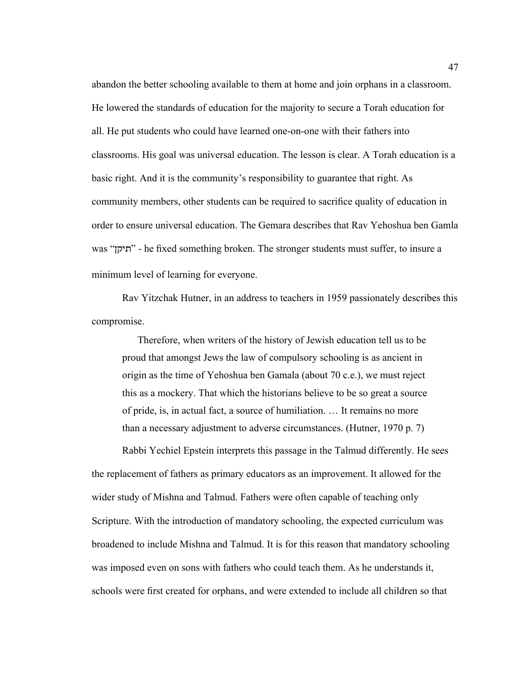abandon the better schooling available to them at home and join orphans in a classroom. He lowered the standards of education for the majority to secure a Torah education for all. He put students who could have learned one-on-one with their fathers into classrooms. His goal was universal education. The lesson is clear. A Torah education is a basic right. And it is the community's responsibility to guarantee that right. As community members, other students can be required to sacrifice quality of education in order to ensure universal education. The Gemara describes that Rav Yehoshua ben Gamla was "תיקן" - he fixed something broken. The stronger students must suffer, to insure a minimum level of learning for everyone.

Rav Yitzchak Hutner, in an address to teachers in 1959 passionately describes this compromise.

Therefore, when writers of the history of Jewish education tell us to be proud that amongst Jews the law of compulsory schooling is as ancient in origin as the time of Yehoshua ben Gamala (about 70 c.e.), we must reject this as a mockery. That which the historians believe to be so great a source of pride, is, in actual fact, a source of humiliation. … It remains no more than a necessary adjustment to adverse circumstances. (Hutner, 1970 p. 7)

Rabbi Yechiel Epstein interprets this passage in the Talmud differently. He sees the replacement of fathers as primary educators as an improvement. It allowed for the wider study of Mishna and Talmud. Fathers were often capable of teaching only Scripture. With the introduction of mandatory schooling, the expected curriculum was broadened to include Mishna and Talmud. It is for this reason that mandatory schooling was imposed even on sons with fathers who could teach them. As he understands it, schools were first created for orphans, and were extended to include all children so that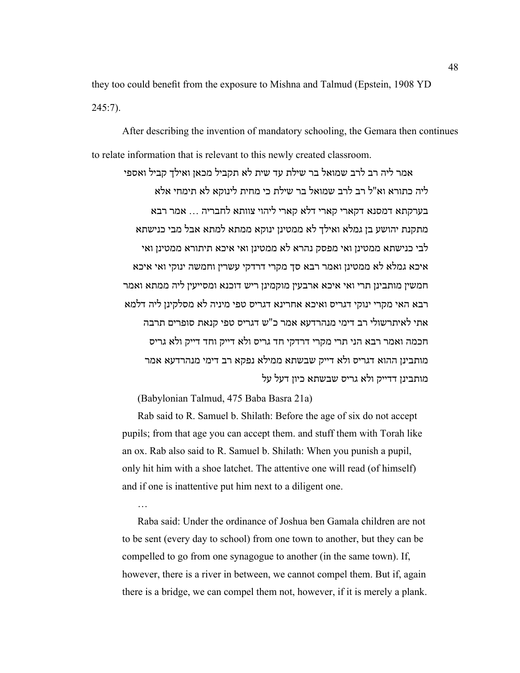they too could benefit from the exposure to Mishna and Talmud (Epstein, 1908 YD  $245:7$ ).

After describing the invention of mandatory schooling, the Gemara then continues to relate information that is relevant to this newly created classroom.

אמר ליה רב לרב שמואל בר שילת עד שית לא תקביל מכאן ואילך קביל ואספי ליה כתורא וא"ל רב לרב שמואל בר שילת כי מחית לינוקא לא תימחי אלא בערקתא דמסנא דקארי קארי דלא קארי ליהוי צוותא לחבריה ... אמר רבא מתקנת יהושע בן גמלא ואילך לא ממטינן ינוקא ממתא למתא אבל מבי כנישתא לבי כנישתא ממטינן ואי מפסק נהרא לא ממטינן ואי איכא תיתורא ממטינן ואי איכא גמלא לא ממטינן ואמר רבא סך מקרי דרדקי עשרין וחמשה ינוקי ואי איכא חמשין מותבינן תרי ואי איכא ארבעין מוקמינן ריש דוכנא ומסייעין ליה ממתא ואמר רבא האי מקרי ינוקי דגריס ואיכא אחרינא דגריס טפי מיניה לא מסלקינן ליה דלמא אתי לאיתרשולי רב דימי מנהרדעא אמר כ"ש דגריס טפי קנאת סופרים תרבה חכמה ואמר רבא הני תרי מקרי דרדקי חד גריס ולא דייק וחד דייק ולא גריס מותבינן ההוא דגריס ולא דייק שבשתא ממילא נפקא רב דימי מנהרדעא אמר מותבינן דדייק ולא גריס שבשתא כיון דעל על

(Babylonian Talmud, 475 Baba Basra 21a)

…

Rab said to R. Samuel b. Shilath: Before the age of six do not accept pupils; from that age you can accept them. and stuff them with Torah like an ox. Rab also said to R. Samuel b. Shilath: When you punish a pupil, only hit him with a shoe latchet. The attentive one will read (of himself) and if one is inattentive put him next to a diligent one.

Raba said: Under the ordinance of Joshua ben Gamala children are not to be sent (every day to school) from one town to another, but they can be compelled to go from one synagogue to another (in the same town). If, however, there is a river in between, we cannot compel them. But if, again there is a bridge, we can compel them not, however, if it is merely a plank.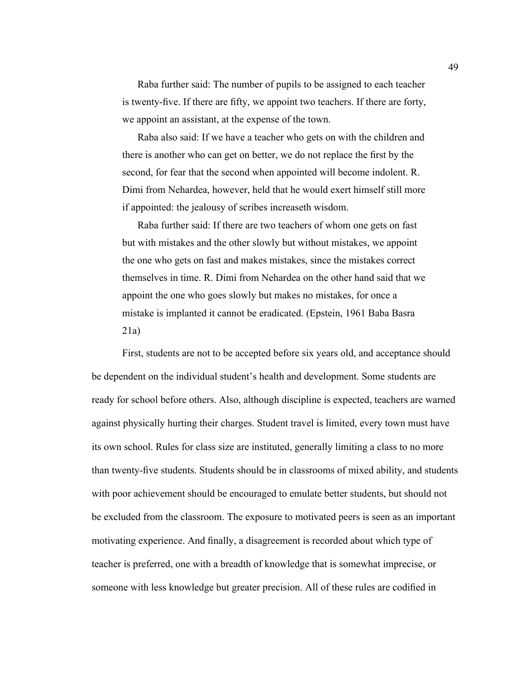Raba further said: The number of pupils to be assigned to each teacher is twenty-five. If there are fifty, we appoint two teachers. If there are forty, we appoint an assistant, at the expense of the town.

Raba also said: If we have a teacher who gets on with the children and there is another who can get on better, we do not replace the first by the second, for fear that the second when appointed will become indolent. R. Dimi from Nehardea, however, held that he would exert himself still more if appointed: the jealousy of scribes increaseth wisdom.

Raba further said: If there are two teachers of whom one gets on fast but with mistakes and the other slowly but without mistakes, we appoint the one who gets on fast and makes mistakes, since the mistakes correct themselves in time. R. Dimi from Nehardea on the other hand said that we appoint the one who goes slowly but makes no mistakes, for once a mistake is implanted it cannot be eradicated. (Epstein, 1961 Baba Basra 21a)

First, students are not to be accepted before six years old, and acceptance should be dependent on the individual student's health and development. Some students are ready for school before others. Also, although discipline is expected, teachers are warned against physically hurting their charges. Student travel is limited, every town must have its own school. Rules for class size are instituted, generally limiting a class to no more than twenty-five students. Students should be in classrooms of mixed ability, and students with poor achievement should be encouraged to emulate better students, but should not be excluded from the classroom. The exposure to motivated peers is seen as an important motivating experience. And finally, a disagreement is recorded about which type of teacher is preferred, one with a breadth of knowledge that is somewhat imprecise, or someone with less knowledge but greater precision. All of these rules are codified in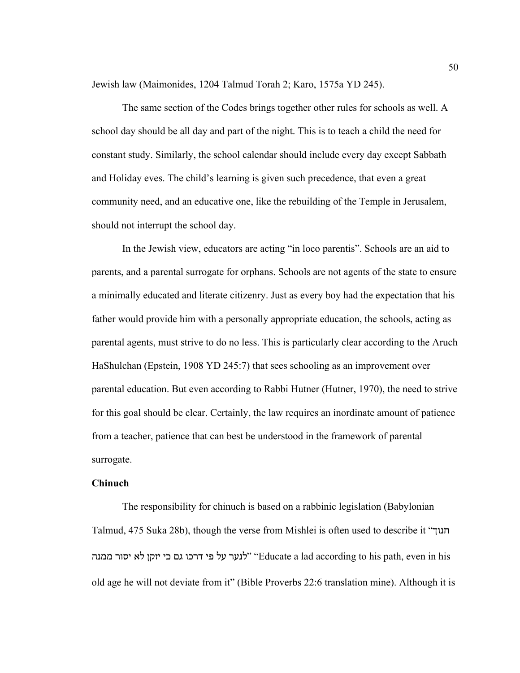Jewish law (Maimonides, 1204 Talmud Torah 2; Karo, 1575a YD 245).

The same section of the Codes brings together other rules for schools as well. A school day should be all day and part of the night. This is to teach a child the need for constant study. Similarly, the school calendar should include every day except Sabbath and Holiday eves. The child's learning is given such precedence, that even a great community need, and an educative one, like the rebuilding of the Temple in Jerusalem, should not interrupt the school day.

In the Jewish view, educators are acting "in loco parentis". Schools are an aid to parents, and a parental surrogate for orphans. Schools are not agents of the state to ensure a minimally educated and literate citizenry. Just as every boy had the expectation that his father would provide him with a personally appropriate education, the schools, acting as parental agents, must strive to do no less. This is particularly clear according to the Aruch HaShulchan (Epstein, 1908 YD 245:7) that sees schooling as an improvement over parental education. But even according to Rabbi Hutner (Hutner, 1970), the need to strive for this goal should be clear. Certainly, the law requires an inordinate amount of patience from a teacher, patience that can best be understood in the framework of parental surrogate.

# **Chinuch**

The responsibility for chinuch is based on a rabbinic legislation (Babylonian Talmud, 475 Suka 28b), though the verse from Mishlei is often used to describe it "חנוך לנער על פי דרכו גם כי יזקן לא יסור ממנה "Educate a lad according to his path, even in his old age he will not deviate from it" (Bible Proverbs 22:6 translation mine). Although it is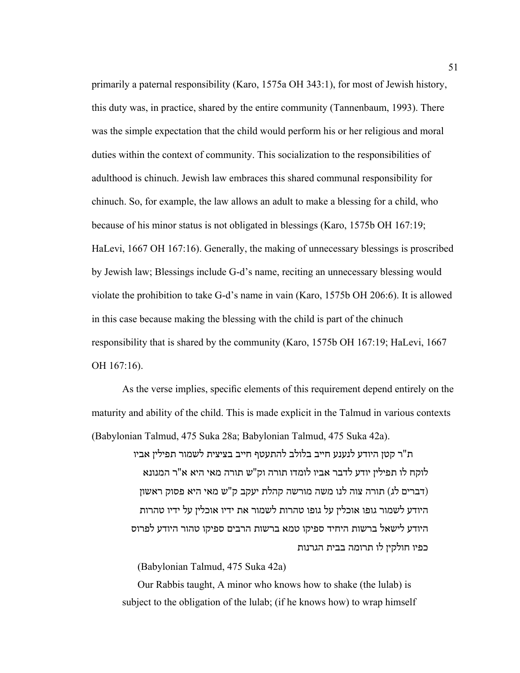primarily a paternal responsibility (Karo, 1575a OH 343:1), for most of Jewish history, this duty was, in practice, shared by the entire community (Tannenbaum, 1993). There was the simple expectation that the child would perform his or her religious and moral duties within the context of community. This socialization to the responsibilities of adulthood is chinuch. Jewish law embraces this shared communal responsibility for chinuch. So, for example, the law allows an adult to make a blessing for a child, who because of his minor status is not obligated in blessings (Karo, 1575b OH 167:19; HaLevi, 1667 OH 167:16). Generally, the making of unnecessary blessings is proscribed by Jewish law; Blessings include G-d's name, reciting an unnecessary blessing would violate the prohibition to take G-d's name in vain (Karo, 1575b OH 206:6). It is allowed in this case because making the blessing with the child is part of the chinuch responsibility that is shared by the community (Karo, 1575b OH 167:19; HaLevi, 1667 OH 167:16).

As the verse implies, specific elements of this requirement depend entirely on the maturity and ability of the child. This is made explicit in the Talmud in various contexts (Babylonian Talmud, 475 Suka 28a; Babylonian Talmud, 475 Suka 42a).

ת"ר קטן היודע לנענע חייב בלולב להתעטף חייב בציצית לשמור תפילין אביו לוקח לו תפילין יודע לדבר אביו לומדו תורה וק"ש תורה מאי היא א"ר המנונא (דברים לג) תורה צוה לנו משה מורשה קהלת יעקב ק"ש מאי היא פסוק ראשון היודע לשמור גופו אוכלין על גופו טהרות לשמור את ידיו אוכלין על ידיו טהרות היודע לישאל ברשות היחיד ספיקו טמא ברשות הרבים ספיקו טהור היודע לפרוס כפיו חולקין לו תרומה בבית הגרנות

(Babylonian Talmud, 475 Suka 42a)

Our Rabbis taught, A minor who knows how to shake (the lulab) is subject to the obligation of the lulab; (if he knows how) to wrap himself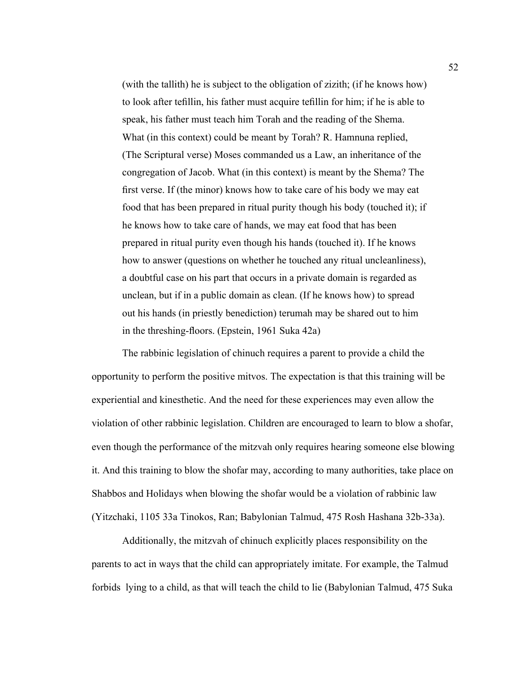(with the tallith) he is subject to the obligation of zizith; (if he knows how) to look after tefillin, his father must acquire tefillin for him; if he is able to speak, his father must teach him Torah and the reading of the Shema. What (in this context) could be meant by Torah? R. Hamnuna replied, (The Scriptural verse) Moses commanded us a Law, an inheritance of the congregation of Jacob. What (in this context) is meant by the Shema? The first verse. If (the minor) knows how to take care of his body we may eat food that has been prepared in ritual purity though his body (touched it); if he knows how to take care of hands, we may eat food that has been prepared in ritual purity even though his hands (touched it). If he knows how to answer (questions on whether he touched any ritual uncleanliness), a doubtful case on his part that occurs in a private domain is regarded as unclean, but if in a public domain as clean. (If he knows how) to spread out his hands (in priestly benediction) terumah may be shared out to him in the threshing-floors. (Epstein, 1961 Suka 42a)

The rabbinic legislation of chinuch requires a parent to provide a child the opportunity to perform the positive mitvos. The expectation is that this training will be experiential and kinesthetic. And the need for these experiences may even allow the violation of other rabbinic legislation. Children are encouraged to learn to blow a shofar, even though the performance of the mitzvah only requires hearing someone else blowing it. And this training to blow the shofar may, according to many authorities, take place on Shabbos and Holidays when blowing the shofar would be a violation of rabbinic law (Yitzchaki, 1105 33a Tinokos, Ran; Babylonian Talmud, 475 Rosh Hashana 32b-33a).

Additionally, the mitzvah of chinuch explicitly places responsibility on the parents to act in ways that the child can appropriately imitate. For example, the Talmud forbids lying to a child, as that will teach the child to lie (Babylonian Talmud, 475 Suka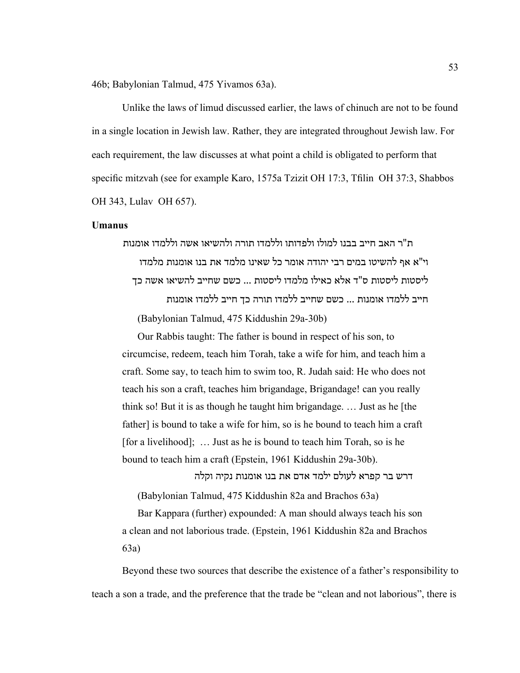46b; Babylonian Talmud, 475 Yivamos 63a).

Unlike the laws of limud discussed earlier, the laws of chinuch are not to be found in a single location in Jewish law. Rather, they are integrated throughout Jewish law. For each requirement, the law discusses at what point a child is obligated to perform that specific mitzvah (see for example Karo, 1575a Tzizit OH 17:3, Tfilin OH 37:3, Shabbos OH 343, Lulav OH 657).

# **Umanus**

ת"ר האב חייב בבנו למולו ולפדותו וללמדו תורה ולהשיאו אשה וללמדו אומנות וי"א אף להשיטו במים רבי יהודה אומר כל שאינו מלמד את בנו אומנות מלמדו ליסטות ליסטות ס"ד אלא כאילו מלמדו ליסטות ... כשם שחייב להשיאו אשה כך חייב ללמדו אומנות ... כשם שחייב ללמדו תורה כך חייב ללמדו אומנות (Babylonian Talmud, 475 Kiddushin 29a-30b)

Our Rabbis taught: The father is bound in respect of his son, to circumcise, redeem, teach him Torah, take a wife for him, and teach him a craft. Some say, to teach him to swim too, R. Judah said: He who does not teach his son a craft, teaches him brigandage, Brigandage! can you really think so! But it is as though he taught him brigandage. … Just as he [the father] is bound to take a wife for him, so is he bound to teach him a craft [for a livelihood]; … Just as he is bound to teach him Torah, so is he bound to teach him a craft (Epstein, 1961 Kiddushin 29a-30b).

דרש בר קפרא לעולם ילמד אדם את בנו אומנות נקיה וקלה

(Babylonian Talmud, 475 Kiddushin 82a and Brachos 63a)

Bar Kappara (further) expounded: A man should always teach his son a clean and not laborious trade. (Epstein, 1961 Kiddushin 82a and Brachos 63a)

Beyond these two sources that describe the existence of a father's responsibility to teach a son a trade, and the preference that the trade be "clean and not laborious", there is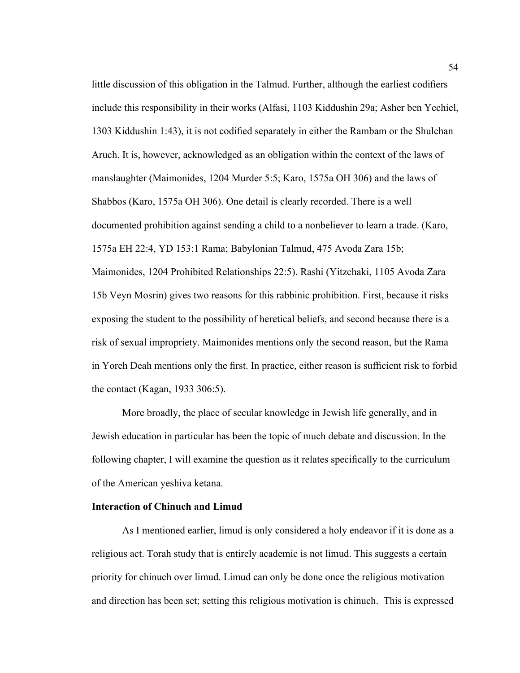little discussion of this obligation in the Talmud. Further, although the earliest codifiers include this responsibility in their works (Alfasi, 1103 Kiddushin 29a; Asher ben Yechiel, 1303 Kiddushin 1:43), it is not codified separately in either the Rambam or the Shulchan Aruch. It is, however, acknowledged as an obligation within the context of the laws of manslaughter (Maimonides, 1204 Murder 5:5; Karo, 1575a OH 306) and the laws of Shabbos (Karo, 1575a OH 306). One detail is clearly recorded. There is a well documented prohibition against sending a child to a nonbeliever to learn a trade. (Karo, 1575a EH 22:4, YD 153:1 Rama; Babylonian Talmud, 475 Avoda Zara 15b; Maimonides, 1204 Prohibited Relationships 22:5). Rashi (Yitzchaki, 1105 Avoda Zara 15b Veyn Mosrin) gives two reasons for this rabbinic prohibition. First, because it risks exposing the student to the possibility of heretical beliefs, and second because there is a risk of sexual impropriety. Maimonides mentions only the second reason, but the Rama in Yoreh Deah mentions only the first. In practice, either reason is sufficient risk to forbid the contact (Kagan, 1933 306:5).

More broadly, the place of secular knowledge in Jewish life generally, and in Jewish education in particular has been the topic of much debate and discussion. In the following chapter, I will examine the question as it relates specifically to the curriculum of the American yeshiva ketana.

# **Interaction of Chinuch and Limud**

As I mentioned earlier, limud is only considered a holy endeavor if it is done as a religious act. Torah study that is entirely academic is not limud. This suggests a certain priority for chinuch over limud. Limud can only be done once the religious motivation and direction has been set; setting this religious motivation is chinuch. This is expressed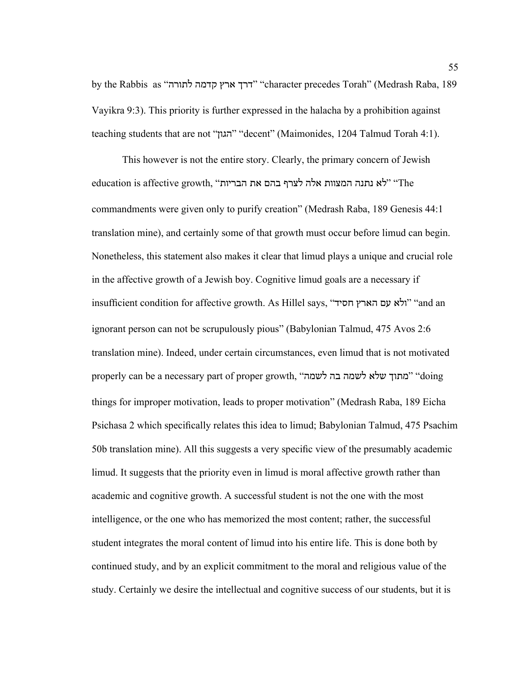by the Rabbis as "לתורה קדמה ארץ דרך" "character precedes Torah" (Medrash Raba, 189 Vayikra 9:3). This priority is further expressed in the halacha by a prohibition against teaching students that are not "הגון" "decent" (Maimonides, 1204 Talmud Torah 4:1).

This however is not the entire story. Clearly, the primary concern of Jewish education is affective growth, "לא נתנה המצוות אלה לצרף בהם את הבריות" ה commandments were given only to purify creation" (Medrash Raba, 189 Genesis 44:1 translation mine), and certainly some of that growth must occur before limud can begin. Nonetheless, this statement also makes it clear that limud plays a unique and crucial role in the affective growth of a Jewish boy. Cognitive limud goals are a necessary if insufficient condition for affective growth. As Hillel says, "חסיד הארץ עם ולא" "and an ignorant person can not be scrupulously pious" (Babylonian Talmud, 475 Avos 2:6 translation mine). Indeed, under certain circumstances, even limud that is not motivated properly can be a necessary part of proper growth, "לשמה בה לשמה שלא מתוך" "doing things for improper motivation, leads to proper motivation" (Medrash Raba, 189 Eicha Psichasa 2 which specifically relates this idea to limud; Babylonian Talmud, 475 Psachim 50b translation mine). All this suggests a very specific view of the presumably academic limud. It suggests that the priority even in limud is moral affective growth rather than academic and cognitive growth. A successful student is not the one with the most intelligence, or the one who has memorized the most content; rather, the successful student integrates the moral content of limud into his entire life. This is done both by continued study, and by an explicit commitment to the moral and religious value of the study. Certainly we desire the intellectual and cognitive success of our students, but it is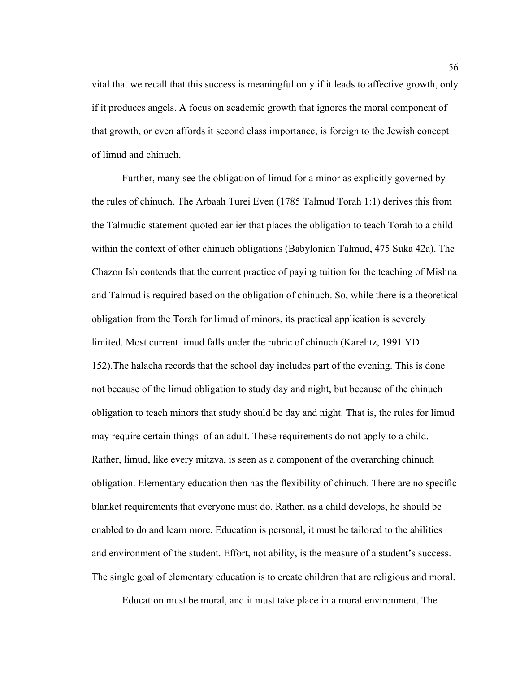vital that we recall that this success is meaningful only if it leads to affective growth, only if it produces angels. A focus on academic growth that ignores the moral component of that growth, or even affords it second class importance, is foreign to the Jewish concept of limud and chinuch.

Further, many see the obligation of limud for a minor as explicitly governed by the rules of chinuch. The Arbaah Turei Even (1785 Talmud Torah 1:1) derives this from the Talmudic statement quoted earlier that places the obligation to teach Torah to a child within the context of other chinuch obligations (Babylonian Talmud, 475 Suka 42a). The Chazon Ish contends that the current practice of paying tuition for the teaching of Mishna and Talmud is required based on the obligation of chinuch. So, while there is a theoretical obligation from the Torah for limud of minors, its practical application is severely limited. Most current limud falls under the rubric of chinuch (Karelitz, 1991 YD 152).The halacha records that the school day includes part of the evening. This is done not because of the limud obligation to study day and night, but because of the chinuch obligation to teach minors that study should be day and night. That is, the rules for limud may require certain things of an adult. These requirements do not apply to a child. Rather, limud, like every mitzva, is seen as a component of the overarching chinuch obligation. Elementary education then has the flexibility of chinuch. There are no specific blanket requirements that everyone must do. Rather, as a child develops, he should be enabled to do and learn more. Education is personal, it must be tailored to the abilities and environment of the student. Effort, not ability, is the measure of a student's success. The single goal of elementary education is to create children that are religious and moral.

Education must be moral, and it must take place in a moral environment. The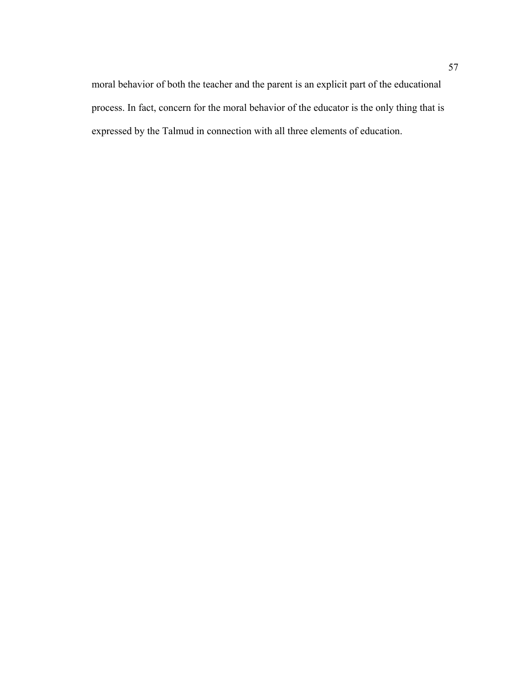moral behavior of both the teacher and the parent is an explicit part of the educational process. In fact, concern for the moral behavior of the educator is the only thing that is expressed by the Talmud in connection with all three elements of education.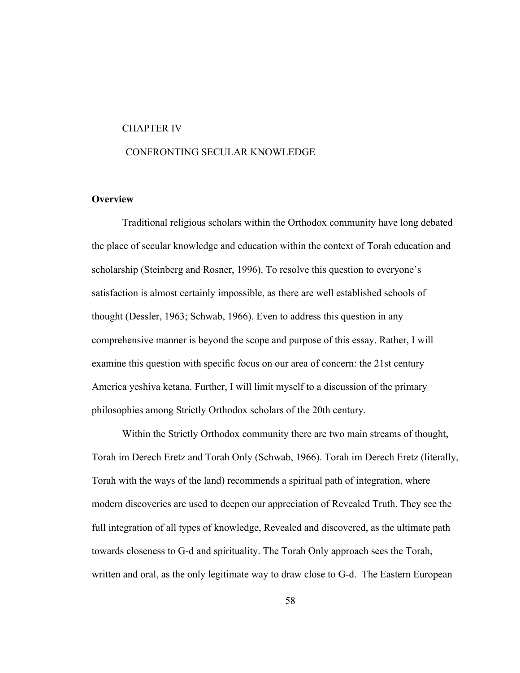### CHAPTER IV

# CONFRONTING SECULAR KNOWLEDGE

# **Overview**

Traditional religious scholars within the Orthodox community have long debated the place of secular knowledge and education within the context of Torah education and scholarship (Steinberg and Rosner, 1996). To resolve this question to everyone's satisfaction is almost certainly impossible, as there are well established schools of thought (Dessler, 1963; Schwab, 1966). Even to address this question in any comprehensive manner is beyond the scope and purpose of this essay. Rather, I will examine this question with specific focus on our area of concern: the 21st century America yeshiva ketana. Further, I will limit myself to a discussion of the primary philosophies among Strictly Orthodox scholars of the 20th century.

Within the Strictly Orthodox community there are two main streams of thought, Torah im Derech Eretz and Torah Only (Schwab, 1966). Torah im Derech Eretz (literally, Torah with the ways of the land) recommends a spiritual path of integration, where modern discoveries are used to deepen our appreciation of Revealed Truth. They see the full integration of all types of knowledge, Revealed and discovered, as the ultimate path towards closeness to G-d and spirituality. The Torah Only approach sees the Torah, written and oral, as the only legitimate way to draw close to G-d. The Eastern European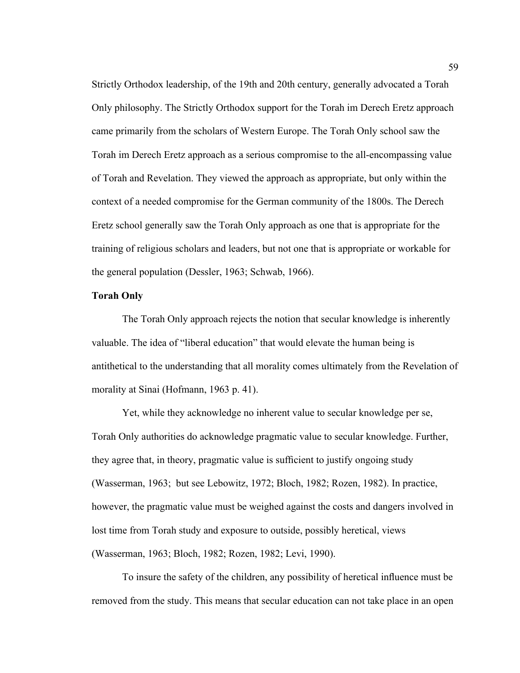Strictly Orthodox leadership, of the 19th and 20th century, generally advocated a Torah Only philosophy. The Strictly Orthodox support for the Torah im Derech Eretz approach came primarily from the scholars of Western Europe. The Torah Only school saw the Torah im Derech Eretz approach as a serious compromise to the all-encompassing value of Torah and Revelation. They viewed the approach as appropriate, but only within the context of a needed compromise for the German community of the 1800s. The Derech Eretz school generally saw the Torah Only approach as one that is appropriate for the training of religious scholars and leaders, but not one that is appropriate or workable for the general population (Dessler, 1963; Schwab, 1966).

# **Torah Only**

The Torah Only approach rejects the notion that secular knowledge is inherently valuable. The idea of "liberal education" that would elevate the human being is antithetical to the understanding that all morality comes ultimately from the Revelation of morality at Sinai (Hofmann, 1963 p. 41).

Yet, while they acknowledge no inherent value to secular knowledge per se, Torah Only authorities do acknowledge pragmatic value to secular knowledge. Further, they agree that, in theory, pragmatic value is sufficient to justify ongoing study (Wasserman, 1963; but see Lebowitz, 1972; Bloch, 1982; Rozen, 1982). In practice, however, the pragmatic value must be weighed against the costs and dangers involved in lost time from Torah study and exposure to outside, possibly heretical, views (Wasserman, 1963; Bloch, 1982; Rozen, 1982; Levi, 1990).

To insure the safety of the children, any possibility of heretical influence must be removed from the study. This means that secular education can not take place in an open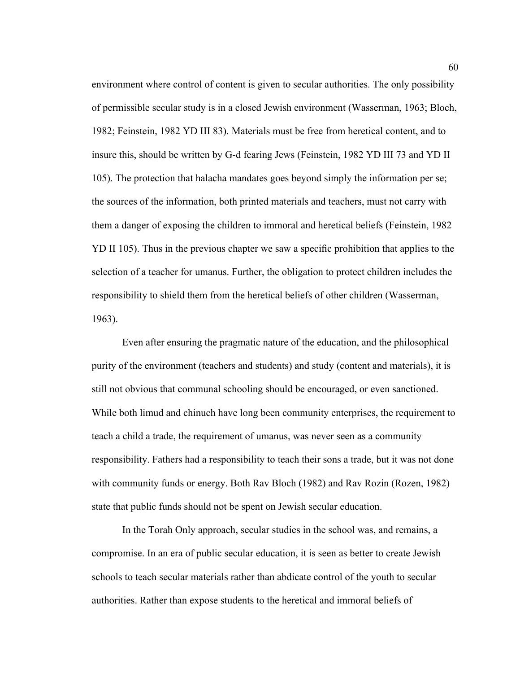environment where control of content is given to secular authorities. The only possibility of permissible secular study is in a closed Jewish environment (Wasserman, 1963; Bloch, 1982; Feinstein, 1982 YD III 83). Materials must be free from heretical content, and to insure this, should be written by G-d fearing Jews (Feinstein, 1982 YD III 73 and YD II 105). The protection that halacha mandates goes beyond simply the information per se; the sources of the information, both printed materials and teachers, must not carry with them a danger of exposing the children to immoral and heretical beliefs (Feinstein, 1982 YD II 105). Thus in the previous chapter we saw a specific prohibition that applies to the selection of a teacher for umanus. Further, the obligation to protect children includes the responsibility to shield them from the heretical beliefs of other children (Wasserman, 1963).

Even after ensuring the pragmatic nature of the education, and the philosophical purity of the environment (teachers and students) and study (content and materials), it is still not obvious that communal schooling should be encouraged, or even sanctioned. While both limud and chinuch have long been community enterprises, the requirement to teach a child a trade, the requirement of umanus, was never seen as a community responsibility. Fathers had a responsibility to teach their sons a trade, but it was not done with community funds or energy. Both Rav Bloch (1982) and Rav Rozin (Rozen, 1982) state that public funds should not be spent on Jewish secular education.

In the Torah Only approach, secular studies in the school was, and remains, a compromise. In an era of public secular education, it is seen as better to create Jewish schools to teach secular materials rather than abdicate control of the youth to secular authorities. Rather than expose students to the heretical and immoral beliefs of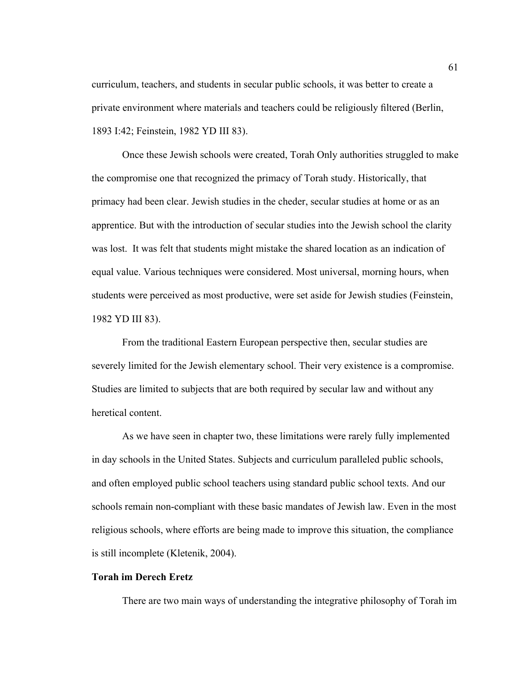curriculum, teachers, and students in secular public schools, it was better to create a private environment where materials and teachers could be religiously filtered (Berlin, 1893 I:42; Feinstein, 1982 YD III 83).

Once these Jewish schools were created, Torah Only authorities struggled to make the compromise one that recognized the primacy of Torah study. Historically, that primacy had been clear. Jewish studies in the cheder, secular studies at home or as an apprentice. But with the introduction of secular studies into the Jewish school the clarity was lost. It was felt that students might mistake the shared location as an indication of equal value. Various techniques were considered. Most universal, morning hours, when students were perceived as most productive, were set aside for Jewish studies (Feinstein, 1982 YD III 83).

From the traditional Eastern European perspective then, secular studies are severely limited for the Jewish elementary school. Their very existence is a compromise. Studies are limited to subjects that are both required by secular law and without any heretical content.

As we have seen in chapter two, these limitations were rarely fully implemented in day schools in the United States. Subjects and curriculum paralleled public schools, and often employed public school teachers using standard public school texts. And our schools remain non-compliant with these basic mandates of Jewish law. Even in the most religious schools, where efforts are being made to improve this situation, the compliance is still incomplete (Kletenik, 2004).

# **Torah im Derech Eretz**

There are two main ways of understanding the integrative philosophy of Torah im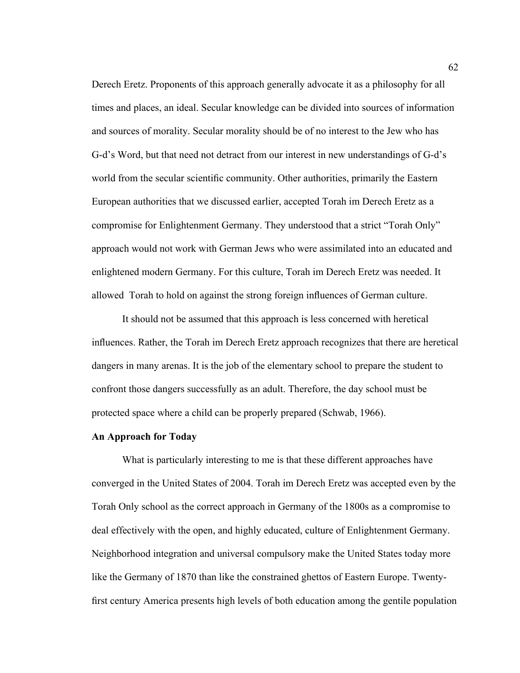Derech Eretz. Proponents of this approach generally advocate it as a philosophy for all times and places, an ideal. Secular knowledge can be divided into sources of information and sources of morality. Secular morality should be of no interest to the Jew who has G-d's Word, but that need not detract from our interest in new understandings of G-d's world from the secular scientific community. Other authorities, primarily the Eastern European authorities that we discussed earlier, accepted Torah im Derech Eretz as a compromise for Enlightenment Germany. They understood that a strict "Torah Only" approach would not work with German Jews who were assimilated into an educated and enlightened modern Germany. For this culture, Torah im Derech Eretz was needed. It allowed Torah to hold on against the strong foreign influences of German culture.

It should not be assumed that this approach is less concerned with heretical influences. Rather, the Torah im Derech Eretz approach recognizes that there are heretical dangers in many arenas. It is the job of the elementary school to prepare the student to confront those dangers successfully as an adult. Therefore, the day school must be protected space where a child can be properly prepared (Schwab, 1966).

#### **An Approach for Today**

What is particularly interesting to me is that these different approaches have converged in the United States of 2004. Torah im Derech Eretz was accepted even by the Torah Only school as the correct approach in Germany of the 1800s as a compromise to deal effectively with the open, and highly educated, culture of Enlightenment Germany. Neighborhood integration and universal compulsory make the United States today more like the Germany of 1870 than like the constrained ghettos of Eastern Europe. Twentyfirst century America presents high levels of both education among the gentile population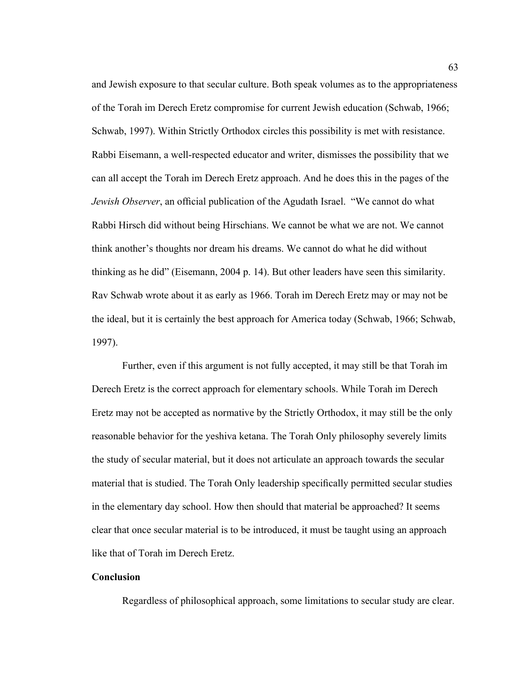and Jewish exposure to that secular culture. Both speak volumes as to the appropriateness of the Torah im Derech Eretz compromise for current Jewish education (Schwab, 1966; Schwab, 1997). Within Strictly Orthodox circles this possibility is met with resistance. Rabbi Eisemann, a well-respected educator and writer, dismisses the possibility that we can all accept the Torah im Derech Eretz approach. And he does this in the pages of the *Jewish Observer*, an official publication of the Agudath Israel. "We cannot do what Rabbi Hirsch did without being Hirschians. We cannot be what we are not. We cannot think another's thoughts nor dream his dreams. We cannot do what he did without thinking as he did" (Eisemann, 2004 p. 14). But other leaders have seen this similarity. Rav Schwab wrote about it as early as 1966. Torah im Derech Eretz may or may not be the ideal, but it is certainly the best approach for America today (Schwab, 1966; Schwab, 1997).

Further, even if this argument is not fully accepted, it may still be that Torah im Derech Eretz is the correct approach for elementary schools. While Torah im Derech Eretz may not be accepted as normative by the Strictly Orthodox, it may still be the only reasonable behavior for the yeshiva ketana. The Torah Only philosophy severely limits the study of secular material, but it does not articulate an approach towards the secular material that is studied. The Torah Only leadership specifically permitted secular studies in the elementary day school. How then should that material be approached? It seems clear that once secular material is to be introduced, it must be taught using an approach like that of Torah im Derech Eretz.

### **Conclusion**

Regardless of philosophical approach, some limitations to secular study are clear.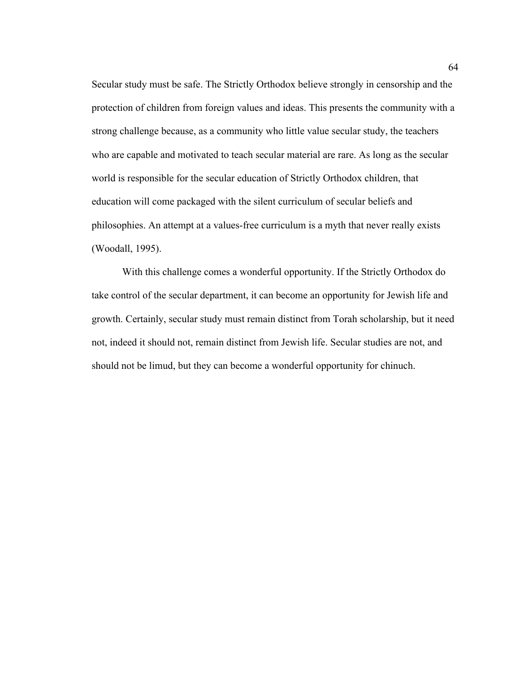Secular study must be safe. The Strictly Orthodox believe strongly in censorship and the protection of children from foreign values and ideas. This presents the community with a strong challenge because, as a community who little value secular study, the teachers who are capable and motivated to teach secular material are rare. As long as the secular world is responsible for the secular education of Strictly Orthodox children, that education will come packaged with the silent curriculum of secular beliefs and philosophies. An attempt at a values-free curriculum is a myth that never really exists (Woodall, 1995).

With this challenge comes a wonderful opportunity. If the Strictly Orthodox do take control of the secular department, it can become an opportunity for Jewish life and growth. Certainly, secular study must remain distinct from Torah scholarship, but it need not, indeed it should not, remain distinct from Jewish life. Secular studies are not, and should not be limud, but they can become a wonderful opportunity for chinuch.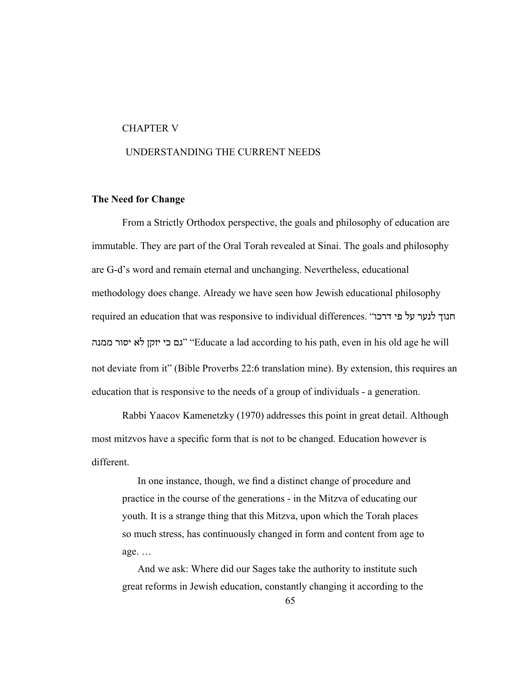#### CHAPTER V

# UNDERSTANDING THE CURRENT NEEDS

### **The Need for Change**

From a Strictly Orthodox perspective, the goals and philosophy of education are immutable. They are part of the Oral Torah revealed at Sinai. The goals and philosophy are G-d's word and remain eternal and unchanging. Nevertheless, educational methodology does change. Already we have seen how Jewish educational philosophy required an education that was responsive to individual differences. "הנוך לנער על פי דרכו ממנה יסור לא יזקן כי גם" "Educate a lad according to his path, even in his old age he will not deviate from it" (Bible Proverbs 22:6 translation mine). By extension, this requires an education that is responsive to the needs of a group of individuals - a generation.

Rabbi Yaacov Kamenetzky (1970) addresses this point in great detail. Although most mitzvos have a specific form that is not to be changed. Education however is different.

In one instance, though, we find a distinct change of procedure and practice in the course of the generations - in the Mitzva of educating our youth. It is a strange thing that this Mitzva, upon which the Torah places so much stress, has continuously changed in form and content from age to age. …

And we ask: Where did our Sages take the authority to institute such great reforms in Jewish education, constantly changing it according to the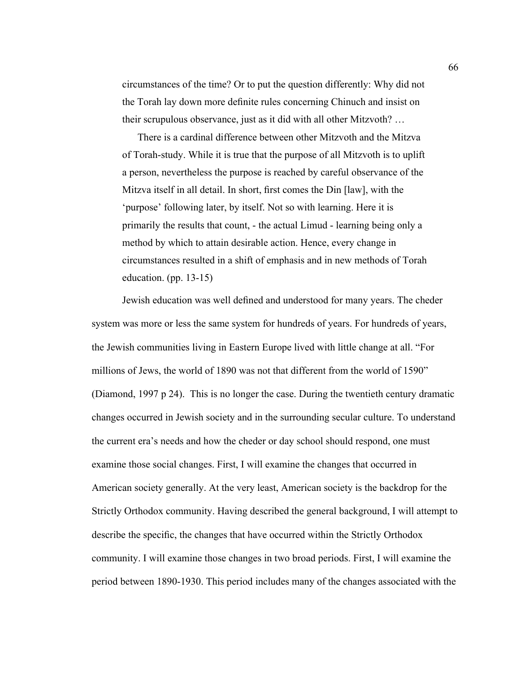circumstances of the time? Or to put the question differently: Why did not the Torah lay down more definite rules concerning Chinuch and insist on their scrupulous observance, just as it did with all other Mitzvoth? …

There is a cardinal difference between other Mitzvoth and the Mitzva of Torah-study. While it is true that the purpose of all Mitzvoth is to uplift a person, nevertheless the purpose is reached by careful observance of the Mitzva itself in all detail. In short, first comes the Din [law], with the 'purpose' following later, by itself. Not so with learning. Here it is primarily the results that count, - the actual Limud - learning being only a method by which to attain desirable action. Hence, every change in circumstances resulted in a shift of emphasis and in new methods of Torah education. (pp. 13-15)

Jewish education was well defined and understood for many years. The cheder system was more or less the same system for hundreds of years. For hundreds of years, the Jewish communities living in Eastern Europe lived with little change at all. "For millions of Jews, the world of 1890 was not that different from the world of 1590" (Diamond, 1997 p 24). This is no longer the case. During the twentieth century dramatic changes occurred in Jewish society and in the surrounding secular culture. To understand the current era's needs and how the cheder or day school should respond, one must examine those social changes. First, I will examine the changes that occurred in American society generally. At the very least, American society is the backdrop for the Strictly Orthodox community. Having described the general background, I will attempt to describe the specific, the changes that have occurred within the Strictly Orthodox community. I will examine those changes in two broad periods. First, I will examine the period between 1890-1930. This period includes many of the changes associated with the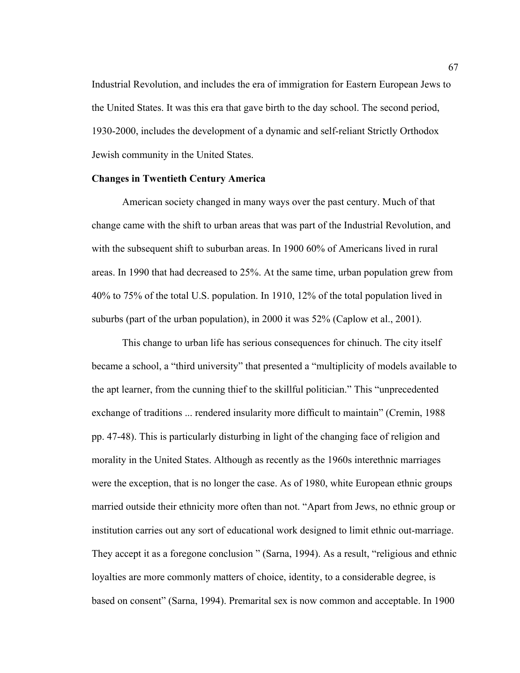Industrial Revolution, and includes the era of immigration for Eastern European Jews to the United States. It was this era that gave birth to the day school. The second period, 1930-2000, includes the development of a dynamic and self-reliant Strictly Orthodox Jewish community in the United States.

### **Changes in Twentieth Century America**

American society changed in many ways over the past century. Much of that change came with the shift to urban areas that was part of the Industrial Revolution, and with the subsequent shift to suburban areas. In 1900 60% of Americans lived in rural areas. In 1990 that had decreased to 25%. At the same time, urban population grew from 40% to 75% of the total U.S. population. In 1910, 12% of the total population lived in suburbs (part of the urban population), in 2000 it was 52% (Caplow et al., 2001).

This change to urban life has serious consequences for chinuch. The city itself became a school, a "third university" that presented a "multiplicity of models available to the apt learner, from the cunning thief to the skillful politician." This "unprecedented exchange of traditions ... rendered insularity more difficult to maintain" (Cremin, 1988 pp. 47-48). This is particularly disturbing in light of the changing face of religion and morality in the United States. Although as recently as the 1960s interethnic marriages were the exception, that is no longer the case. As of 1980, white European ethnic groups married outside their ethnicity more often than not. "Apart from Jews, no ethnic group or institution carries out any sort of educational work designed to limit ethnic out-marriage. They accept it as a foregone conclusion " (Sarna, 1994). As a result, "religious and ethnic loyalties are more commonly matters of choice, identity, to a considerable degree, is based on consent" (Sarna, 1994). Premarital sex is now common and acceptable. In 1900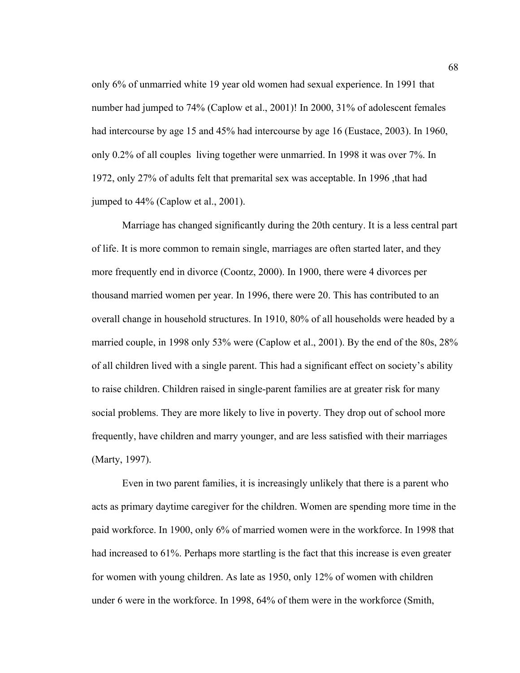only 6% of unmarried white 19 year old women had sexual experience. In 1991 that number had jumped to 74% (Caplow et al., 2001)! In 2000, 31% of adolescent females had intercourse by age 15 and 45% had intercourse by age 16 (Eustace, 2003). In 1960, only 0.2% of all couples living together were unmarried. In 1998 it was over 7%. In 1972, only 27% of adults felt that premarital sex was acceptable. In 1996 ,that had jumped to 44% (Caplow et al., 2001).

Marriage has changed significantly during the 20th century. It is a less central part of life. It is more common to remain single, marriages are often started later, and they more frequently end in divorce (Coontz, 2000). In 1900, there were 4 divorces per thousand married women per year. In 1996, there were 20. This has contributed to an overall change in household structures. In 1910, 80% of all households were headed by a married couple, in 1998 only 53% were (Caplow et al., 2001). By the end of the 80s, 28% of all children lived with a single parent. This had a significant effect on society's ability to raise children. Children raised in single-parent families are at greater risk for many social problems. They are more likely to live in poverty. They drop out of school more frequently, have children and marry younger, and are less satisfied with their marriages (Marty, 1997).

Even in two parent families, it is increasingly unlikely that there is a parent who acts as primary daytime caregiver for the children. Women are spending more time in the paid workforce. In 1900, only 6% of married women were in the workforce. In 1998 that had increased to 61%. Perhaps more startling is the fact that this increase is even greater for women with young children. As late as 1950, only 12% of women with children under 6 were in the workforce. In 1998, 64% of them were in the workforce (Smith,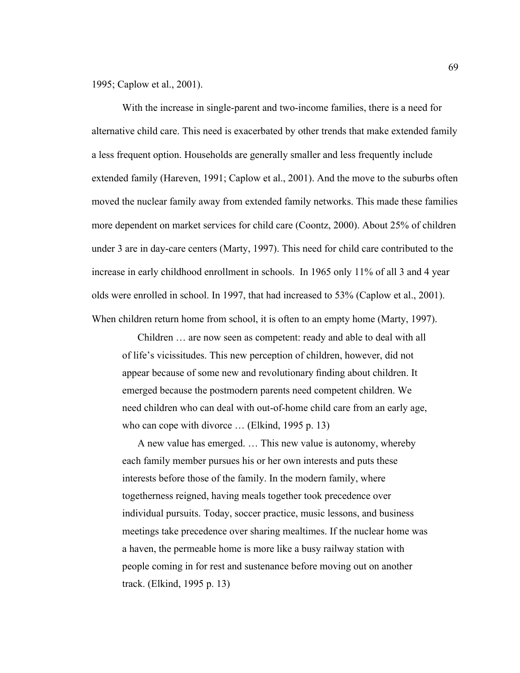1995; Caplow et al., 2001).

With the increase in single-parent and two-income families, there is a need for alternative child care. This need is exacerbated by other trends that make extended family a less frequent option. Households are generally smaller and less frequently include extended family (Hareven, 1991; Caplow et al., 2001). And the move to the suburbs often moved the nuclear family away from extended family networks. This made these families more dependent on market services for child care (Coontz, 2000). About 25% of children under 3 are in day-care centers (Marty, 1997). This need for child care contributed to the increase in early childhood enrollment in schools. In 1965 only 11% of all 3 and 4 year olds were enrolled in school. In 1997, that had increased to 53% (Caplow et al., 2001). When children return home from school, it is often to an empty home (Marty, 1997).

Children … are now seen as competent: ready and able to deal with all of life's vicissitudes. This new perception of children, however, did not appear because of some new and revolutionary finding about children. It emerged because the postmodern parents need competent children. We need children who can deal with out-of-home child care from an early age, who can cope with divorce … (Elkind, 1995 p. 13)

A new value has emerged. … This new value is autonomy, whereby each family member pursues his or her own interests and puts these interests before those of the family. In the modern family, where togetherness reigned, having meals together took precedence over individual pursuits. Today, soccer practice, music lessons, and business meetings take precedence over sharing mealtimes. If the nuclear home was a haven, the permeable home is more like a busy railway station with people coming in for rest and sustenance before moving out on another track. (Elkind, 1995 p. 13)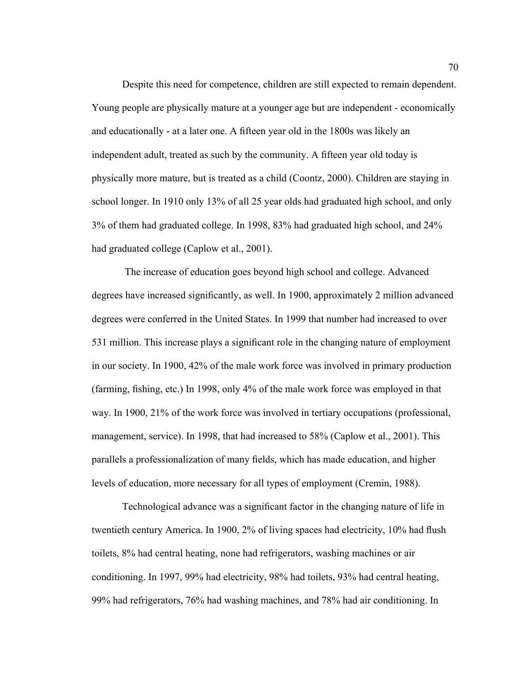Despite this need for competence, children are still expected to remain dependent. Young people are physically mature at a younger age but are independent - economically and educationally - at a later one. A fifteen year old in the 1800s was likely an independent adult, treated as such by the community. A fifteen year old today is physically more mature, but is treated as a child (Coontz, 2000). Children are staying in school longer. In 1910 only 13% of all 25 year olds had graduated high school, and only 3% of them had graduated college. In 1998, 83% had graduated high school, and 24% had graduated college (Caplow et al., 2001).

 The increase of education goes beyond high school and college. Advanced degrees have increased significantly, as well. In 1900, approximately 2 million advanced degrees were conferred in the United States. In 1999 that number had increased to over 531 million. This increase plays a significant role in the changing nature of employment in our society. In 1900, 42% of the male work force was involved in primary production (farming, fishing, etc.) In 1998, only 4% of the male work force was employed in that way. In 1900, 21% of the work force was involved in tertiary occupations (professional, management, service). In 1998, that had increased to 58% (Caplow et al., 2001). This parallels a professionalization of many fields, which has made education, and higher levels of education, more necessary for all types of employment (Cremin, 1988).

Technological advance was a significant factor in the changing nature of life in twentieth century America. In 1900, 2% of living spaces had electricity, 10% had flush toilets, 8% had central heating, none had refrigerators, washing machines or air conditioning. In 1997, 99% had electricity, 98% had toilets, 93% had central heating, 99% had refrigerators, 76% had washing machines, and 78% had air conditioning. In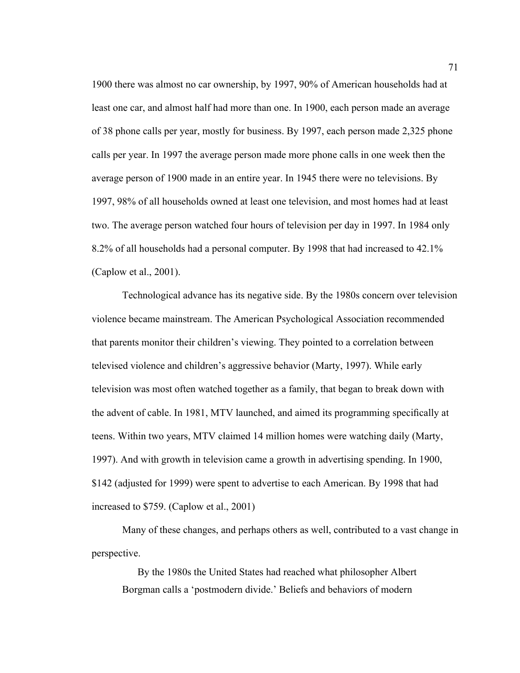1900 there was almost no car ownership, by 1997, 90% of American households had at least one car, and almost half had more than one. In 1900, each person made an average of 38 phone calls per year, mostly for business. By 1997, each person made 2,325 phone calls per year. In 1997 the average person made more phone calls in one week then the average person of 1900 made in an entire year. In 1945 there were no televisions. By 1997, 98% of all households owned at least one television, and most homes had at least two. The average person watched four hours of television per day in 1997. In 1984 only 8.2% of all households had a personal computer. By 1998 that had increased to 42.1% (Caplow et al., 2001).

Technological advance has its negative side. By the 1980s concern over television violence became mainstream. The American Psychological Association recommended that parents monitor their children's viewing. They pointed to a correlation between televised violence and children's aggressive behavior (Marty, 1997). While early television was most often watched together as a family, that began to break down with the advent of cable. In 1981, MTV launched, and aimed its programming specifically at teens. Within two years, MTV claimed 14 million homes were watching daily (Marty, 1997). And with growth in television came a growth in advertising spending. In 1900, \$142 (adjusted for 1999) were spent to advertise to each American. By 1998 that had increased to \$759. (Caplow et al., 2001)

Many of these changes, and perhaps others as well, contributed to a vast change in perspective.

By the 1980s the United States had reached what philosopher Albert Borgman calls a 'postmodern divide.' Beliefs and behaviors of modern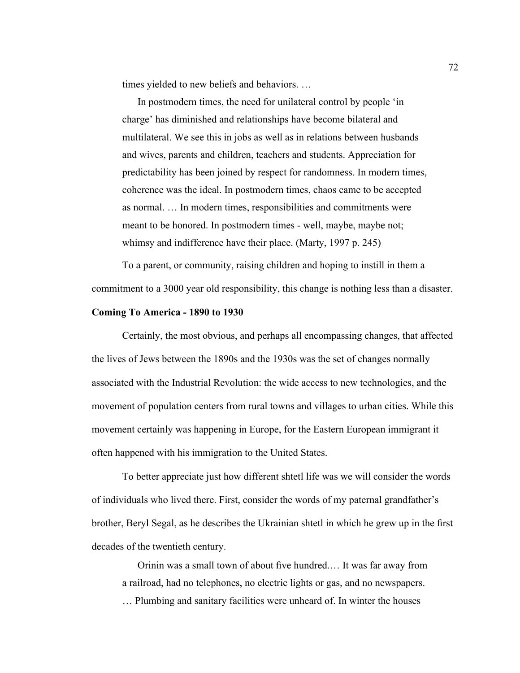times yielded to new beliefs and behaviors. …

In postmodern times, the need for unilateral control by people 'in charge' has diminished and relationships have become bilateral and multilateral. We see this in jobs as well as in relations between husbands and wives, parents and children, teachers and students. Appreciation for predictability has been joined by respect for randomness. In modern times, coherence was the ideal. In postmodern times, chaos came to be accepted as normal. … In modern times, responsibilities and commitments were meant to be honored. In postmodern times - well, maybe, maybe not; whimsy and indifference have their place. (Marty, 1997 p. 245)

To a parent, or community, raising children and hoping to instill in them a commitment to a 3000 year old responsibility, this change is nothing less than a disaster.

#### **Coming To America - 1890 to 1930**

Certainly, the most obvious, and perhaps all encompassing changes, that affected the lives of Jews between the 1890s and the 1930s was the set of changes normally associated with the Industrial Revolution: the wide access to new technologies, and the movement of population centers from rural towns and villages to urban cities. While this movement certainly was happening in Europe, for the Eastern European immigrant it often happened with his immigration to the United States.

To better appreciate just how different shtetl life was we will consider the words of individuals who lived there. First, consider the words of my paternal grandfather's brother, Beryl Segal, as he describes the Ukrainian shtetl in which he grew up in the first decades of the twentieth century.

Orinin was a small town of about five hundred.… It was far away from a railroad, had no telephones, no electric lights or gas, and no newspapers.

… Plumbing and sanitary facilities were unheard of. In winter the houses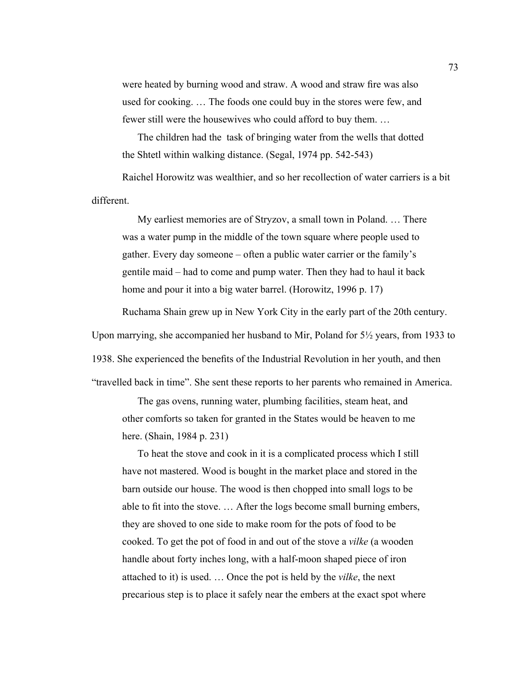were heated by burning wood and straw. A wood and straw fire was also used for cooking. … The foods one could buy in the stores were few, and fewer still were the housewives who could afford to buy them. …

The children had the task of bringing water from the wells that dotted the Shtetl within walking distance. (Segal, 1974 pp. 542-543)

Raichel Horowitz was wealthier, and so her recollection of water carriers is a bit different.

My earliest memories are of Stryzov, a small town in Poland. … There was a water pump in the middle of the town square where people used to gather. Every day someone – often a public water carrier or the family's gentile maid – had to come and pump water. Then they had to haul it back home and pour it into a big water barrel. (Horowitz, 1996 p. 17)

Ruchama Shain grew up in New York City in the early part of the 20th century.

Upon marrying, she accompanied her husband to Mir, Poland for 5½ years, from 1933 to

1938. She experienced the benefits of the Industrial Revolution in her youth, and then

"travelled back in time". She sent these reports to her parents who remained in America.

The gas ovens, running water, plumbing facilities, steam heat, and other comforts so taken for granted in the States would be heaven to me here. (Shain, 1984 p. 231)

To heat the stove and cook in it is a complicated process which I still have not mastered. Wood is bought in the market place and stored in the barn outside our house. The wood is then chopped into small logs to be able to fit into the stove. … After the logs become small burning embers, they are shoved to one side to make room for the pots of food to be cooked. To get the pot of food in and out of the stove a *vilke* (a wooden handle about forty inches long, with a half-moon shaped piece of iron attached to it) is used. … Once the pot is held by the *vilke*, the next precarious step is to place it safely near the embers at the exact spot where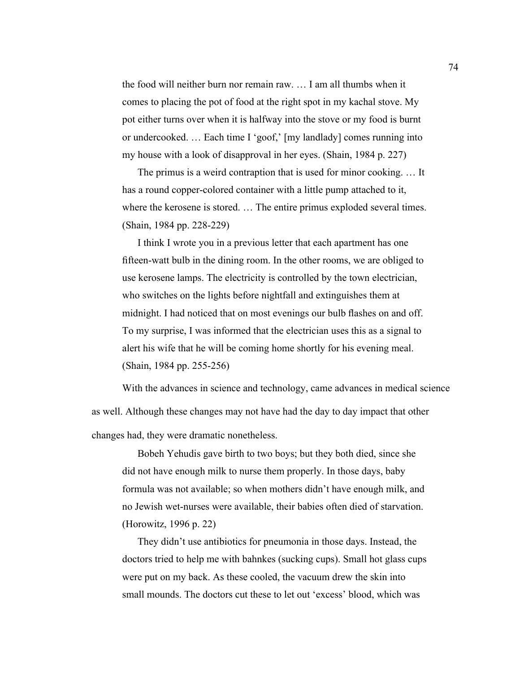the food will neither burn nor remain raw. … I am all thumbs when it comes to placing the pot of food at the right spot in my kachal stove. My pot either turns over when it is halfway into the stove or my food is burnt or undercooked. … Each time I 'goof,' [my landlady] comes running into my house with a look of disapproval in her eyes. (Shain, 1984 p. 227)

The primus is a weird contraption that is used for minor cooking. … It has a round copper-colored container with a little pump attached to it, where the kerosene is stored. … The entire primus exploded several times. (Shain, 1984 pp. 228-229)

I think I wrote you in a previous letter that each apartment has one fifteen-watt bulb in the dining room. In the other rooms, we are obliged to use kerosene lamps. The electricity is controlled by the town electrician, who switches on the lights before nightfall and extinguishes them at midnight. I had noticed that on most evenings our bulb flashes on and off. To my surprise, I was informed that the electrician uses this as a signal to alert his wife that he will be coming home shortly for his evening meal. (Shain, 1984 pp. 255-256)

With the advances in science and technology, came advances in medical science

as well. Although these changes may not have had the day to day impact that other changes had, they were dramatic nonetheless.

Bobeh Yehudis gave birth to two boys; but they both died, since she did not have enough milk to nurse them properly. In those days, baby formula was not available; so when mothers didn't have enough milk, and no Jewish wet-nurses were available, their babies often died of starvation. (Horowitz, 1996 p. 22)

They didn't use antibiotics for pneumonia in those days. Instead, the doctors tried to help me with bahnkes (sucking cups). Small hot glass cups were put on my back. As these cooled, the vacuum drew the skin into small mounds. The doctors cut these to let out 'excess' blood, which was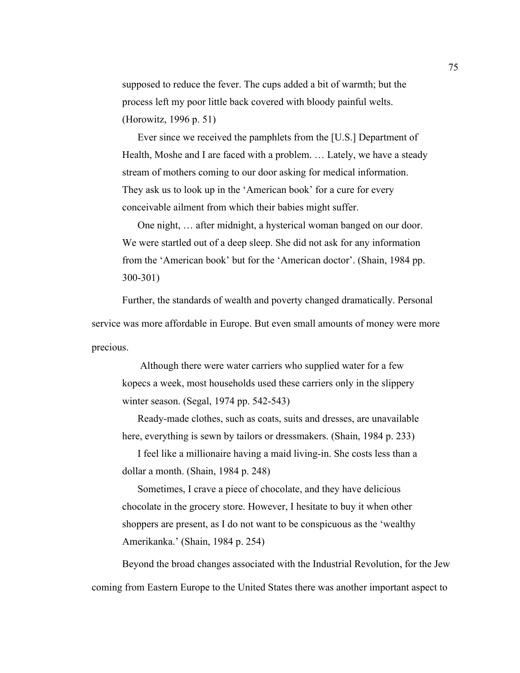supposed to reduce the fever. The cups added a bit of warmth; but the process left my poor little back covered with bloody painful welts. (Horowitz, 1996 p. 51)

Ever since we received the pamphlets from the [U.S.] Department of Health, Moshe and I are faced with a problem. … Lately, we have a steady stream of mothers coming to our door asking for medical information. They ask us to look up in the 'American book' for a cure for every conceivable ailment from which their babies might suffer.

One night, … after midnight, a hysterical woman banged on our door. We were startled out of a deep sleep. She did not ask for any information from the 'American book' but for the 'American doctor'. (Shain, 1984 pp. 300-301)

Further, the standards of wealth and poverty changed dramatically. Personal service was more affordable in Europe. But even small amounts of money were more precious.

 Although there were water carriers who supplied water for a few kopecs a week, most households used these carriers only in the slippery winter season. (Segal, 1974 pp. 542-543)

Ready-made clothes, such as coats, suits and dresses, are unavailable here, everything is sewn by tailors or dressmakers. (Shain, 1984 p. 233)

I feel like a millionaire having a maid living-in. She costs less than a dollar a month. (Shain, 1984 p. 248)

Sometimes, I crave a piece of chocolate, and they have delicious chocolate in the grocery store. However, I hesitate to buy it when other shoppers are present, as I do not want to be conspicuous as the 'wealthy Amerikanka.' (Shain, 1984 p. 254)

Beyond the broad changes associated with the Industrial Revolution, for the Jew coming from Eastern Europe to the United States there was another important aspect to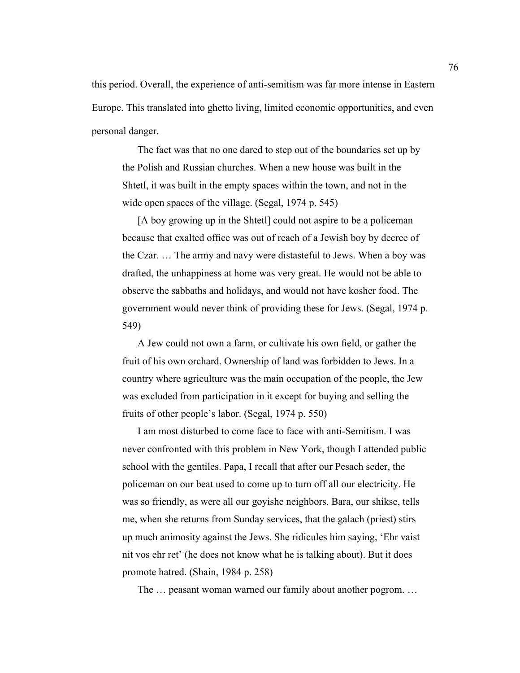this period. Overall, the experience of anti-semitism was far more intense in Eastern Europe. This translated into ghetto living, limited economic opportunities, and even personal danger.

The fact was that no one dared to step out of the boundaries set up by the Polish and Russian churches. When a new house was built in the Shtetl, it was built in the empty spaces within the town, and not in the wide open spaces of the village. (Segal, 1974 p. 545)

[A boy growing up in the Shtetl] could not aspire to be a policeman because that exalted office was out of reach of a Jewish boy by decree of the Czar. … The army and navy were distasteful to Jews. When a boy was drafted, the unhappiness at home was very great. He would not be able to observe the sabbaths and holidays, and would not have kosher food. The government would never think of providing these for Jews. (Segal, 1974 p. 549)

A Jew could not own a farm, or cultivate his own field, or gather the fruit of his own orchard. Ownership of land was forbidden to Jews. In a country where agriculture was the main occupation of the people, the Jew was excluded from participation in it except for buying and selling the fruits of other people's labor. (Segal, 1974 p. 550)

I am most disturbed to come face to face with anti-Semitism. I was never confronted with this problem in New York, though I attended public school with the gentiles. Papa, I recall that after our Pesach seder, the policeman on our beat used to come up to turn off all our electricity. He was so friendly, as were all our goyishe neighbors. Bara, our shikse, tells me, when she returns from Sunday services, that the galach (priest) stirs up much animosity against the Jews. She ridicules him saying, 'Ehr vaist nit vos ehr ret' (he does not know what he is talking about). But it does promote hatred. (Shain, 1984 p. 258)

The … peasant woman warned our family about another pogrom. …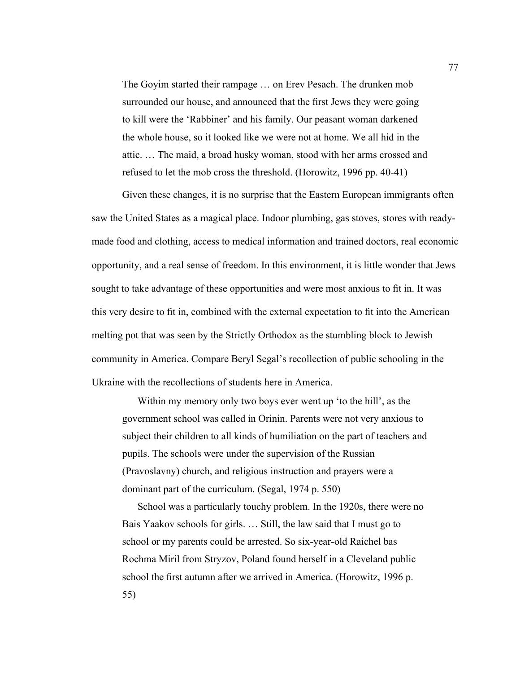The Goyim started their rampage … on Erev Pesach. The drunken mob surrounded our house, and announced that the first Jews they were going to kill were the 'Rabbiner' and his family. Our peasant woman darkened the whole house, so it looked like we were not at home. We all hid in the attic. … The maid, a broad husky woman, stood with her arms crossed and refused to let the mob cross the threshold. (Horowitz, 1996 pp. 40-41)

Given these changes, it is no surprise that the Eastern European immigrants often saw the United States as a magical place. Indoor plumbing, gas stoves, stores with readymade food and clothing, access to medical information and trained doctors, real economic opportunity, and a real sense of freedom. In this environment, it is little wonder that Jews sought to take advantage of these opportunities and were most anxious to fit in. It was this very desire to fit in, combined with the external expectation to fit into the American melting pot that was seen by the Strictly Orthodox as the stumbling block to Jewish community in America. Compare Beryl Segal's recollection of public schooling in the Ukraine with the recollections of students here in America.

Within my memory only two boys ever went up 'to the hill', as the government school was called in Orinin. Parents were not very anxious to subject their children to all kinds of humiliation on the part of teachers and pupils. The schools were under the supervision of the Russian (Pravoslavny) church, and religious instruction and prayers were a dominant part of the curriculum. (Segal, 1974 p. 550)

School was a particularly touchy problem. In the 1920s, there were no Bais Yaakov schools for girls. … Still, the law said that I must go to school or my parents could be arrested. So six-year-old Raichel bas Rochma Miril from Stryzov, Poland found herself in a Cleveland public school the first autumn after we arrived in America. (Horowitz, 1996 p. 55)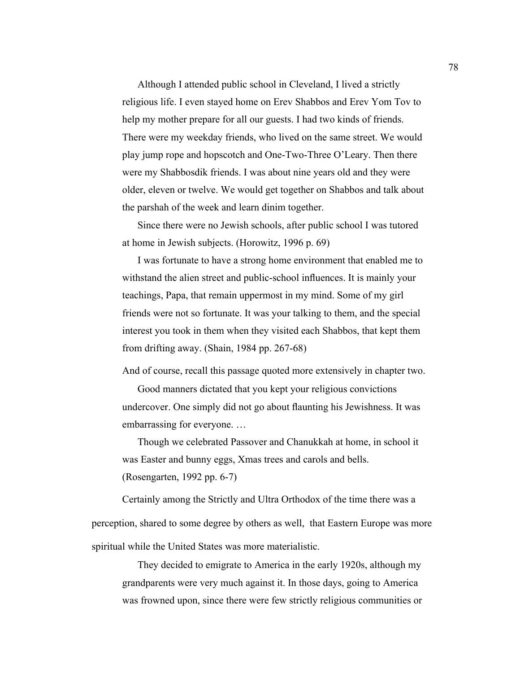Although I attended public school in Cleveland, I lived a strictly religious life. I even stayed home on Erev Shabbos and Erev Yom Tov to help my mother prepare for all our guests. I had two kinds of friends. There were my weekday friends, who lived on the same street. We would play jump rope and hopscotch and One-Two-Three O'Leary. Then there were my Shabbosdik friends. I was about nine years old and they were older, eleven or twelve. We would get together on Shabbos and talk about the parshah of the week and learn dinim together.

Since there were no Jewish schools, after public school I was tutored at home in Jewish subjects. (Horowitz, 1996 p. 69)

I was fortunate to have a strong home environment that enabled me to withstand the alien street and public-school influences. It is mainly your teachings, Papa, that remain uppermost in my mind. Some of my girl friends were not so fortunate. It was your talking to them, and the special interest you took in them when they visited each Shabbos, that kept them from drifting away. (Shain, 1984 pp. 267-68)

And of course, recall this passage quoted more extensively in chapter two.

Good manners dictated that you kept your religious convictions undercover. One simply did not go about flaunting his Jewishness. It was embarrassing for everyone. …

Though we celebrated Passover and Chanukkah at home, in school it was Easter and bunny eggs, Xmas trees and carols and bells. (Rosengarten, 1992 pp. 6-7)

Certainly among the Strictly and Ultra Orthodox of the time there was a perception, shared to some degree by others as well, that Eastern Europe was more spiritual while the United States was more materialistic.

They decided to emigrate to America in the early 1920s, although my grandparents were very much against it. In those days, going to America was frowned upon, since there were few strictly religious communities or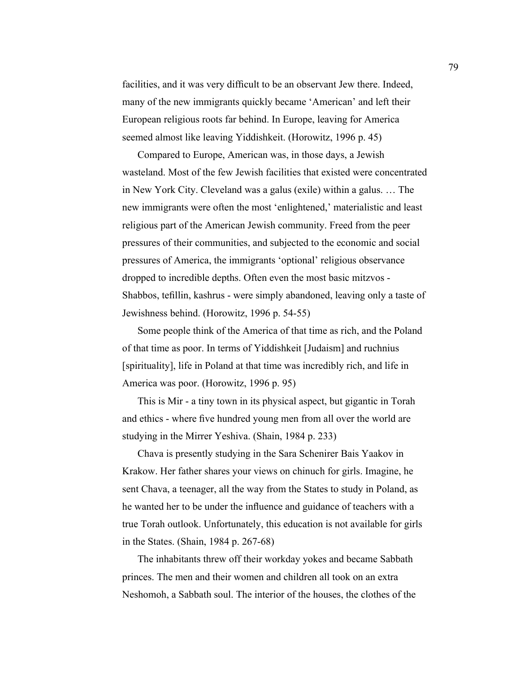facilities, and it was very difficult to be an observant Jew there. Indeed, many of the new immigrants quickly became 'American' and left their European religious roots far behind. In Europe, leaving for America seemed almost like leaving Yiddishkeit. (Horowitz, 1996 p. 45)

Compared to Europe, American was, in those days, a Jewish wasteland. Most of the few Jewish facilities that existed were concentrated in New York City. Cleveland was a galus (exile) within a galus. … The new immigrants were often the most 'enlightened,' materialistic and least religious part of the American Jewish community. Freed from the peer pressures of their communities, and subjected to the economic and social pressures of America, the immigrants 'optional' religious observance dropped to incredible depths. Often even the most basic mitzvos - Shabbos, tefillin, kashrus - were simply abandoned, leaving only a taste of Jewishness behind. (Horowitz, 1996 p. 54-55)

Some people think of the America of that time as rich, and the Poland of that time as poor. In terms of Yiddishkeit [Judaism] and ruchnius [spirituality], life in Poland at that time was incredibly rich, and life in America was poor. (Horowitz, 1996 p. 95)

This is Mir - a tiny town in its physical aspect, but gigantic in Torah and ethics - where five hundred young men from all over the world are studying in the Mirrer Yeshiva. (Shain, 1984 p. 233)

Chava is presently studying in the Sara Schenirer Bais Yaakov in Krakow. Her father shares your views on chinuch for girls. Imagine, he sent Chava, a teenager, all the way from the States to study in Poland, as he wanted her to be under the influence and guidance of teachers with a true Torah outlook. Unfortunately, this education is not available for girls in the States. (Shain, 1984 p. 267-68)

The inhabitants threw off their workday yokes and became Sabbath princes. The men and their women and children all took on an extra Neshomoh, a Sabbath soul. The interior of the houses, the clothes of the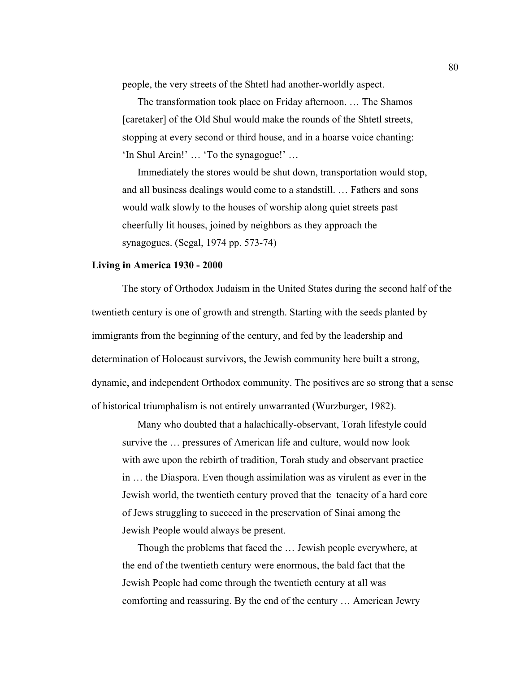people, the very streets of the Shtetl had another-worldly aspect.

The transformation took place on Friday afternoon. … The Shamos [caretaker] of the Old Shul would make the rounds of the Shtetl streets, stopping at every second or third house, and in a hoarse voice chanting: 'In Shul Arein!' … 'To the synagogue!' …

Immediately the stores would be shut down, transportation would stop, and all business dealings would come to a standstill. … Fathers and sons would walk slowly to the houses of worship along quiet streets past cheerfully lit houses, joined by neighbors as they approach the synagogues. (Segal, 1974 pp. 573-74)

#### **Living in America 1930 - 2000**

The story of Orthodox Judaism in the United States during the second half of the twentieth century is one of growth and strength. Starting with the seeds planted by immigrants from the beginning of the century, and fed by the leadership and determination of Holocaust survivors, the Jewish community here built a strong, dynamic, and independent Orthodox community. The positives are so strong that a sense of historical triumphalism is not entirely unwarranted (Wurzburger, 1982).

Many who doubted that a halachically-observant, Torah lifestyle could survive the … pressures of American life and culture, would now look with awe upon the rebirth of tradition, Torah study and observant practice in … the Diaspora. Even though assimilation was as virulent as ever in the Jewish world, the twentieth century proved that the tenacity of a hard core of Jews struggling to succeed in the preservation of Sinai among the Jewish People would always be present.

Though the problems that faced the … Jewish people everywhere, at the end of the twentieth century were enormous, the bald fact that the Jewish People had come through the twentieth century at all was comforting and reassuring. By the end of the century … American Jewry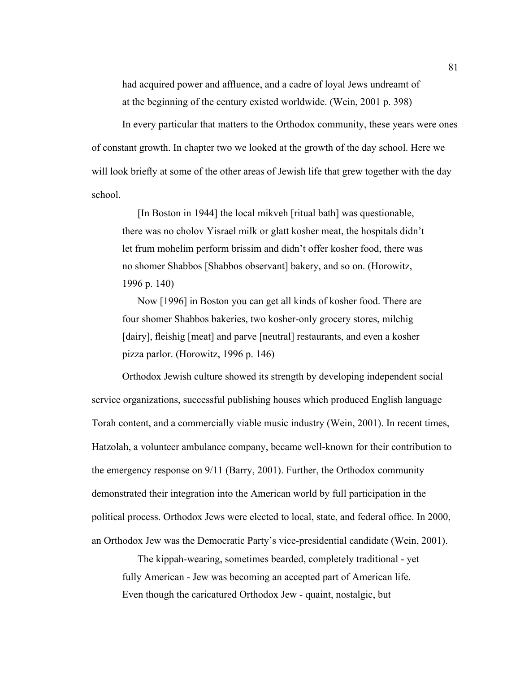had acquired power and affluence, and a cadre of loyal Jews undreamt of at the beginning of the century existed worldwide. (Wein, 2001 p. 398)

In every particular that matters to the Orthodox community, these years were ones of constant growth. In chapter two we looked at the growth of the day school. Here we will look briefly at some of the other areas of Jewish life that grew together with the day school.

[In Boston in 1944] the local mikveh [ritual bath] was questionable, there was no cholov Yisrael milk or glatt kosher meat, the hospitals didn't let frum mohelim perform brissim and didn't offer kosher food, there was no shomer Shabbos [Shabbos observant] bakery, and so on. (Horowitz, 1996 p. 140)

Now [1996] in Boston you can get all kinds of kosher food. There are four shomer Shabbos bakeries, two kosher-only grocery stores, milchig [dairy], fleishig [meat] and parve [neutral] restaurants, and even a kosher pizza parlor. (Horowitz, 1996 p. 146)

Orthodox Jewish culture showed its strength by developing independent social service organizations, successful publishing houses which produced English language Torah content, and a commercially viable music industry (Wein, 2001). In recent times, Hatzolah, a volunteer ambulance company, became well-known for their contribution to the emergency response on 9/11 (Barry, 2001). Further, the Orthodox community demonstrated their integration into the American world by full participation in the political process. Orthodox Jews were elected to local, state, and federal office. In 2000, an Orthodox Jew was the Democratic Party's vice-presidential candidate (Wein, 2001).

The kippah-wearing, sometimes bearded, completely traditional - yet fully American - Jew was becoming an accepted part of American life. Even though the caricatured Orthodox Jew - quaint, nostalgic, but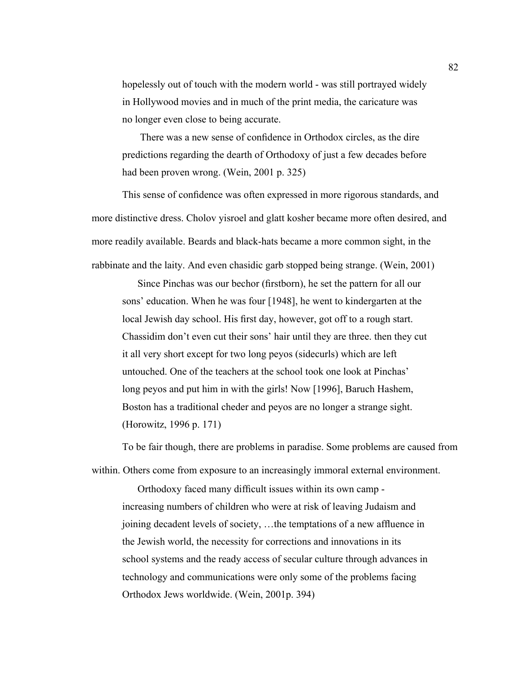hopelessly out of touch with the modern world - was still portrayed widely in Hollywood movies and in much of the print media, the caricature was no longer even close to being accurate.

 There was a new sense of confidence in Orthodox circles, as the dire predictions regarding the dearth of Orthodoxy of just a few decades before had been proven wrong. (Wein, 2001 p. 325)

This sense of confidence was often expressed in more rigorous standards, and more distinctive dress. Cholov yisroel and glatt kosher became more often desired, and more readily available. Beards and black-hats became a more common sight, in the rabbinate and the laity. And even chasidic garb stopped being strange. (Wein, 2001)

Since Pinchas was our bechor (firstborn), he set the pattern for all our sons' education. When he was four [1948], he went to kindergarten at the local Jewish day school. His first day, however, got off to a rough start. Chassidim don't even cut their sons' hair until they are three. then they cut it all very short except for two long peyos (sidecurls) which are left untouched. One of the teachers at the school took one look at Pinchas' long peyos and put him in with the girls! Now [1996], Baruch Hashem, Boston has a traditional cheder and peyos are no longer a strange sight. (Horowitz, 1996 p. 171)

To be fair though, there are problems in paradise. Some problems are caused from within. Others come from exposure to an increasingly immoral external environment.

Orthodoxy faced many difficult issues within its own camp increasing numbers of children who were at risk of leaving Judaism and joining decadent levels of society, …the temptations of a new affluence in the Jewish world, the necessity for corrections and innovations in its school systems and the ready access of secular culture through advances in technology and communications were only some of the problems facing Orthodox Jews worldwide. (Wein, 2001p. 394)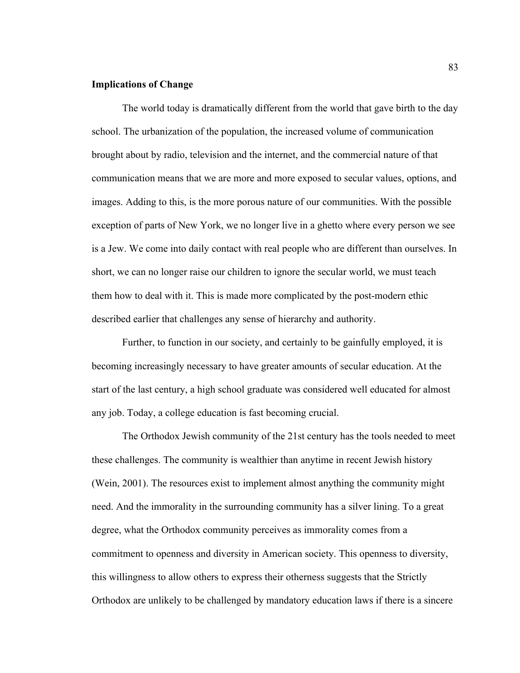### **Implications of Change**

The world today is dramatically different from the world that gave birth to the day school. The urbanization of the population, the increased volume of communication brought about by radio, television and the internet, and the commercial nature of that communication means that we are more and more exposed to secular values, options, and images. Adding to this, is the more porous nature of our communities. With the possible exception of parts of New York, we no longer live in a ghetto where every person we see is a Jew. We come into daily contact with real people who are different than ourselves. In short, we can no longer raise our children to ignore the secular world, we must teach them how to deal with it. This is made more complicated by the post-modern ethic described earlier that challenges any sense of hierarchy and authority.

Further, to function in our society, and certainly to be gainfully employed, it is becoming increasingly necessary to have greater amounts of secular education. At the start of the last century, a high school graduate was considered well educated for almost any job. Today, a college education is fast becoming crucial.

The Orthodox Jewish community of the 21st century has the tools needed to meet these challenges. The community is wealthier than anytime in recent Jewish history (Wein, 2001). The resources exist to implement almost anything the community might need. And the immorality in the surrounding community has a silver lining. To a great degree, what the Orthodox community perceives as immorality comes from a commitment to openness and diversity in American society. This openness to diversity, this willingness to allow others to express their otherness suggests that the Strictly Orthodox are unlikely to be challenged by mandatory education laws if there is a sincere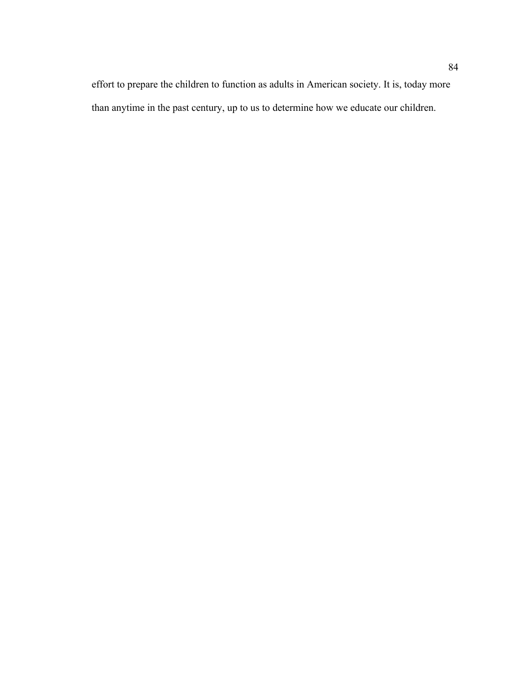effort to prepare the children to function as adults in American society. It is, today more than anytime in the past century, up to us to determine how we educate our children.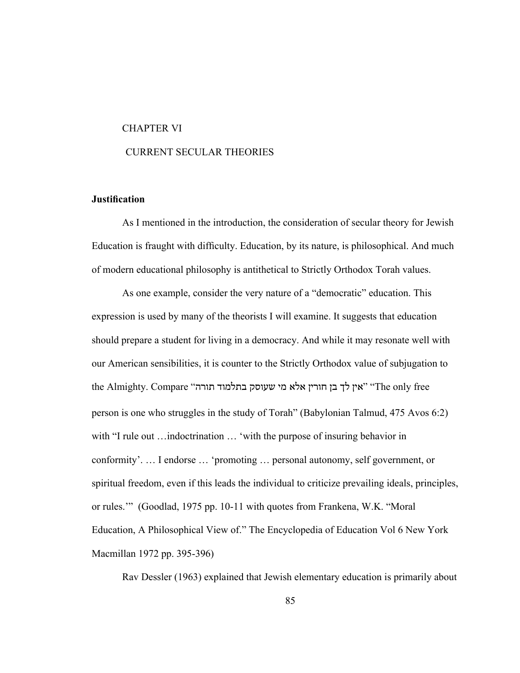#### CHAPTER VI

### CURRENT SECULAR THEORIES

# **Justification**

As I mentioned in the introduction, the consideration of secular theory for Jewish Education is fraught with difficulty. Education, by its nature, is philosophical. And much of modern educational philosophy is antithetical to Strictly Orthodox Torah values.

As one example, consider the very nature of a "democratic" education. This expression is used by many of the theorists I will examine. It suggests that education should prepare a student for living in a democracy. And while it may resonate well with our American sensibilities, it is counter to the Strictly Orthodox value of subjugation to the Almighty. Compare "אין לך בן חורין אלא מי שעוסק בתלמוד תורה" (The only free person is one who struggles in the study of Torah" (Babylonian Talmud, 475 Avos 6:2) with "I rule out ... indoctrination ... 'with the purpose of insuring behavior in conformity'. … I endorse … 'promoting … personal autonomy, self government, or spiritual freedom, even if this leads the individual to criticize prevailing ideals, principles, or rules.'" (Goodlad, 1975 pp. 10-11 with quotes from Frankena, W.K. "Moral Education, A Philosophical View of." The Encyclopedia of Education Vol 6 New York Macmillan 1972 pp. 395-396)

Rav Dessler (1963) explained that Jewish elementary education is primarily about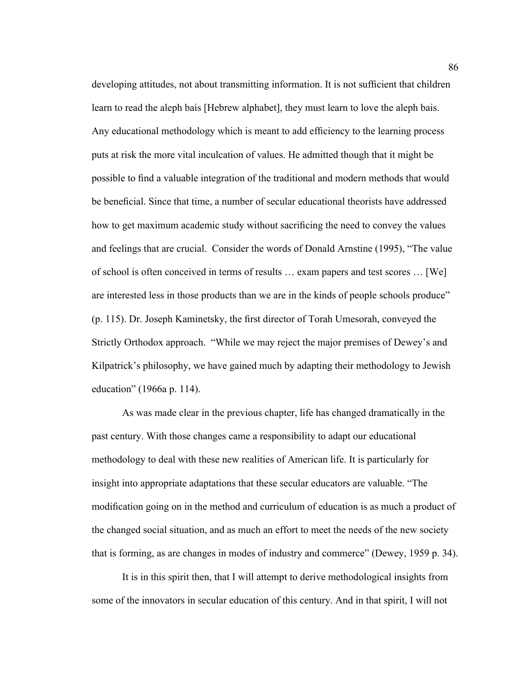developing attitudes, not about transmitting information. It is not sufficient that children learn to read the aleph bais [Hebrew alphabet], they must learn to love the aleph bais. Any educational methodology which is meant to add efficiency to the learning process puts at risk the more vital inculcation of values. He admitted though that it might be possible to find a valuable integration of the traditional and modern methods that would be beneficial. Since that time, a number of secular educational theorists have addressed how to get maximum academic study without sacrificing the need to convey the values and feelings that are crucial. Consider the words of Donald Arnstine (1995), "The value of school is often conceived in terms of results … exam papers and test scores … [We] are interested less in those products than we are in the kinds of people schools produce" (p. 115). Dr. Joseph Kaminetsky, the first director of Torah Umesorah, conveyed the Strictly Orthodox approach. "While we may reject the major premises of Dewey's and Kilpatrick's philosophy, we have gained much by adapting their methodology to Jewish education" (1966a p. 114).

As was made clear in the previous chapter, life has changed dramatically in the past century. With those changes came a responsibility to adapt our educational methodology to deal with these new realities of American life. It is particularly for insight into appropriate adaptations that these secular educators are valuable. "The modification going on in the method and curriculum of education is as much a product of the changed social situation, and as much an effort to meet the needs of the new society that is forming, as are changes in modes of industry and commerce" (Dewey, 1959 p. 34).

It is in this spirit then, that I will attempt to derive methodological insights from some of the innovators in secular education of this century. And in that spirit, I will not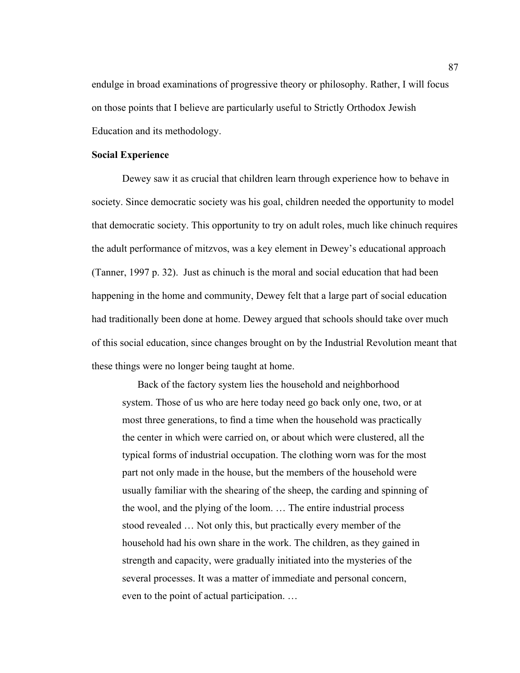endulge in broad examinations of progressive theory or philosophy. Rather, I will focus on those points that I believe are particularly useful to Strictly Orthodox Jewish Education and its methodology.

### **Social Experience**

Dewey saw it as crucial that children learn through experience how to behave in society. Since democratic society was his goal, children needed the opportunity to model that democratic society. This opportunity to try on adult roles, much like chinuch requires the adult performance of mitzvos, was a key element in Dewey's educational approach (Tanner, 1997 p. 32). Just as chinuch is the moral and social education that had been happening in the home and community, Dewey felt that a large part of social education had traditionally been done at home. Dewey argued that schools should take over much of this social education, since changes brought on by the Industrial Revolution meant that these things were no longer being taught at home.

Back of the factory system lies the household and neighborhood system. Those of us who are here today need go back only one, two, or at most three generations, to find a time when the household was practically the center in which were carried on, or about which were clustered, all the typical forms of industrial occupation. The clothing worn was for the most part not only made in the house, but the members of the household were usually familiar with the shearing of the sheep, the carding and spinning of the wool, and the plying of the loom. … The entire industrial process stood revealed … Not only this, but practically every member of the household had his own share in the work. The children, as they gained in strength and capacity, were gradually initiated into the mysteries of the several processes. It was a matter of immediate and personal concern, even to the point of actual participation. …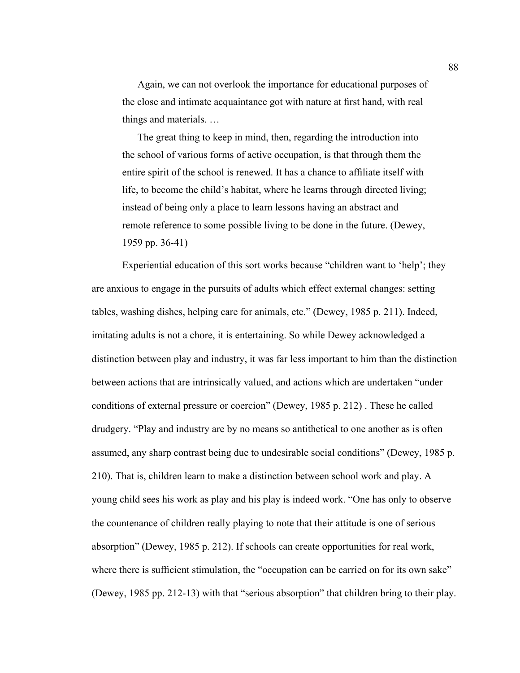Again, we can not overlook the importance for educational purposes of the close and intimate acquaintance got with nature at first hand, with real things and materials. …

The great thing to keep in mind, then, regarding the introduction into the school of various forms of active occupation, is that through them the entire spirit of the school is renewed. It has a chance to affiliate itself with life, to become the child's habitat, where he learns through directed living; instead of being only a place to learn lessons having an abstract and remote reference to some possible living to be done in the future. (Dewey, 1959 pp. 36-41)

Experiential education of this sort works because "children want to 'help'; they are anxious to engage in the pursuits of adults which effect external changes: setting tables, washing dishes, helping care for animals, etc." (Dewey, 1985 p. 211). Indeed, imitating adults is not a chore, it is entertaining. So while Dewey acknowledged a distinction between play and industry, it was far less important to him than the distinction between actions that are intrinsically valued, and actions which are undertaken "under conditions of external pressure or coercion" (Dewey, 1985 p. 212) . These he called drudgery. "Play and industry are by no means so antithetical to one another as is often assumed, any sharp contrast being due to undesirable social conditions" (Dewey, 1985 p. 210). That is, children learn to make a distinction between school work and play. A young child sees his work as play and his play is indeed work. "One has only to observe the countenance of children really playing to note that their attitude is one of serious absorption" (Dewey, 1985 p. 212). If schools can create opportunities for real work, where there is sufficient stimulation, the "occupation can be carried on for its own sake" (Dewey, 1985 pp. 212-13) with that "serious absorption" that children bring to their play.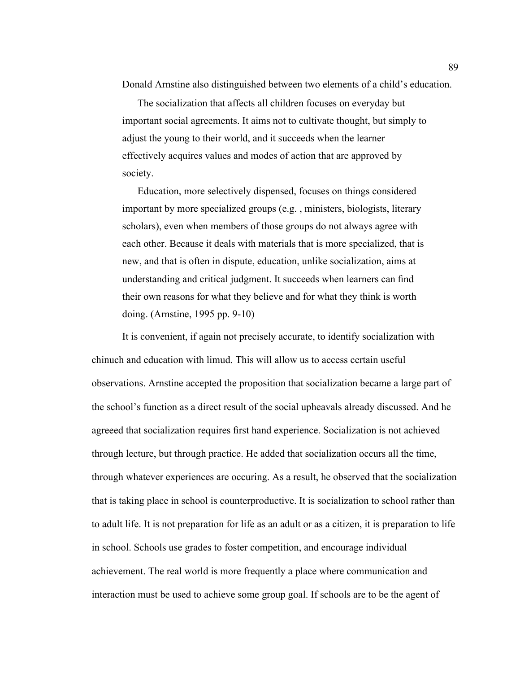Donald Arnstine also distinguished between two elements of a child's education.

The socialization that affects all children focuses on everyday but important social agreements. It aims not to cultivate thought, but simply to adjust the young to their world, and it succeeds when the learner effectively acquires values and modes of action that are approved by society.

Education, more selectively dispensed, focuses on things considered important by more specialized groups (e.g. , ministers, biologists, literary scholars), even when members of those groups do not always agree with each other. Because it deals with materials that is more specialized, that is new, and that is often in dispute, education, unlike socialization, aims at understanding and critical judgment. It succeeds when learners can find their own reasons for what they believe and for what they think is worth doing. (Arnstine, 1995 pp. 9-10)

It is convenient, if again not precisely accurate, to identify socialization with chinuch and education with limud. This will allow us to access certain useful observations. Arnstine accepted the proposition that socialization became a large part of the school's function as a direct result of the social upheavals already discussed. And he agreeed that socialization requires first hand experience. Socialization is not achieved through lecture, but through practice. He added that socialization occurs all the time, through whatever experiences are occuring. As a result, he observed that the socialization that is taking place in school is counterproductive. It is socialization to school rather than to adult life. It is not preparation for life as an adult or as a citizen, it is preparation to life in school. Schools use grades to foster competition, and encourage individual achievement. The real world is more frequently a place where communication and interaction must be used to achieve some group goal. If schools are to be the agent of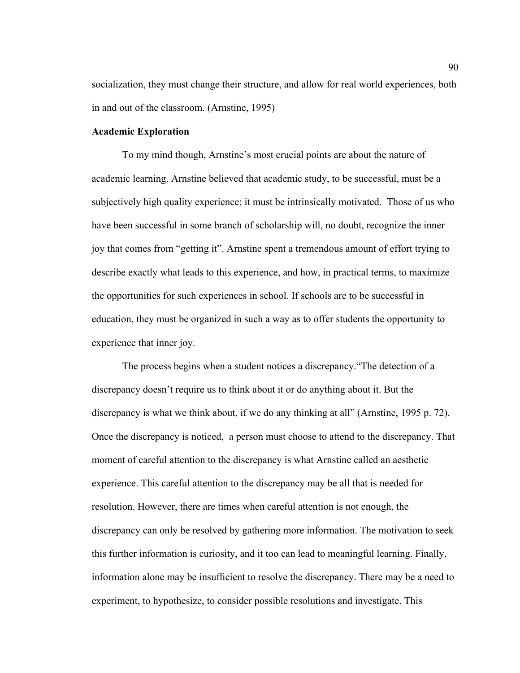socialization, they must change their structure, and allow for real world experiences, both in and out of the classroom. (Arnstine, 1995)

# **Academic Exploration**

To my mind though, Arnstine's most crucial points are about the nature of academic learning. Arnstine believed that academic study, to be successful, must be a subjectively high quality experience; it must be intrinsically motivated. Those of us who have been successful in some branch of scholarship will, no doubt, recognize the inner joy that comes from "getting it". Arnstine spent a tremendous amount of effort trying to describe exactly what leads to this experience, and how, in practical terms, to maximize the opportunities for such experiences in school. If schools are to be successful in education, they must be organized in such a way as to offer students the opportunity to experience that inner joy.

The process begins when a student notices a discrepancy."The detection of a discrepancy doesn't require us to think about it or do anything about it. But the discrepancy is what we think about, if we do any thinking at all" (Arnstine, 1995 p. 72). Once the discrepancy is noticed, a person must choose to attend to the discrepancy. That moment of careful attention to the discrepancy is what Arnstine called an aesthetic experience. This careful attention to the discrepancy may be all that is needed for resolution. However, there are times when careful attention is not enough, the discrepancy can only be resolved by gathering more information. The motivation to seek this further information is curiosity, and it too can lead to meaningful learning. Finally, information alone may be insufficient to resolve the discrepancy. There may be a need to experiment, to hypothesize, to consider possible resolutions and investigate. This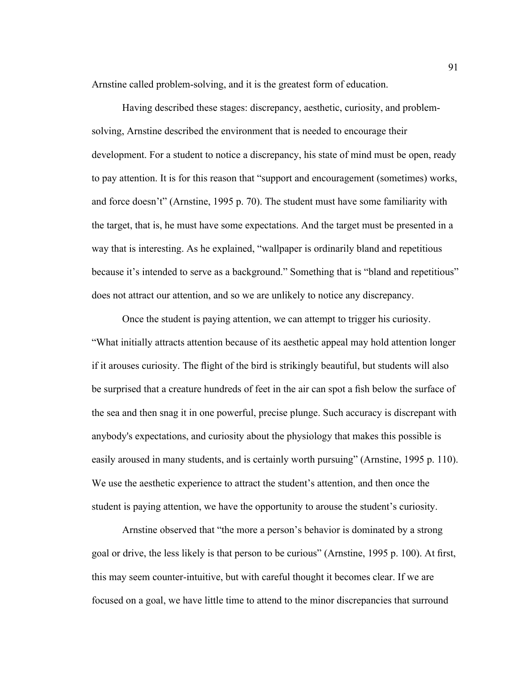Arnstine called problem-solving, and it is the greatest form of education.

Having described these stages: discrepancy, aesthetic, curiosity, and problemsolving, Arnstine described the environment that is needed to encourage their development. For a student to notice a discrepancy, his state of mind must be open, ready to pay attention. It is for this reason that "support and encouragement (sometimes) works, and force doesn't" (Arnstine, 1995 p. 70). The student must have some familiarity with the target, that is, he must have some expectations. And the target must be presented in a way that is interesting. As he explained, "wallpaper is ordinarily bland and repetitious because it's intended to serve as a background." Something that is "bland and repetitious" does not attract our attention, and so we are unlikely to notice any discrepancy.

Once the student is paying attention, we can attempt to trigger his curiosity. "What initially attracts attention because of its aesthetic appeal may hold attention longer if it arouses curiosity. The flight of the bird is strikingly beautiful, but students will also be surprised that a creature hundreds of feet in the air can spot a fish below the surface of the sea and then snag it in one powerful, precise plunge. Such accuracy is discrepant with anybody's expectations, and curiosity about the physiology that makes this possible is easily aroused in many students, and is certainly worth pursuing" (Arnstine, 1995 p. 110). We use the aesthetic experience to attract the student's attention, and then once the student is paying attention, we have the opportunity to arouse the student's curiosity.

Arnstine observed that "the more a person's behavior is dominated by a strong goal or drive, the less likely is that person to be curious" (Arnstine, 1995 p. 100). At first, this may seem counter-intuitive, but with careful thought it becomes clear. If we are focused on a goal, we have little time to attend to the minor discrepancies that surround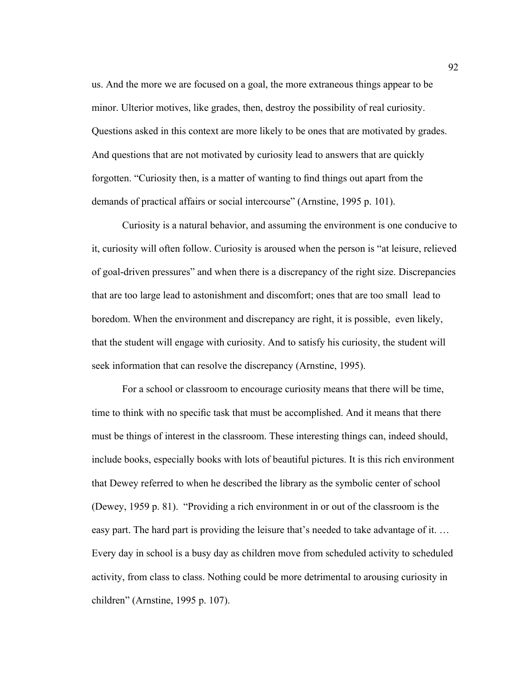us. And the more we are focused on a goal, the more extraneous things appear to be minor. Ulterior motives, like grades, then, destroy the possibility of real curiosity. Questions asked in this context are more likely to be ones that are motivated by grades. And questions that are not motivated by curiosity lead to answers that are quickly forgotten. "Curiosity then, is a matter of wanting to find things out apart from the demands of practical affairs or social intercourse" (Arnstine, 1995 p. 101).

Curiosity is a natural behavior, and assuming the environment is one conducive to it, curiosity will often follow. Curiosity is aroused when the person is "at leisure, relieved of goal-driven pressures" and when there is a discrepancy of the right size. Discrepancies that are too large lead to astonishment and discomfort; ones that are too small lead to boredom. When the environment and discrepancy are right, it is possible, even likely, that the student will engage with curiosity. And to satisfy his curiosity, the student will seek information that can resolve the discrepancy (Arnstine, 1995).

For a school or classroom to encourage curiosity means that there will be time, time to think with no specific task that must be accomplished. And it means that there must be things of interest in the classroom. These interesting things can, indeed should, include books, especially books with lots of beautiful pictures. It is this rich environment that Dewey referred to when he described the library as the symbolic center of school (Dewey, 1959 p. 81). "Providing a rich environment in or out of the classroom is the easy part. The hard part is providing the leisure that's needed to take advantage of it. … Every day in school is a busy day as children move from scheduled activity to scheduled activity, from class to class. Nothing could be more detrimental to arousing curiosity in children" (Arnstine, 1995 p. 107).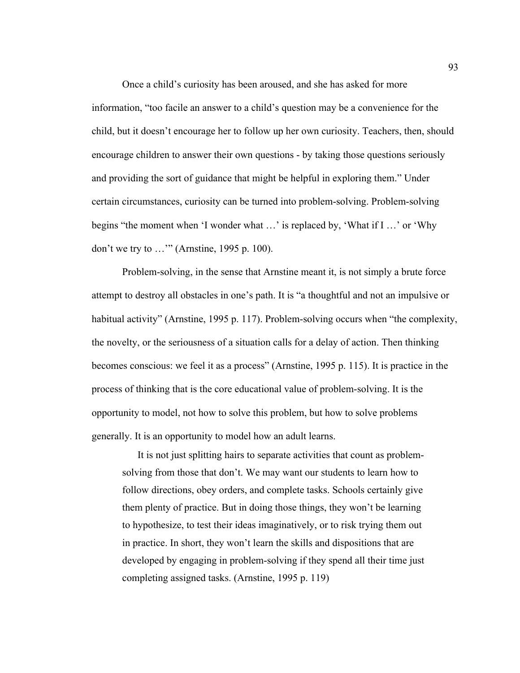Once a child's curiosity has been aroused, and she has asked for more information, "too facile an answer to a child's question may be a convenience for the child, but it doesn't encourage her to follow up her own curiosity. Teachers, then, should encourage children to answer their own questions - by taking those questions seriously and providing the sort of guidance that might be helpful in exploring them." Under certain circumstances, curiosity can be turned into problem-solving. Problem-solving begins "the moment when 'I wonder what …' is replaced by, 'What if I …' or 'Why don't we try to …'" (Arnstine, 1995 p. 100).

Problem-solving, in the sense that Arnstine meant it, is not simply a brute force attempt to destroy all obstacles in one's path. It is "a thoughtful and not an impulsive or habitual activity" (Arnstine, 1995 p. 117). Problem-solving occurs when "the complexity, the novelty, or the seriousness of a situation calls for a delay of action. Then thinking becomes conscious: we feel it as a process" (Arnstine, 1995 p. 115). It is practice in the process of thinking that is the core educational value of problem-solving. It is the opportunity to model, not how to solve this problem, but how to solve problems generally. It is an opportunity to model how an adult learns.

It is not just splitting hairs to separate activities that count as problemsolving from those that don't. We may want our students to learn how to follow directions, obey orders, and complete tasks. Schools certainly give them plenty of practice. But in doing those things, they won't be learning to hypothesize, to test their ideas imaginatively, or to risk trying them out in practice. In short, they won't learn the skills and dispositions that are developed by engaging in problem-solving if they spend all their time just completing assigned tasks. (Arnstine, 1995 p. 119)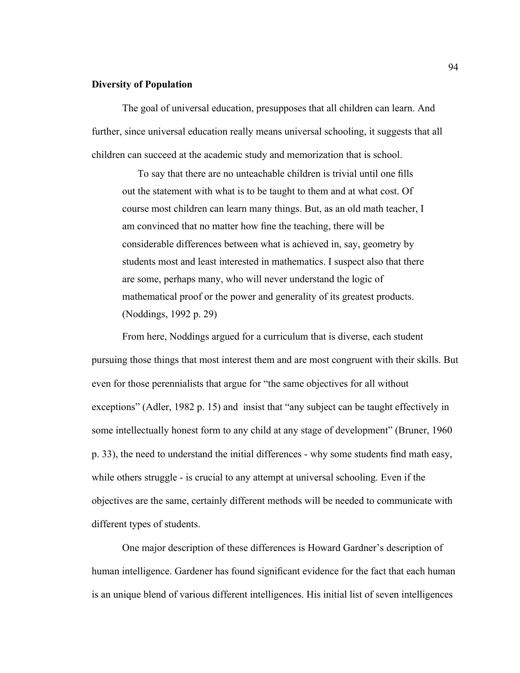### **Diversity of Population**

The goal of universal education, presupposes that all children can learn. And further, since universal education really means universal schooling, it suggests that all children can succeed at the academic study and memorization that is school.

To say that there are no unteachable children is trivial until one fills out the statement with what is to be taught to them and at what cost. Of course most children can learn many things. But, as an old math teacher, I am convinced that no matter how fine the teaching, there will be considerable differences between what is achieved in, say, geometry by students most and least interested in mathematics. I suspect also that there are some, perhaps many, who will never understand the logic of mathematical proof or the power and generality of its greatest products. (Noddings, 1992 p. 29)

From here, Noddings argued for a curriculum that is diverse, each student pursuing those things that most interest them and are most congruent with their skills. But even for those perennialists that argue for "the same objectives for all without exceptions" (Adler, 1982 p. 15) and insist that "any subject can be taught effectively in some intellectually honest form to any child at any stage of development" (Bruner, 1960 p. 33), the need to understand the initial differences - why some students find math easy, while others struggle - is crucial to any attempt at universal schooling. Even if the objectives are the same, certainly different methods will be needed to communicate with different types of students.

One major description of these differences is Howard Gardner's description of human intelligence. Gardener has found significant evidence for the fact that each human is an unique blend of various different intelligences. His initial list of seven intelligences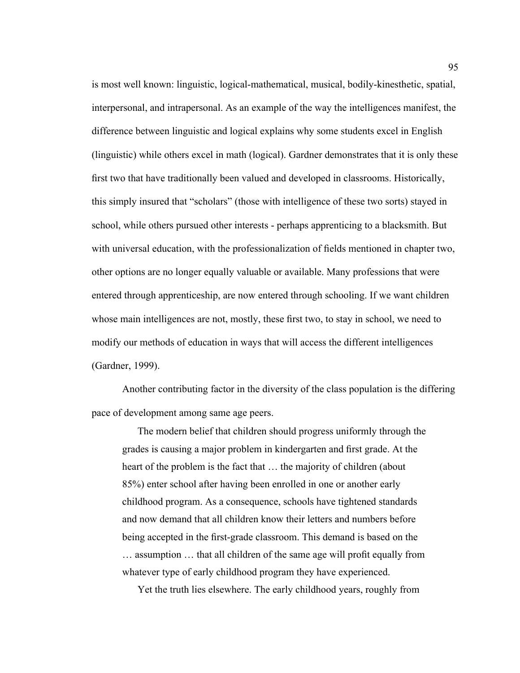is most well known: linguistic, logical-mathematical, musical, bodily-kinesthetic, spatial, interpersonal, and intrapersonal. As an example of the way the intelligences manifest, the difference between linguistic and logical explains why some students excel in English (linguistic) while others excel in math (logical). Gardner demonstrates that it is only these first two that have traditionally been valued and developed in classrooms. Historically, this simply insured that "scholars" (those with intelligence of these two sorts) stayed in school, while others pursued other interests - perhaps apprenticing to a blacksmith. But with universal education, with the professionalization of fields mentioned in chapter two, other options are no longer equally valuable or available. Many professions that were entered through apprenticeship, are now entered through schooling. If we want children whose main intelligences are not, mostly, these first two, to stay in school, we need to modify our methods of education in ways that will access the different intelligences (Gardner, 1999).

Another contributing factor in the diversity of the class population is the differing pace of development among same age peers.

The modern belief that children should progress uniformly through the grades is causing a major problem in kindergarten and first grade. At the heart of the problem is the fact that … the majority of children (about 85%) enter school after having been enrolled in one or another early childhood program. As a consequence, schools have tightened standards and now demand that all children know their letters and numbers before being accepted in the first-grade classroom. This demand is based on the … assumption … that all children of the same age will profit equally from whatever type of early childhood program they have experienced.

Yet the truth lies elsewhere. The early childhood years, roughly from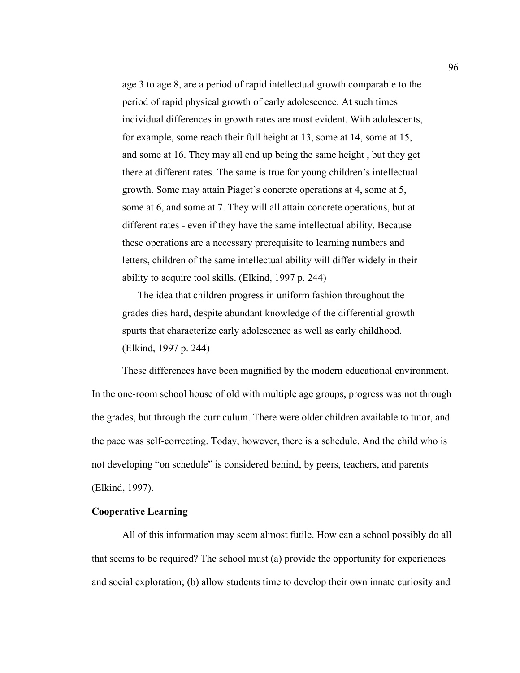age 3 to age 8, are a period of rapid intellectual growth comparable to the period of rapid physical growth of early adolescence. At such times individual differences in growth rates are most evident. With adolescents, for example, some reach their full height at 13, some at 14, some at 15, and some at 16. They may all end up being the same height , but they get there at different rates. The same is true for young children's intellectual growth. Some may attain Piaget's concrete operations at 4, some at 5, some at 6, and some at 7. They will all attain concrete operations, but at different rates - even if they have the same intellectual ability. Because these operations are a necessary prerequisite to learning numbers and letters, children of the same intellectual ability will differ widely in their ability to acquire tool skills. (Elkind, 1997 p. 244)

The idea that children progress in uniform fashion throughout the grades dies hard, despite abundant knowledge of the differential growth spurts that characterize early adolescence as well as early childhood. (Elkind, 1997 p. 244)

These differences have been magnified by the modern educational environment. In the one-room school house of old with multiple age groups, progress was not through the grades, but through the curriculum. There were older children available to tutor, and the pace was self-correcting. Today, however, there is a schedule. And the child who is not developing "on schedule" is considered behind, by peers, teachers, and parents (Elkind, 1997).

# **Cooperative Learning**

All of this information may seem almost futile. How can a school possibly do all that seems to be required? The school must (a) provide the opportunity for experiences and social exploration; (b) allow students time to develop their own innate curiosity and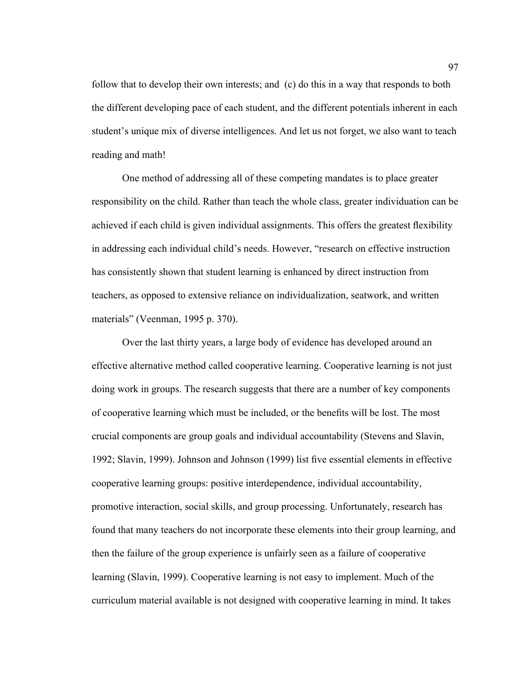follow that to develop their own interests; and (c) do this in a way that responds to both the different developing pace of each student, and the different potentials inherent in each student's unique mix of diverse intelligences. And let us not forget, we also want to teach reading and math!

One method of addressing all of these competing mandates is to place greater responsibility on the child. Rather than teach the whole class, greater individuation can be achieved if each child is given individual assignments. This offers the greatest flexibility in addressing each individual child's needs. However, "research on effective instruction has consistently shown that student learning is enhanced by direct instruction from teachers, as opposed to extensive reliance on individualization, seatwork, and written materials" (Veenman, 1995 p. 370).

Over the last thirty years, a large body of evidence has developed around an effective alternative method called cooperative learning. Cooperative learning is not just doing work in groups. The research suggests that there are a number of key components of cooperative learning which must be included, or the benefits will be lost. The most crucial components are group goals and individual accountability (Stevens and Slavin, 1992; Slavin, 1999). Johnson and Johnson (1999) list five essential elements in effective cooperative learning groups: positive interdependence, individual accountability, promotive interaction, social skills, and group processing. Unfortunately, research has found that many teachers do not incorporate these elements into their group learning, and then the failure of the group experience is unfairly seen as a failure of cooperative learning (Slavin, 1999). Cooperative learning is not easy to implement. Much of the curriculum material available is not designed with cooperative learning in mind. It takes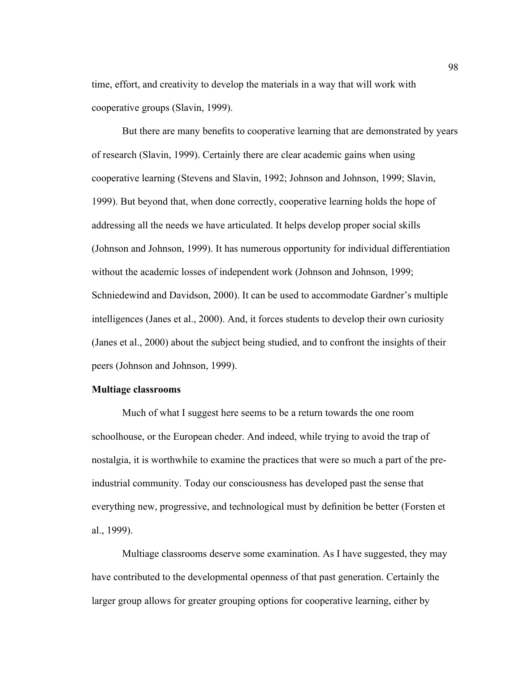time, effort, and creativity to develop the materials in a way that will work with cooperative groups (Slavin, 1999).

But there are many benefits to cooperative learning that are demonstrated by years of research (Slavin, 1999). Certainly there are clear academic gains when using cooperative learning (Stevens and Slavin, 1992; Johnson and Johnson, 1999; Slavin, 1999). But beyond that, when done correctly, cooperative learning holds the hope of addressing all the needs we have articulated. It helps develop proper social skills (Johnson and Johnson, 1999). It has numerous opportunity for individual differentiation without the academic losses of independent work (Johnson and Johnson, 1999; Schniedewind and Davidson, 2000). It can be used to accommodate Gardner's multiple intelligences (Janes et al., 2000). And, it forces students to develop their own curiosity (Janes et al., 2000) about the subject being studied, and to confront the insights of their peers (Johnson and Johnson, 1999).

# **Multiage classrooms**

Much of what I suggest here seems to be a return towards the one room schoolhouse, or the European cheder. And indeed, while trying to avoid the trap of nostalgia, it is worthwhile to examine the practices that were so much a part of the preindustrial community. Today our consciousness has developed past the sense that everything new, progressive, and technological must by definition be better (Forsten et al., 1999).

Multiage classrooms deserve some examination. As I have suggested, they may have contributed to the developmental openness of that past generation. Certainly the larger group allows for greater grouping options for cooperative learning, either by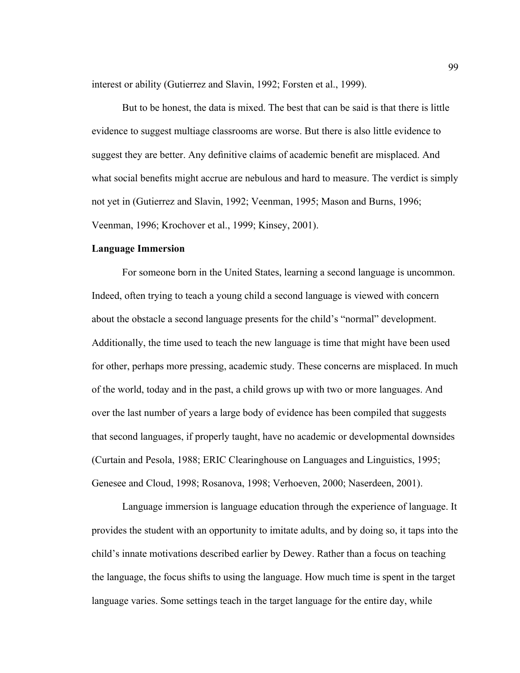interest or ability (Gutierrez and Slavin, 1992; Forsten et al., 1999).

But to be honest, the data is mixed. The best that can be said is that there is little evidence to suggest multiage classrooms are worse. But there is also little evidence to suggest they are better. Any definitive claims of academic benefit are misplaced. And what social benefits might accrue are nebulous and hard to measure. The verdict is simply not yet in (Gutierrez and Slavin, 1992; Veenman, 1995; Mason and Burns, 1996; Veenman, 1996; Krochover et al., 1999; Kinsey, 2001).

## **Language Immersion**

For someone born in the United States, learning a second language is uncommon. Indeed, often trying to teach a young child a second language is viewed with concern about the obstacle a second language presents for the child's "normal" development. Additionally, the time used to teach the new language is time that might have been used for other, perhaps more pressing, academic study. These concerns are misplaced. In much of the world, today and in the past, a child grows up with two or more languages. And over the last number of years a large body of evidence has been compiled that suggests that second languages, if properly taught, have no academic or developmental downsides (Curtain and Pesola, 1988; ERIC Clearinghouse on Languages and Linguistics, 1995; Genesee and Cloud, 1998; Rosanova, 1998; Verhoeven, 2000; Naserdeen, 2001).

Language immersion is language education through the experience of language. It provides the student with an opportunity to imitate adults, and by doing so, it taps into the child's innate motivations described earlier by Dewey. Rather than a focus on teaching the language, the focus shifts to using the language. How much time is spent in the target language varies. Some settings teach in the target language for the entire day, while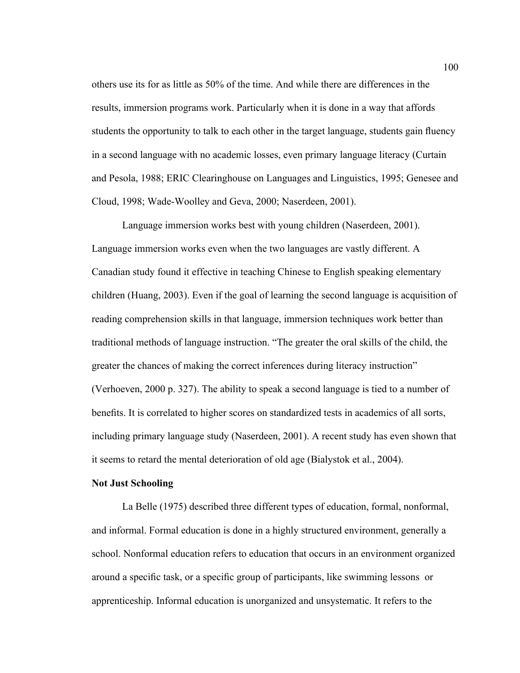others use its for as little as 50% of the time. And while there are differences in the results, immersion programs work. Particularly when it is done in a way that affords students the opportunity to talk to each other in the target language, students gain fluency in a second language with no academic losses, even primary language literacy (Curtain and Pesola, 1988; ERIC Clearinghouse on Languages and Linguistics, 1995; Genesee and Cloud, 1998; Wade-Woolley and Geva, 2000; Naserdeen, 2001).

Language immersion works best with young children (Naserdeen, 2001). Language immersion works even when the two languages are vastly different. A Canadian study found it effective in teaching Chinese to English speaking elementary children (Huang, 2003). Even if the goal of learning the second language is acquisition of reading comprehension skills in that language, immersion techniques work better than traditional methods of language instruction. "The greater the oral skills of the child, the greater the chances of making the correct inferences during literacy instruction" (Verhoeven, 2000 p. 327). The ability to speak a second language is tied to a number of benefits. It is correlated to higher scores on standardized tests in academics of all sorts, including primary language study (Naserdeen, 2001). A recent study has even shown that it seems to retard the mental deterioration of old age (Bialystok et al., 2004).

## **Not Just Schooling**

La Belle (1975) described three different types of education, formal, nonformal, and informal. Formal education is done in a highly structured environment, generally a school. Nonformal education refers to education that occurs in an environment organized around a specific task, or a specific group of participants, like swimming lessons or apprenticeship. Informal education is unorganized and unsystematic. It refers to the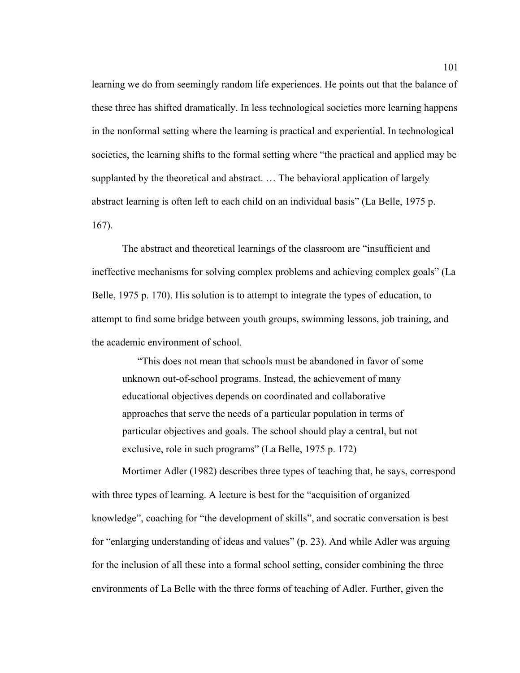learning we do from seemingly random life experiences. He points out that the balance of these three has shifted dramatically. In less technological societies more learning happens in the nonformal setting where the learning is practical and experiential. In technological societies, the learning shifts to the formal setting where "the practical and applied may be supplanted by the theoretical and abstract. … The behavioral application of largely abstract learning is often left to each child on an individual basis" (La Belle, 1975 p. 167).

The abstract and theoretical learnings of the classroom are "insufficient and ineffective mechanisms for solving complex problems and achieving complex goals" (La Belle, 1975 p. 170). His solution is to attempt to integrate the types of education, to attempt to find some bridge between youth groups, swimming lessons, job training, and the academic environment of school.

"This does not mean that schools must be abandoned in favor of some unknown out-of-school programs. Instead, the achievement of many educational objectives depends on coordinated and collaborative approaches that serve the needs of a particular population in terms of particular objectives and goals. The school should play a central, but not exclusive, role in such programs" (La Belle, 1975 p. 172)

Mortimer Adler (1982) describes three types of teaching that, he says, correspond with three types of learning. A lecture is best for the "acquisition of organized knowledge", coaching for "the development of skills", and socratic conversation is best for "enlarging understanding of ideas and values" (p. 23). And while Adler was arguing for the inclusion of all these into a formal school setting, consider combining the three environments of La Belle with the three forms of teaching of Adler. Further, given the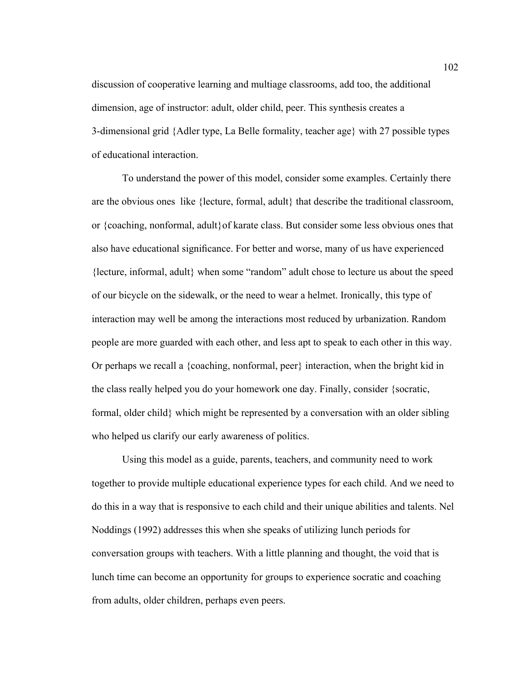discussion of cooperative learning and multiage classrooms, add too, the additional dimension, age of instructor: adult, older child, peer. This synthesis creates a 3-dimensional grid {Adler type, La Belle formality, teacher age} with 27 possible types of educational interaction.

To understand the power of this model, consider some examples. Certainly there are the obvious ones like {lecture, formal, adult} that describe the traditional classroom, or {coaching, nonformal, adult}of karate class. But consider some less obvious ones that also have educational significance. For better and worse, many of us have experienced {lecture, informal, adult} when some "random" adult chose to lecture us about the speed of our bicycle on the sidewalk, or the need to wear a helmet. Ironically, this type of interaction may well be among the interactions most reduced by urbanization. Random people are more guarded with each other, and less apt to speak to each other in this way. Or perhaps we recall a {coaching, nonformal, peer} interaction, when the bright kid in the class really helped you do your homework one day. Finally, consider {socratic, formal, older child} which might be represented by a conversation with an older sibling who helped us clarify our early awareness of politics.

Using this model as a guide, parents, teachers, and community need to work together to provide multiple educational experience types for each child. And we need to do this in a way that is responsive to each child and their unique abilities and talents. Nel Noddings (1992) addresses this when she speaks of utilizing lunch periods for conversation groups with teachers. With a little planning and thought, the void that is lunch time can become an opportunity for groups to experience socratic and coaching from adults, older children, perhaps even peers.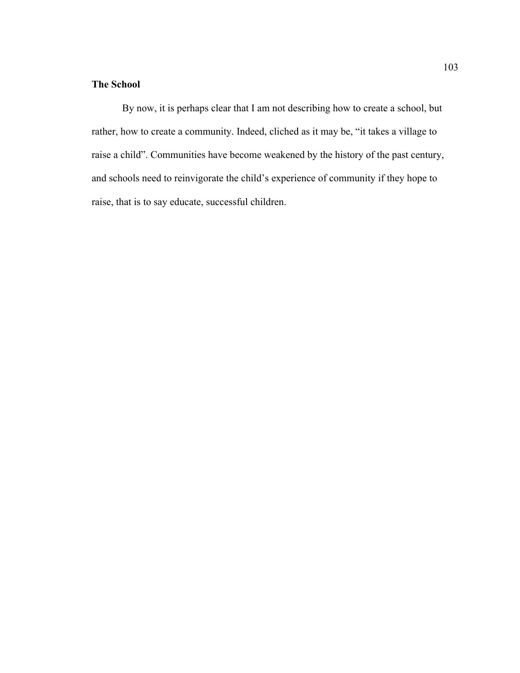# **The School**

By now, it is perhaps clear that I am not describing how to create a school, but rather, how to create a community. Indeed, cliched as it may be, "it takes a village to raise a child". Communities have become weakened by the history of the past century, and schools need to reinvigorate the child's experience of community if they hope to raise, that is to say educate, successful children.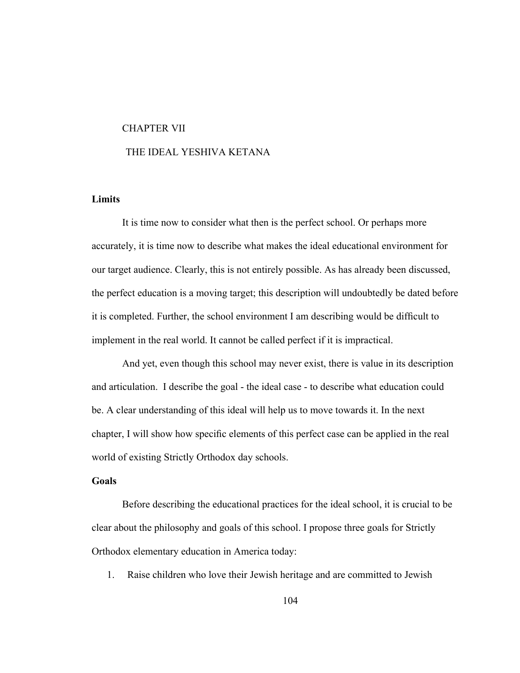#### CHAPTER VII

# THE IDEAL YESHIVA KETANA

# **Limits**

It is time now to consider what then is the perfect school. Or perhaps more accurately, it is time now to describe what makes the ideal educational environment for our target audience. Clearly, this is not entirely possible. As has already been discussed, the perfect education is a moving target; this description will undoubtedly be dated before it is completed. Further, the school environment I am describing would be difficult to implement in the real world. It cannot be called perfect if it is impractical.

And yet, even though this school may never exist, there is value in its description and articulation. I describe the goal - the ideal case - to describe what education could be. A clear understanding of this ideal will help us to move towards it. In the next chapter, I will show how specific elements of this perfect case can be applied in the real world of existing Strictly Orthodox day schools.

#### **Goals**

Before describing the educational practices for the ideal school, it is crucial to be clear about the philosophy and goals of this school. I propose three goals for Strictly Orthodox elementary education in America today:

1. Raise children who love their Jewish heritage and are committed to Jewish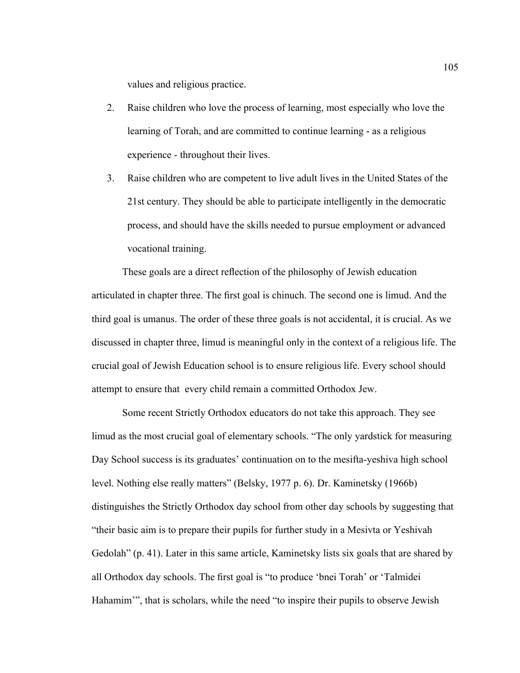values and religious practice.

- 2. Raise children who love the process of learning, most especially who love the learning of Torah, and are committed to continue learning - as a religious experience - throughout their lives.
- 3. Raise children who are competent to live adult lives in the United States of the 21st century. They should be able to participate intelligently in the democratic process, and should have the skills needed to pursue employment or advanced vocational training.

These goals are a direct reflection of the philosophy of Jewish education articulated in chapter three. The first goal is chinuch. The second one is limud. And the third goal is umanus. The order of these three goals is not accidental, it is crucial. As we discussed in chapter three, limud is meaningful only in the context of a religious life. The crucial goal of Jewish Education school is to ensure religious life. Every school should attempt to ensure that every child remain a committed Orthodox Jew.

Some recent Strictly Orthodox educators do not take this approach. They see limud as the most crucial goal of elementary schools. "The only yardstick for measuring Day School success is its graduates' continuation on to the mesifta-yeshiva high school level. Nothing else really matters" (Belsky, 1977 p. 6). Dr. Kaminetsky (1966b) distinguishes the Strictly Orthodox day school from other day schools by suggesting that "their basic aim is to prepare their pupils for further study in a Mesivta or Yeshivah Gedolah" (p. 41). Later in this same article, Kaminetsky lists six goals that are shared by all Orthodox day schools. The first goal is "to produce 'bnei Torah' or 'Talmidei Hahamim'", that is scholars, while the need "to inspire their pupils to observe Jewish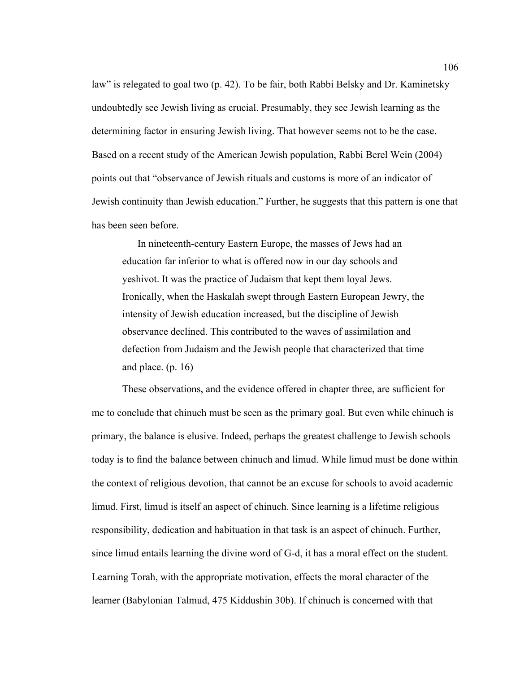law" is relegated to goal two (p. 42). To be fair, both Rabbi Belsky and Dr. Kaminetsky undoubtedly see Jewish living as crucial. Presumably, they see Jewish learning as the determining factor in ensuring Jewish living. That however seems not to be the case. Based on a recent study of the American Jewish population, Rabbi Berel Wein (2004) points out that "observance of Jewish rituals and customs is more of an indicator of Jewish continuity than Jewish education." Further, he suggests that this pattern is one that has been seen before.

In nineteenth-century Eastern Europe, the masses of Jews had an education far inferior to what is offered now in our day schools and yeshivot. It was the practice of Judaism that kept them loyal Jews. Ironically, when the Haskalah swept through Eastern European Jewry, the intensity of Jewish education increased, but the discipline of Jewish observance declined. This contributed to the waves of assimilation and defection from Judaism and the Jewish people that characterized that time and place. (p. 16)

These observations, and the evidence offered in chapter three, are sufficient for me to conclude that chinuch must be seen as the primary goal. But even while chinuch is primary, the balance is elusive. Indeed, perhaps the greatest challenge to Jewish schools today is to find the balance between chinuch and limud. While limud must be done within the context of religious devotion, that cannot be an excuse for schools to avoid academic limud. First, limud is itself an aspect of chinuch. Since learning is a lifetime religious responsibility, dedication and habituation in that task is an aspect of chinuch. Further, since limud entails learning the divine word of G-d, it has a moral effect on the student. Learning Torah, with the appropriate motivation, effects the moral character of the learner (Babylonian Talmud, 475 Kiddushin 30b). If chinuch is concerned with that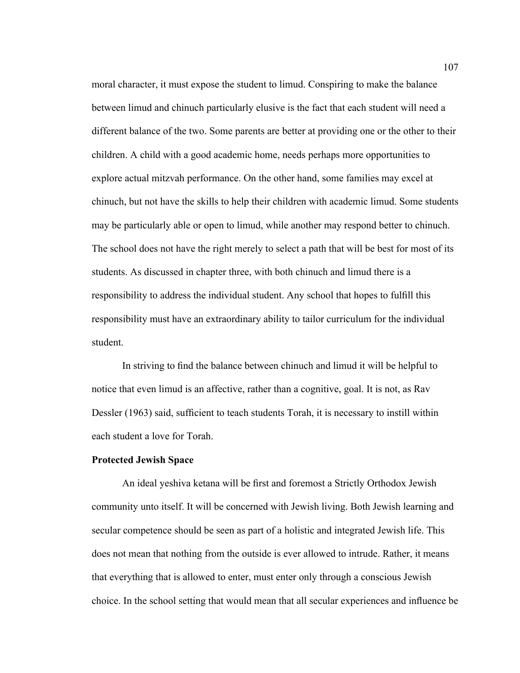moral character, it must expose the student to limud. Conspiring to make the balance between limud and chinuch particularly elusive is the fact that each student will need a different balance of the two. Some parents are better at providing one or the other to their children. A child with a good academic home, needs perhaps more opportunities to explore actual mitzvah performance. On the other hand, some families may excel at chinuch, but not have the skills to help their children with academic limud. Some students may be particularly able or open to limud, while another may respond better to chinuch. The school does not have the right merely to select a path that will be best for most of its students. As discussed in chapter three, with both chinuch and limud there is a responsibility to address the individual student. Any school that hopes to fulfill this responsibility must have an extraordinary ability to tailor curriculum for the individual student.

In striving to find the balance between chinuch and limud it will be helpful to notice that even limud is an affective, rather than a cognitive, goal. It is not, as Rav Dessler (1963) said, sufficient to teach students Torah, it is necessary to instill within each student a love for Torah.

#### **Protected Jewish Space**

An ideal yeshiva ketana will be first and foremost a Strictly Orthodox Jewish community unto itself. It will be concerned with Jewish living. Both Jewish learning and secular competence should be seen as part of a holistic and integrated Jewish life. This does not mean that nothing from the outside is ever allowed to intrude. Rather, it means that everything that is allowed to enter, must enter only through a conscious Jewish choice. In the school setting that would mean that all secular experiences and influence be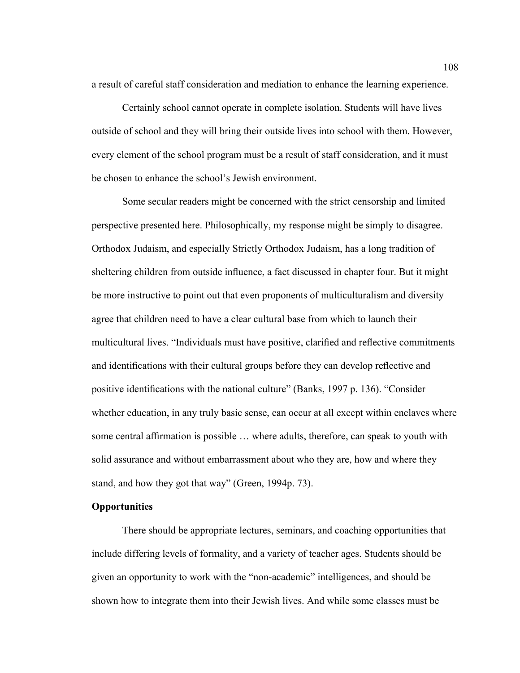a result of careful staff consideration and mediation to enhance the learning experience.

Certainly school cannot operate in complete isolation. Students will have lives outside of school and they will bring their outside lives into school with them. However, every element of the school program must be a result of staff consideration, and it must be chosen to enhance the school's Jewish environment.

Some secular readers might be concerned with the strict censorship and limited perspective presented here. Philosophically, my response might be simply to disagree. Orthodox Judaism, and especially Strictly Orthodox Judaism, has a long tradition of sheltering children from outside influence, a fact discussed in chapter four. But it might be more instructive to point out that even proponents of multiculturalism and diversity agree that children need to have a clear cultural base from which to launch their multicultural lives. "Individuals must have positive, clarified and reflective commitments and identifications with their cultural groups before they can develop reflective and positive identifications with the national culture" (Banks, 1997 p. 136). "Consider whether education, in any truly basic sense, can occur at all except within enclaves where some central affirmation is possible … where adults, therefore, can speak to youth with solid assurance and without embarrassment about who they are, how and where they stand, and how they got that way" (Green, 1994p. 73).

# **Opportunities**

There should be appropriate lectures, seminars, and coaching opportunities that include differing levels of formality, and a variety of teacher ages. Students should be given an opportunity to work with the "non-academic" intelligences, and should be shown how to integrate them into their Jewish lives. And while some classes must be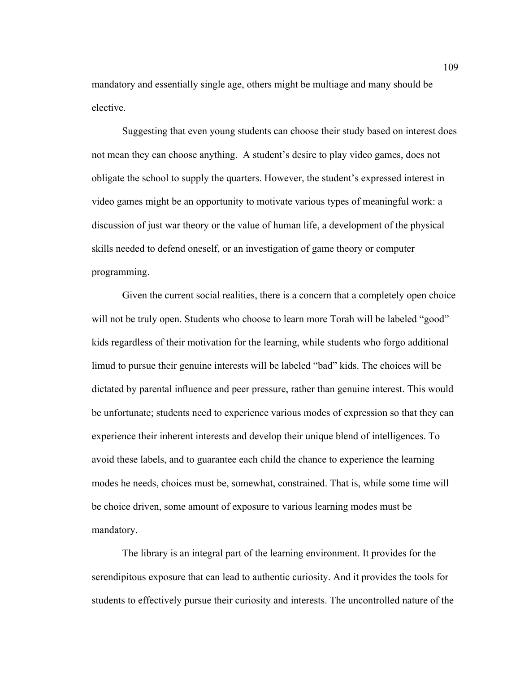mandatory and essentially single age, others might be multiage and many should be elective.

Suggesting that even young students can choose their study based on interest does not mean they can choose anything. A student's desire to play video games, does not obligate the school to supply the quarters. However, the student's expressed interest in video games might be an opportunity to motivate various types of meaningful work: a discussion of just war theory or the value of human life, a development of the physical skills needed to defend oneself, or an investigation of game theory or computer programming.

Given the current social realities, there is a concern that a completely open choice will not be truly open. Students who choose to learn more Torah will be labeled "good" kids regardless of their motivation for the learning, while students who forgo additional limud to pursue their genuine interests will be labeled "bad" kids. The choices will be dictated by parental influence and peer pressure, rather than genuine interest. This would be unfortunate; students need to experience various modes of expression so that they can experience their inherent interests and develop their unique blend of intelligences. To avoid these labels, and to guarantee each child the chance to experience the learning modes he needs, choices must be, somewhat, constrained. That is, while some time will be choice driven, some amount of exposure to various learning modes must be mandatory.

The library is an integral part of the learning environment. It provides for the serendipitous exposure that can lead to authentic curiosity. And it provides the tools for students to effectively pursue their curiosity and interests. The uncontrolled nature of the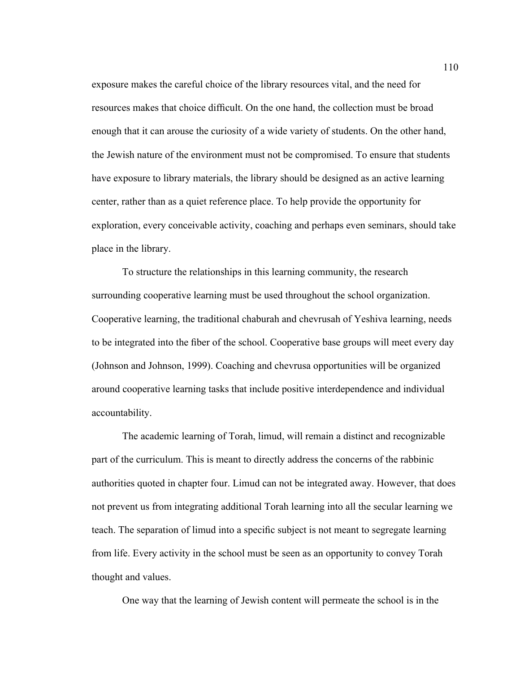exposure makes the careful choice of the library resources vital, and the need for resources makes that choice difficult. On the one hand, the collection must be broad enough that it can arouse the curiosity of a wide variety of students. On the other hand, the Jewish nature of the environment must not be compromised. To ensure that students have exposure to library materials, the library should be designed as an active learning center, rather than as a quiet reference place. To help provide the opportunity for exploration, every conceivable activity, coaching and perhaps even seminars, should take place in the library.

To structure the relationships in this learning community, the research surrounding cooperative learning must be used throughout the school organization. Cooperative learning, the traditional chaburah and chevrusah of Yeshiva learning, needs to be integrated into the fiber of the school. Cooperative base groups will meet every day (Johnson and Johnson, 1999). Coaching and chevrusa opportunities will be organized around cooperative learning tasks that include positive interdependence and individual accountability.

The academic learning of Torah, limud, will remain a distinct and recognizable part of the curriculum. This is meant to directly address the concerns of the rabbinic authorities quoted in chapter four. Limud can not be integrated away. However, that does not prevent us from integrating additional Torah learning into all the secular learning we teach. The separation of limud into a specific subject is not meant to segregate learning from life. Every activity in the school must be seen as an opportunity to convey Torah thought and values.

One way that the learning of Jewish content will permeate the school is in the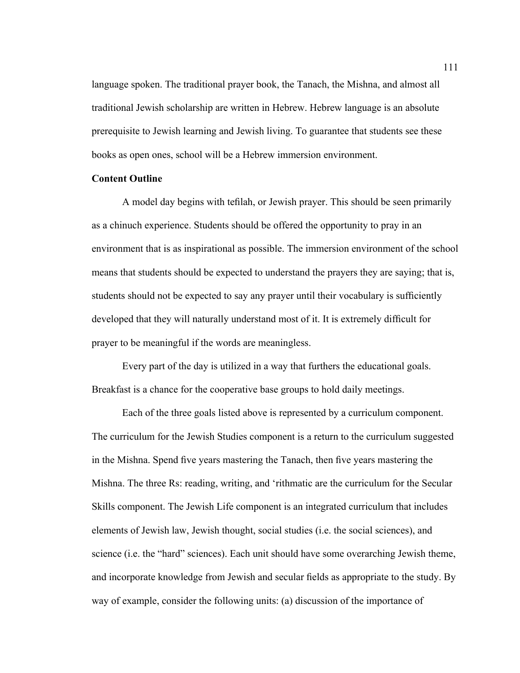language spoken. The traditional prayer book, the Tanach, the Mishna, and almost all traditional Jewish scholarship are written in Hebrew. Hebrew language is an absolute prerequisite to Jewish learning and Jewish living. To guarantee that students see these books as open ones, school will be a Hebrew immersion environment.

# **Content Outline**

A model day begins with tefilah, or Jewish prayer. This should be seen primarily as a chinuch experience. Students should be offered the opportunity to pray in an environment that is as inspirational as possible. The immersion environment of the school means that students should be expected to understand the prayers they are saying; that is, students should not be expected to say any prayer until their vocabulary is sufficiently developed that they will naturally understand most of it. It is extremely difficult for prayer to be meaningful if the words are meaningless.

Every part of the day is utilized in a way that furthers the educational goals. Breakfast is a chance for the cooperative base groups to hold daily meetings.

Each of the three goals listed above is represented by a curriculum component. The curriculum for the Jewish Studies component is a return to the curriculum suggested in the Mishna. Spend five years mastering the Tanach, then five years mastering the Mishna. The three Rs: reading, writing, and 'rithmatic are the curriculum for the Secular Skills component. The Jewish Life component is an integrated curriculum that includes elements of Jewish law, Jewish thought, social studies (i.e. the social sciences), and science (i.e. the "hard" sciences). Each unit should have some overarching Jewish theme, and incorporate knowledge from Jewish and secular fields as appropriate to the study. By way of example, consider the following units: (a) discussion of the importance of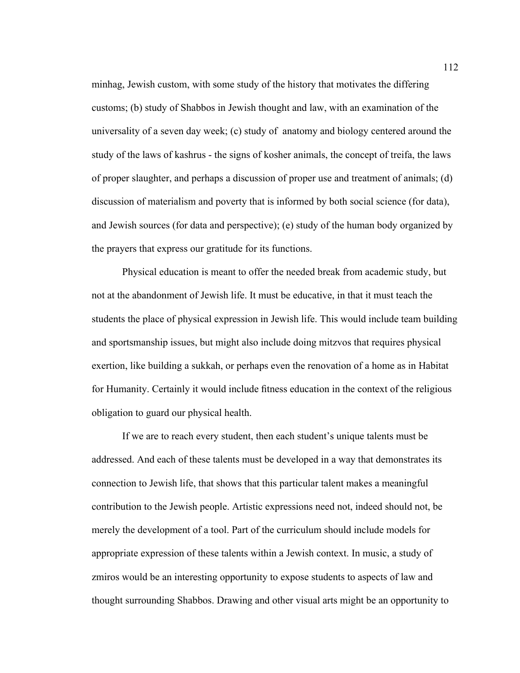minhag, Jewish custom, with some study of the history that motivates the differing customs; (b) study of Shabbos in Jewish thought and law, with an examination of the universality of a seven day week; (c) study of anatomy and biology centered around the study of the laws of kashrus - the signs of kosher animals, the concept of treifa, the laws of proper slaughter, and perhaps a discussion of proper use and treatment of animals; (d) discussion of materialism and poverty that is informed by both social science (for data), and Jewish sources (for data and perspective); (e) study of the human body organized by the prayers that express our gratitude for its functions.

Physical education is meant to offer the needed break from academic study, but not at the abandonment of Jewish life. It must be educative, in that it must teach the students the place of physical expression in Jewish life. This would include team building and sportsmanship issues, but might also include doing mitzvos that requires physical exertion, like building a sukkah, or perhaps even the renovation of a home as in Habitat for Humanity. Certainly it would include fitness education in the context of the religious obligation to guard our physical health.

If we are to reach every student, then each student's unique talents must be addressed. And each of these talents must be developed in a way that demonstrates its connection to Jewish life, that shows that this particular talent makes a meaningful contribution to the Jewish people. Artistic expressions need not, indeed should not, be merely the development of a tool. Part of the curriculum should include models for appropriate expression of these talents within a Jewish context. In music, a study of zmiros would be an interesting opportunity to expose students to aspects of law and thought surrounding Shabbos. Drawing and other visual arts might be an opportunity to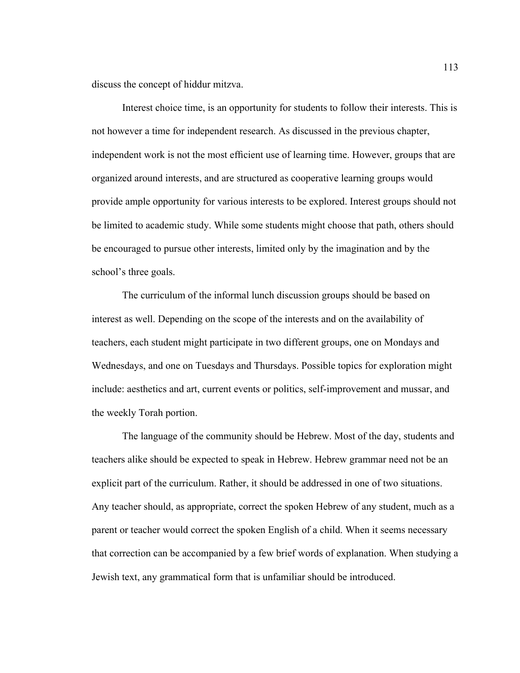discuss the concept of hiddur mitzva.

Interest choice time, is an opportunity for students to follow their interests. This is not however a time for independent research. As discussed in the previous chapter, independent work is not the most efficient use of learning time. However, groups that are organized around interests, and are structured as cooperative learning groups would provide ample opportunity for various interests to be explored. Interest groups should not be limited to academic study. While some students might choose that path, others should be encouraged to pursue other interests, limited only by the imagination and by the school's three goals.

The curriculum of the informal lunch discussion groups should be based on interest as well. Depending on the scope of the interests and on the availability of teachers, each student might participate in two different groups, one on Mondays and Wednesdays, and one on Tuesdays and Thursdays. Possible topics for exploration might include: aesthetics and art, current events or politics, self-improvement and mussar, and the weekly Torah portion.

The language of the community should be Hebrew. Most of the day, students and teachers alike should be expected to speak in Hebrew. Hebrew grammar need not be an explicit part of the curriculum. Rather, it should be addressed in one of two situations. Any teacher should, as appropriate, correct the spoken Hebrew of any student, much as a parent or teacher would correct the spoken English of a child. When it seems necessary that correction can be accompanied by a few brief words of explanation. When studying a Jewish text, any grammatical form that is unfamiliar should be introduced.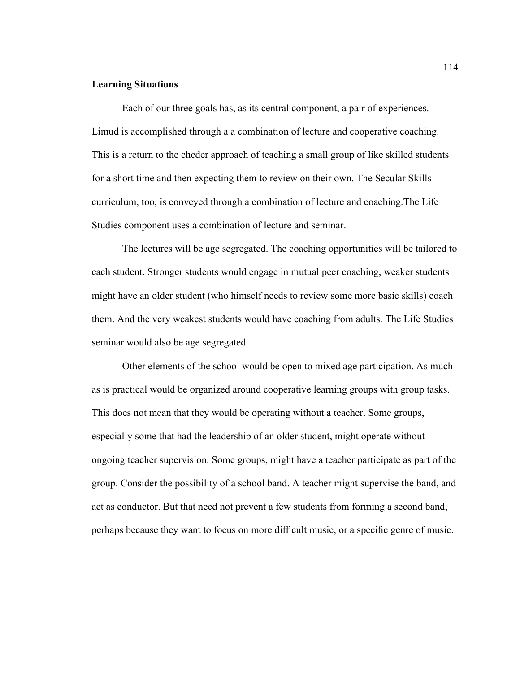### **Learning Situations**

Each of our three goals has, as its central component, a pair of experiences. Limud is accomplished through a a combination of lecture and cooperative coaching. This is a return to the cheder approach of teaching a small group of like skilled students for a short time and then expecting them to review on their own. The Secular Skills curriculum, too, is conveyed through a combination of lecture and coaching.The Life Studies component uses a combination of lecture and seminar.

The lectures will be age segregated. The coaching opportunities will be tailored to each student. Stronger students would engage in mutual peer coaching, weaker students might have an older student (who himself needs to review some more basic skills) coach them. And the very weakest students would have coaching from adults. The Life Studies seminar would also be age segregated.

Other elements of the school would be open to mixed age participation. As much as is practical would be organized around cooperative learning groups with group tasks. This does not mean that they would be operating without a teacher. Some groups, especially some that had the leadership of an older student, might operate without ongoing teacher supervision. Some groups, might have a teacher participate as part of the group. Consider the possibility of a school band. A teacher might supervise the band, and act as conductor. But that need not prevent a few students from forming a second band, perhaps because they want to focus on more difficult music, or a specific genre of music.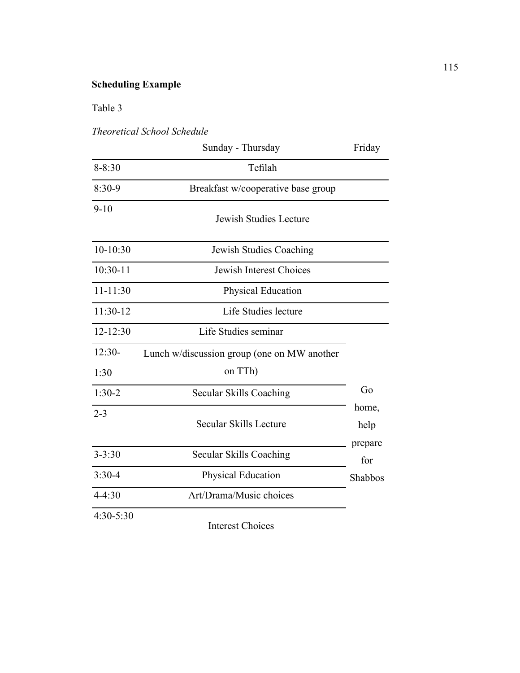# **Scheduling Example**

Table 3

*Theoretical School Schedule*

|              | Sunday - Thursday                           | Friday         |
|--------------|---------------------------------------------|----------------|
| $8 - 8:30$   | Tefilah                                     |                |
| $8:30-9$     | Breakfast w/cooperative base group          |                |
| $9 - 10$     | <b>Jewish Studies Lecture</b>               |                |
| $10-10:30$   | Jewish Studies Coaching                     |                |
| $10:30-11$   | Jewish Interest Choices                     |                |
| $11 - 11:30$ | Physical Education                          |                |
| 11:30-12     | Life Studies lecture                        |                |
| $12 - 12:30$ | Life Studies seminar                        |                |
| $12:30-$     | Lunch w/discussion group (one on MW another |                |
| 1:30         | on TTh)                                     |                |
| $1:30-2$     | Secular Skills Coaching                     | Go             |
| $2 - 3$      | Secular Skills Lecture                      | home,<br>help  |
| $3 - 3:30$   | Secular Skills Coaching                     | prepare<br>for |
| $3:30-4$     | Physical Education                          | Shabbos        |
| $4 - 4:30$   | Art/Drama/Music choices                     |                |
| 4:30-5:30    | <b>Interest Choices</b>                     |                |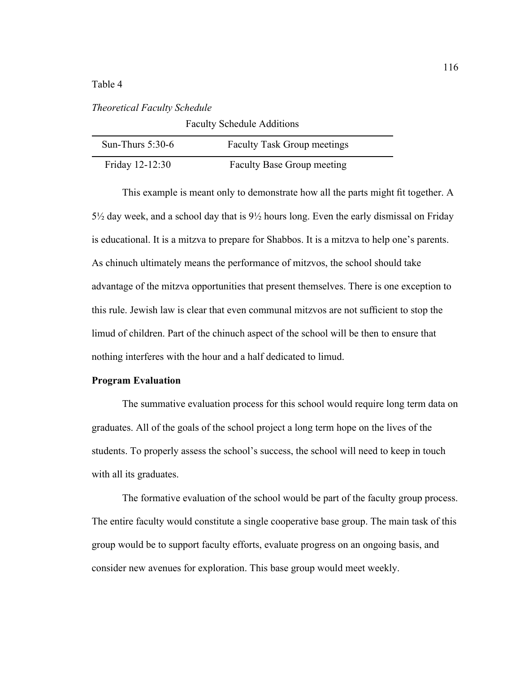Table 4

# *Theoretical Faculty Schedule*

| <b>Faculty Schedule Additions</b> |                                    |  |  |
|-----------------------------------|------------------------------------|--|--|
| Sun-Thurs $5:30-6$                | <b>Faculty Task Group meetings</b> |  |  |
| Friday 12-12:30                   | <b>Faculty Base Group meeting</b>  |  |  |

This example is meant only to demonstrate how all the parts might fit together. A 5½ day week, and a school day that is 9½ hours long. Even the early dismissal on Friday is educational. It is a mitzva to prepare for Shabbos. It is a mitzva to help one's parents. As chinuch ultimately means the performance of mitzvos, the school should take advantage of the mitzva opportunities that present themselves. There is one exception to this rule. Jewish law is clear that even communal mitzvos are not sufficient to stop the limud of children. Part of the chinuch aspect of the school will be then to ensure that nothing interferes with the hour and a half dedicated to limud.

# **Program Evaluation**

The summative evaluation process for this school would require long term data on graduates. All of the goals of the school project a long term hope on the lives of the students. To properly assess the school's success, the school will need to keep in touch with all its graduates.

The formative evaluation of the school would be part of the faculty group process. The entire faculty would constitute a single cooperative base group. The main task of this group would be to support faculty efforts, evaluate progress on an ongoing basis, and consider new avenues for exploration. This base group would meet weekly.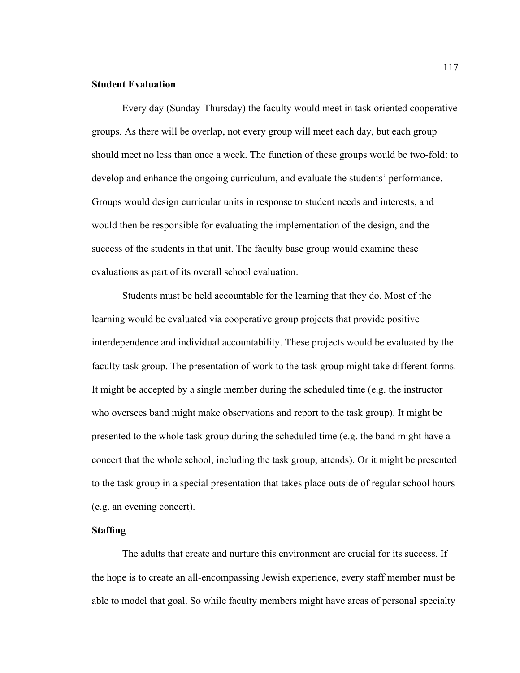# **Student Evaluation**

Every day (Sunday-Thursday) the faculty would meet in task oriented cooperative groups. As there will be overlap, not every group will meet each day, but each group should meet no less than once a week. The function of these groups would be two-fold: to develop and enhance the ongoing curriculum, and evaluate the students' performance. Groups would design curricular units in response to student needs and interests, and would then be responsible for evaluating the implementation of the design, and the success of the students in that unit. The faculty base group would examine these evaluations as part of its overall school evaluation.

Students must be held accountable for the learning that they do. Most of the learning would be evaluated via cooperative group projects that provide positive interdependence and individual accountability. These projects would be evaluated by the faculty task group. The presentation of work to the task group might take different forms. It might be accepted by a single member during the scheduled time (e.g. the instructor who oversees band might make observations and report to the task group). It might be presented to the whole task group during the scheduled time (e.g. the band might have a concert that the whole school, including the task group, attends). Or it might be presented to the task group in a special presentation that takes place outside of regular school hours (e.g. an evening concert).

# **Staffing**

The adults that create and nurture this environment are crucial for its success. If the hope is to create an all-encompassing Jewish experience, every staff member must be able to model that goal. So while faculty members might have areas of personal specialty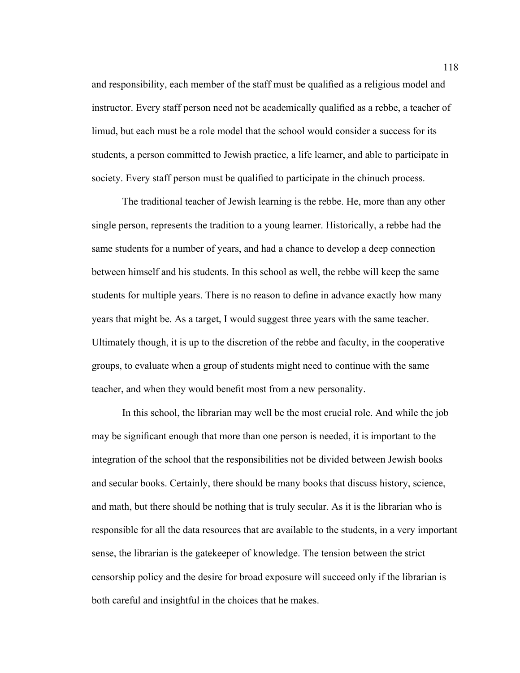and responsibility, each member of the staff must be qualified as a religious model and instructor. Every staff person need not be academically qualified as a rebbe, a teacher of limud, but each must be a role model that the school would consider a success for its students, a person committed to Jewish practice, a life learner, and able to participate in society. Every staff person must be qualified to participate in the chinuch process.

The traditional teacher of Jewish learning is the rebbe. He, more than any other single person, represents the tradition to a young learner. Historically, a rebbe had the same students for a number of years, and had a chance to develop a deep connection between himself and his students. In this school as well, the rebbe will keep the same students for multiple years. There is no reason to define in advance exactly how many years that might be. As a target, I would suggest three years with the same teacher. Ultimately though, it is up to the discretion of the rebbe and faculty, in the cooperative groups, to evaluate when a group of students might need to continue with the same teacher, and when they would benefit most from a new personality.

In this school, the librarian may well be the most crucial role. And while the job may be significant enough that more than one person is needed, it is important to the integration of the school that the responsibilities not be divided between Jewish books and secular books. Certainly, there should be many books that discuss history, science, and math, but there should be nothing that is truly secular. As it is the librarian who is responsible for all the data resources that are available to the students, in a very important sense, the librarian is the gatekeeper of knowledge. The tension between the strict censorship policy and the desire for broad exposure will succeed only if the librarian is both careful and insightful in the choices that he makes.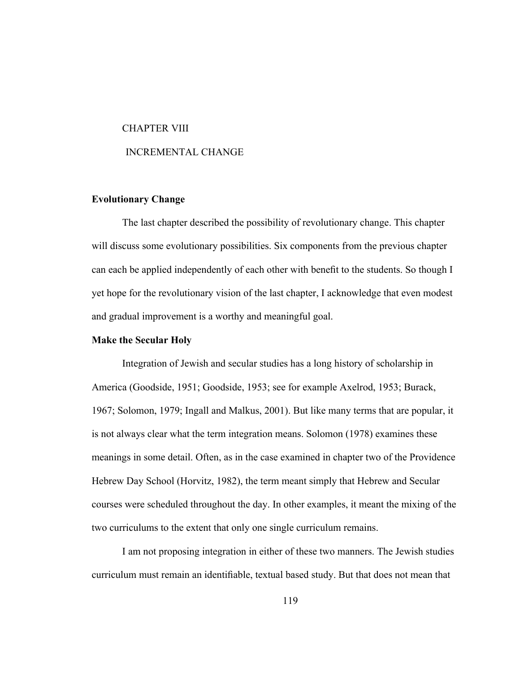#### CHAPTER VIII

#### INCREMENTAL CHANGE

## **Evolutionary Change**

The last chapter described the possibility of revolutionary change. This chapter will discuss some evolutionary possibilities. Six components from the previous chapter can each be applied independently of each other with benefit to the students. So though I yet hope for the revolutionary vision of the last chapter, I acknowledge that even modest and gradual improvement is a worthy and meaningful goal.

## **Make the Secular Holy**

Integration of Jewish and secular studies has a long history of scholarship in America (Goodside, 1951; Goodside, 1953; see for example Axelrod, 1953; Burack, 1967; Solomon, 1979; Ingall and Malkus, 2001). But like many terms that are popular, it is not always clear what the term integration means. Solomon (1978) examines these meanings in some detail. Often, as in the case examined in chapter two of the Providence Hebrew Day School (Horvitz, 1982), the term meant simply that Hebrew and Secular courses were scheduled throughout the day. In other examples, it meant the mixing of the two curriculums to the extent that only one single curriculum remains.

I am not proposing integration in either of these two manners. The Jewish studies curriculum must remain an identifiable, textual based study. But that does not mean that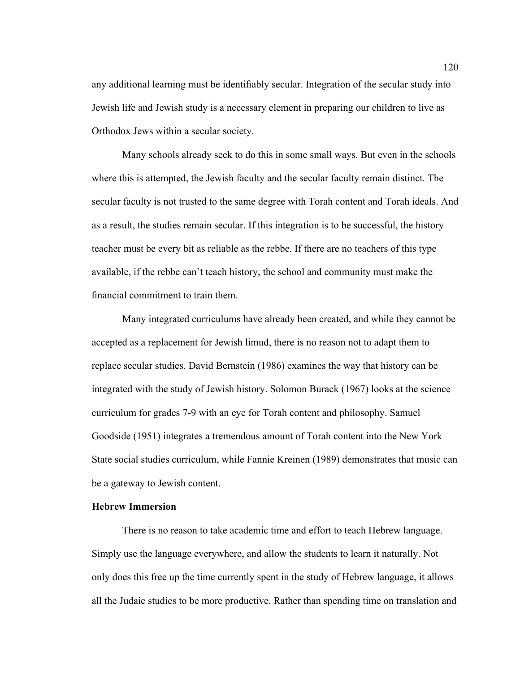any additional learning must be identifiably secular. Integration of the secular study into Jewish life and Jewish study is a necessary element in preparing our children to live as Orthodox Jews within a secular society.

Many schools already seek to do this in some small ways. But even in the schools where this is attempted, the Jewish faculty and the secular faculty remain distinct. The secular faculty is not trusted to the same degree with Torah content and Torah ideals. And as a result, the studies remain secular. If this integration is to be successful, the history teacher must be every bit as reliable as the rebbe. If there are no teachers of this type available, if the rebbe can't teach history, the school and community must make the financial commitment to train them.

Many integrated curriculums have already been created, and while they cannot be accepted as a replacement for Jewish limud, there is no reason not to adapt them to replace secular studies. David Bernstein (1986) examines the way that history can be integrated with the study of Jewish history. Solomon Burack (1967) looks at the science curriculum for grades 7-9 with an eye for Torah content and philosophy. Samuel Goodside (1951) integrates a tremendous amount of Torah content into the New York State social studies curriculum, while Fannie Kreinen (1989) demonstrates that music can be a gateway to Jewish content.

## **Hebrew Immersion**

There is no reason to take academic time and effort to teach Hebrew language. Simply use the language everywhere, and allow the students to learn it naturally. Not only does this free up the time currently spent in the study of Hebrew language, it allows all the Judaic studies to be more productive. Rather than spending time on translation and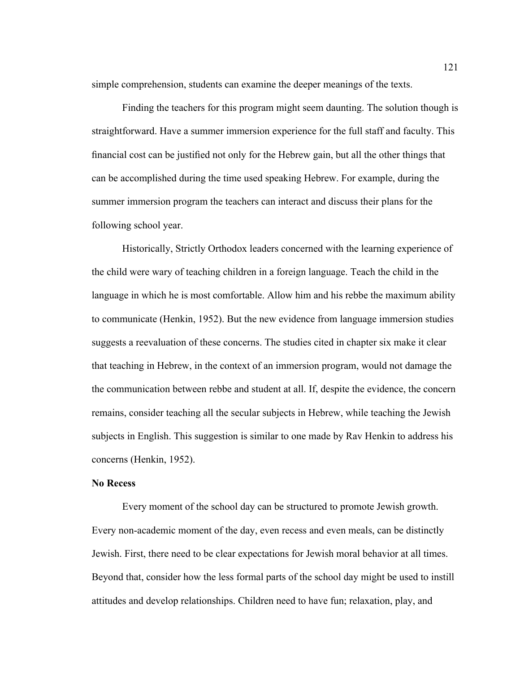simple comprehension, students can examine the deeper meanings of the texts.

Finding the teachers for this program might seem daunting. The solution though is straightforward. Have a summer immersion experience for the full staff and faculty. This financial cost can be justified not only for the Hebrew gain, but all the other things that can be accomplished during the time used speaking Hebrew. For example, during the summer immersion program the teachers can interact and discuss their plans for the following school year.

Historically, Strictly Orthodox leaders concerned with the learning experience of the child were wary of teaching children in a foreign language. Teach the child in the language in which he is most comfortable. Allow him and his rebbe the maximum ability to communicate (Henkin, 1952). But the new evidence from language immersion studies suggests a reevaluation of these concerns. The studies cited in chapter six make it clear that teaching in Hebrew, in the context of an immersion program, would not damage the the communication between rebbe and student at all. If, despite the evidence, the concern remains, consider teaching all the secular subjects in Hebrew, while teaching the Jewish subjects in English. This suggestion is similar to one made by Rav Henkin to address his concerns (Henkin, 1952).

#### **No Recess**

Every moment of the school day can be structured to promote Jewish growth. Every non-academic moment of the day, even recess and even meals, can be distinctly Jewish. First, there need to be clear expectations for Jewish moral behavior at all times. Beyond that, consider how the less formal parts of the school day might be used to instill attitudes and develop relationships. Children need to have fun; relaxation, play, and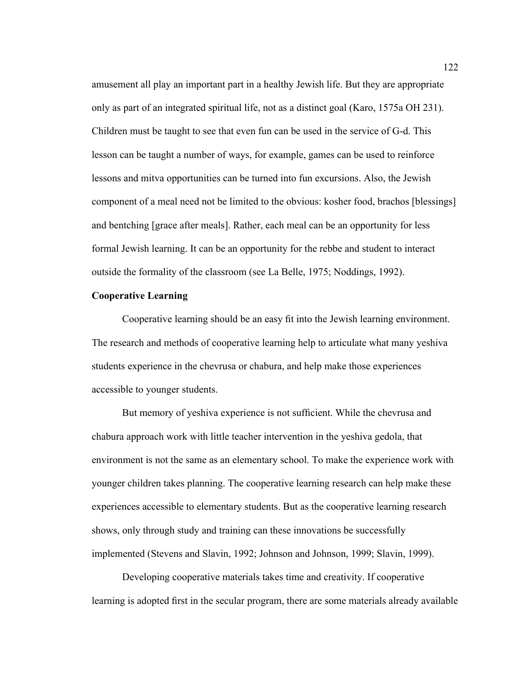amusement all play an important part in a healthy Jewish life. But they are appropriate only as part of an integrated spiritual life, not as a distinct goal (Karo, 1575a OH 231). Children must be taught to see that even fun can be used in the service of G-d. This lesson can be taught a number of ways, for example, games can be used to reinforce lessons and mitva opportunities can be turned into fun excursions. Also, the Jewish component of a meal need not be limited to the obvious: kosher food, brachos [blessings] and bentching [grace after meals]. Rather, each meal can be an opportunity for less formal Jewish learning. It can be an opportunity for the rebbe and student to interact outside the formality of the classroom (see La Belle, 1975; Noddings, 1992).

## **Cooperative Learning**

Cooperative learning should be an easy fit into the Jewish learning environment. The research and methods of cooperative learning help to articulate what many yeshiva students experience in the chevrusa or chabura, and help make those experiences accessible to younger students.

But memory of yeshiva experience is not sufficient. While the chevrusa and chabura approach work with little teacher intervention in the yeshiva gedola, that environment is not the same as an elementary school. To make the experience work with younger children takes planning. The cooperative learning research can help make these experiences accessible to elementary students. But as the cooperative learning research shows, only through study and training can these innovations be successfully implemented (Stevens and Slavin, 1992; Johnson and Johnson, 1999; Slavin, 1999).

Developing cooperative materials takes time and creativity. If cooperative learning is adopted first in the secular program, there are some materials already available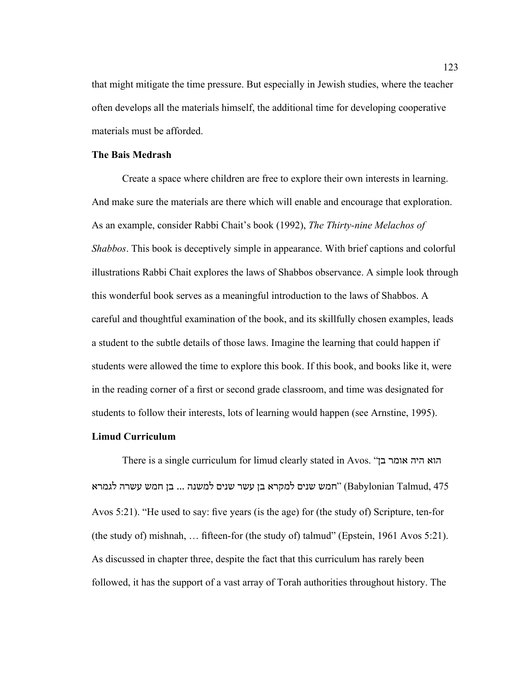that might mitigate the time pressure. But especially in Jewish studies, where the teacher often develops all the materials himself, the additional time for developing cooperative materials must be afforded.

# **The Bais Medrash**

Create a space where children are free to explore their own interests in learning. And make sure the materials are there which will enable and encourage that exploration. As an example, consider Rabbi Chait's book (1992), *The Thirty-nine Melachos of Shabbos*. This book is deceptively simple in appearance. With brief captions and colorful illustrations Rabbi Chait explores the laws of Shabbos observance. A simple look through this wonderful book serves as a meaningful introduction to the laws of Shabbos. A careful and thoughtful examination of the book, and its skillfully chosen examples, leads a student to the subtle details of those laws. Imagine the learning that could happen if students were allowed the time to explore this book. If this book, and books like it, were in the reading corner of a first or second grade classroom, and time was designated for students to follow their interests, lots of learning would happen (see Arnstine, 1995).

# **Limud Curriculum**

There is a single curriculum for limud clearly stated in Avos. "בן אומר היה הוא המש שנים למקרא בן עשר שנים למשנה ... בן חמש עשרה לגמרא (Babylonian Talmud, 475 Avos 5:21). "He used to say: five years (is the age) for (the study of) Scripture, ten-for (the study of) mishnah, … fifteen-for (the study of) talmud" (Epstein, 1961 Avos 5:21). As discussed in chapter three, despite the fact that this curriculum has rarely been followed, it has the support of a vast array of Torah authorities throughout history. The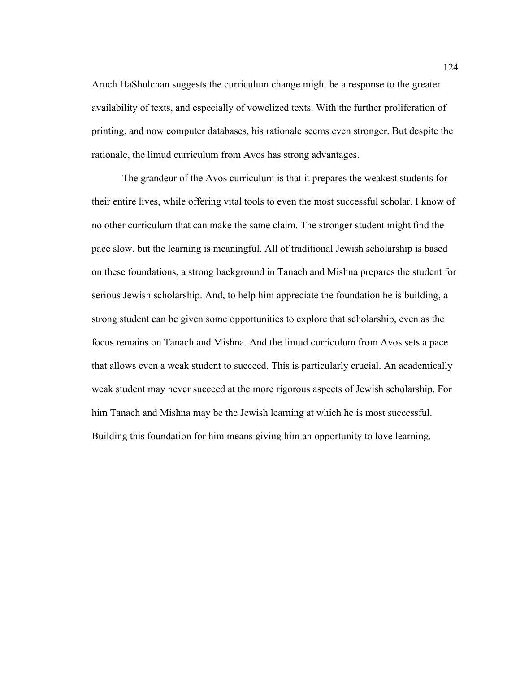Aruch HaShulchan suggests the curriculum change might be a response to the greater availability of texts, and especially of vowelized texts. With the further proliferation of printing, and now computer databases, his rationale seems even stronger. But despite the rationale, the limud curriculum from Avos has strong advantages.

The grandeur of the Avos curriculum is that it prepares the weakest students for their entire lives, while offering vital tools to even the most successful scholar. I know of no other curriculum that can make the same claim. The stronger student might find the pace slow, but the learning is meaningful. All of traditional Jewish scholarship is based on these foundations, a strong background in Tanach and Mishna prepares the student for serious Jewish scholarship. And, to help him appreciate the foundation he is building, a strong student can be given some opportunities to explore that scholarship, even as the focus remains on Tanach and Mishna. And the limud curriculum from Avos sets a pace that allows even a weak student to succeed. This is particularly crucial. An academically weak student may never succeed at the more rigorous aspects of Jewish scholarship. For him Tanach and Mishna may be the Jewish learning at which he is most successful. Building this foundation for him means giving him an opportunity to love learning.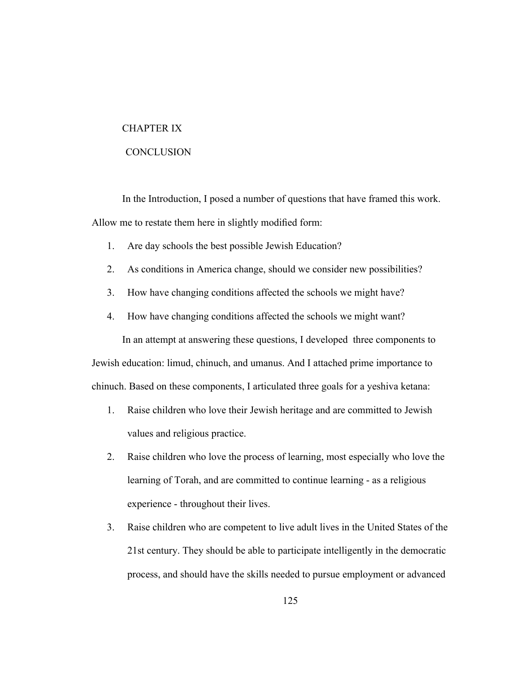#### CHAPTER IX

## **CONCLUSION**

In the Introduction, I posed a number of questions that have framed this work. Allow me to restate them here in slightly modified form:

- 1. Are day schools the best possible Jewish Education?
- 2. As conditions in America change, should we consider new possibilities?
- 3. How have changing conditions affected the schools we might have?
- 4. How have changing conditions affected the schools we might want?

In an attempt at answering these questions, I developed three components to Jewish education: limud, chinuch, and umanus. And I attached prime importance to chinuch. Based on these components, I articulated three goals for a yeshiva ketana:

- 1. Raise children who love their Jewish heritage and are committed to Jewish values and religious practice.
- 2. Raise children who love the process of learning, most especially who love the learning of Torah, and are committed to continue learning - as a religious experience - throughout their lives.
- 3. Raise children who are competent to live adult lives in the United States of the 21st century. They should be able to participate intelligently in the democratic process, and should have the skills needed to pursue employment or advanced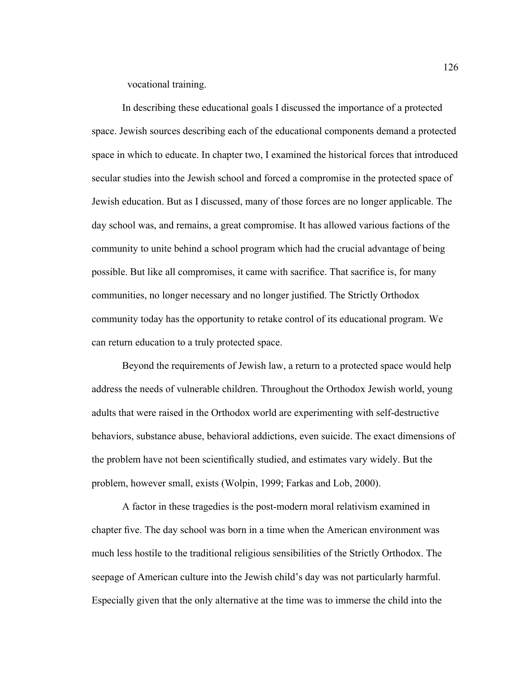vocational training.

In describing these educational goals I discussed the importance of a protected space. Jewish sources describing each of the educational components demand a protected space in which to educate. In chapter two, I examined the historical forces that introduced secular studies into the Jewish school and forced a compromise in the protected space of Jewish education. But as I discussed, many of those forces are no longer applicable. The day school was, and remains, a great compromise. It has allowed various factions of the community to unite behind a school program which had the crucial advantage of being possible. But like all compromises, it came with sacrifice. That sacrifice is, for many communities, no longer necessary and no longer justified. The Strictly Orthodox community today has the opportunity to retake control of its educational program. We can return education to a truly protected space.

Beyond the requirements of Jewish law, a return to a protected space would help address the needs of vulnerable children. Throughout the Orthodox Jewish world, young adults that were raised in the Orthodox world are experimenting with self-destructive behaviors, substance abuse, behavioral addictions, even suicide. The exact dimensions of the problem have not been scientifically studied, and estimates vary widely. But the problem, however small, exists (Wolpin, 1999; Farkas and Lob, 2000).

A factor in these tragedies is the post-modern moral relativism examined in chapter five. The day school was born in a time when the American environment was much less hostile to the traditional religious sensibilities of the Strictly Orthodox. The seepage of American culture into the Jewish child's day was not particularly harmful. Especially given that the only alternative at the time was to immerse the child into the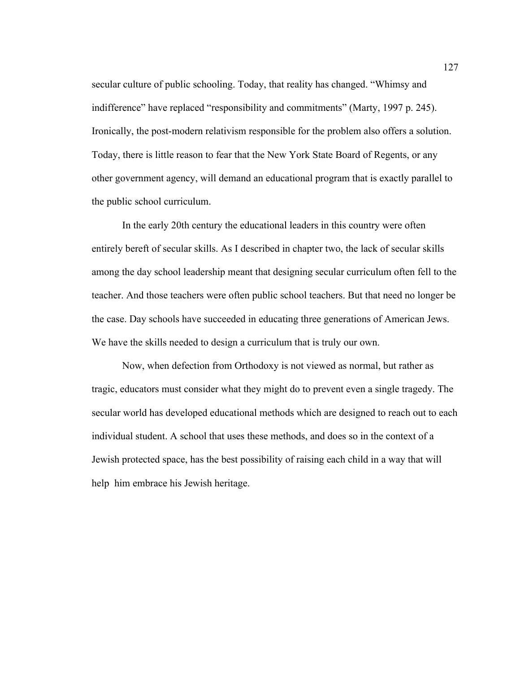secular culture of public schooling. Today, that reality has changed. "Whimsy and indifference" have replaced "responsibility and commitments" (Marty, 1997 p. 245). Ironically, the post-modern relativism responsible for the problem also offers a solution. Today, there is little reason to fear that the New York State Board of Regents, or any other government agency, will demand an educational program that is exactly parallel to the public school curriculum.

In the early 20th century the educational leaders in this country were often entirely bereft of secular skills. As I described in chapter two, the lack of secular skills among the day school leadership meant that designing secular curriculum often fell to the teacher. And those teachers were often public school teachers. But that need no longer be the case. Day schools have succeeded in educating three generations of American Jews. We have the skills needed to design a curriculum that is truly our own.

Now, when defection from Orthodoxy is not viewed as normal, but rather as tragic, educators must consider what they might do to prevent even a single tragedy. The secular world has developed educational methods which are designed to reach out to each individual student. A school that uses these methods, and does so in the context of a Jewish protected space, has the best possibility of raising each child in a way that will help him embrace his Jewish heritage.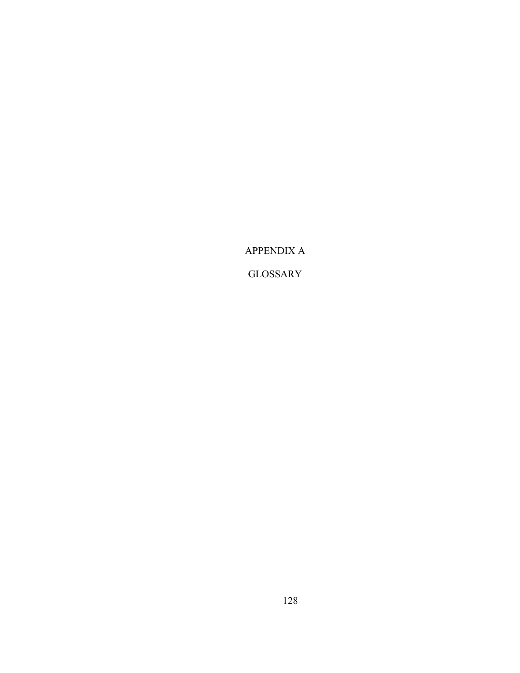APPENDIX A

GLOSSARY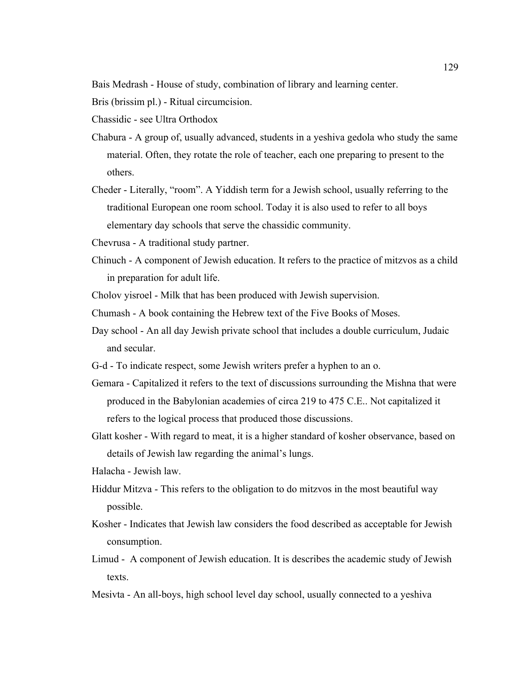Bais Medrash - House of study, combination of library and learning center.

Bris (brissim pl.) - Ritual circumcision.

Chassidic - see Ultra Orthodox

- Chabura A group of, usually advanced, students in a yeshiva gedola who study the same material. Often, they rotate the role of teacher, each one preparing to present to the others.
- Cheder Literally, "room". A Yiddish term for a Jewish school, usually referring to the traditional European one room school. Today it is also used to refer to all boys elementary day schools that serve the chassidic community.
- Chevrusa A traditional study partner.
- Chinuch A component of Jewish education. It refers to the practice of mitzvos as a child in preparation for adult life.
- Cholov yisroel Milk that has been produced with Jewish supervision.
- Chumash A book containing the Hebrew text of the Five Books of Moses.
- Day school An all day Jewish private school that includes a double curriculum, Judaic and secular.
- G-d To indicate respect, some Jewish writers prefer a hyphen to an o.
- Gemara Capitalized it refers to the text of discussions surrounding the Mishna that were produced in the Babylonian academies of circa 219 to 475 C.E.. Not capitalized it refers to the logical process that produced those discussions.
- Glatt kosher With regard to meat, it is a higher standard of kosher observance, based on details of Jewish law regarding the animal's lungs.
- Halacha Jewish law.
- Hiddur Mitzva This refers to the obligation to do mitzvos in the most beautiful way possible.
- Kosher Indicates that Jewish law considers the food described as acceptable for Jewish consumption.
- Limud A component of Jewish education. It is describes the academic study of Jewish texts.
- Mesivta An all-boys, high school level day school, usually connected to a yeshiva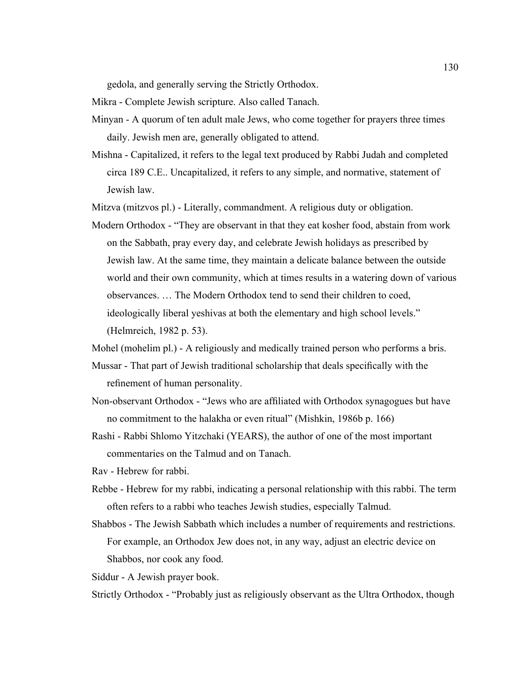gedola, and generally serving the Strictly Orthodox.

Mikra - Complete Jewish scripture. Also called Tanach.

- Minyan A quorum of ten adult male Jews, who come together for prayers three times daily. Jewish men are, generally obligated to attend.
- Mishna Capitalized, it refers to the legal text produced by Rabbi Judah and completed circa 189 C.E.. Uncapitalized, it refers to any simple, and normative, statement of Jewish law.

Mitzva (mitzvos pl.) - Literally, commandment. A religious duty or obligation.

Modern Orthodox - "They are observant in that they eat kosher food, abstain from work on the Sabbath, pray every day, and celebrate Jewish holidays as prescribed by Jewish law. At the same time, they maintain a delicate balance between the outside world and their own community, which at times results in a watering down of various observances. … The Modern Orthodox tend to send their children to coed, ideologically liberal yeshivas at both the elementary and high school levels." (Helmreich, 1982 p. 53).

Mohel (mohelim pl.) - A religiously and medically trained person who performs a bris.

- Mussar That part of Jewish traditional scholarship that deals specifically with the refinement of human personality.
- Non-observant Orthodox "Jews who are affiliated with Orthodox synagogues but have no commitment to the halakha or even ritual" (Mishkin, 1986b p. 166)
- Rashi Rabbi Shlomo Yitzchaki (YEARS), the author of one of the most important commentaries on the Talmud and on Tanach.

Rav - Hebrew for rabbi.

- Rebbe Hebrew for my rabbi, indicating a personal relationship with this rabbi. The term often refers to a rabbi who teaches Jewish studies, especially Talmud.
- Shabbos The Jewish Sabbath which includes a number of requirements and restrictions. For example, an Orthodox Jew does not, in any way, adjust an electric device on Shabbos, nor cook any food.

Siddur - A Jewish prayer book.

Strictly Orthodox - "Probably just as religiously observant as the Ultra Orthodox, though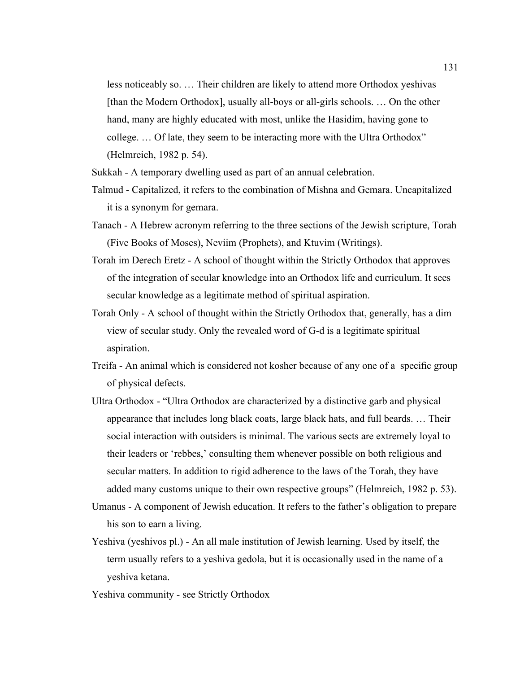less noticeably so. … Their children are likely to attend more Orthodox yeshivas [than the Modern Orthodox], usually all-boys or all-girls schools. … On the other hand, many are highly educated with most, unlike the Hasidim, having gone to college. … Of late, they seem to be interacting more with the Ultra Orthodox" (Helmreich, 1982 p. 54).

Sukkah - A temporary dwelling used as part of an annual celebration.

- Talmud Capitalized, it refers to the combination of Mishna and Gemara. Uncapitalized it is a synonym for gemara.
- Tanach A Hebrew acronym referring to the three sections of the Jewish scripture, Torah (Five Books of Moses), Neviim (Prophets), and Ktuvim (Writings).
- Torah im Derech Eretz A school of thought within the Strictly Orthodox that approves of the integration of secular knowledge into an Orthodox life and curriculum. It sees secular knowledge as a legitimate method of spiritual aspiration.
- Torah Only A school of thought within the Strictly Orthodox that, generally, has a dim view of secular study. Only the revealed word of G-d is a legitimate spiritual aspiration.
- Treifa An animal which is considered not kosher because of any one of a specific group of physical defects.
- Ultra Orthodox "Ultra Orthodox are characterized by a distinctive garb and physical appearance that includes long black coats, large black hats, and full beards. … Their social interaction with outsiders is minimal. The various sects are extremely loyal to their leaders or 'rebbes,' consulting them whenever possible on both religious and secular matters. In addition to rigid adherence to the laws of the Torah, they have added many customs unique to their own respective groups" (Helmreich, 1982 p. 53).
- Umanus A component of Jewish education. It refers to the father's obligation to prepare his son to earn a living.
- Yeshiva (yeshivos pl.) An all male institution of Jewish learning. Used by itself, the term usually refers to a yeshiva gedola, but it is occasionally used in the name of a yeshiva ketana.

Yeshiva community - see Strictly Orthodox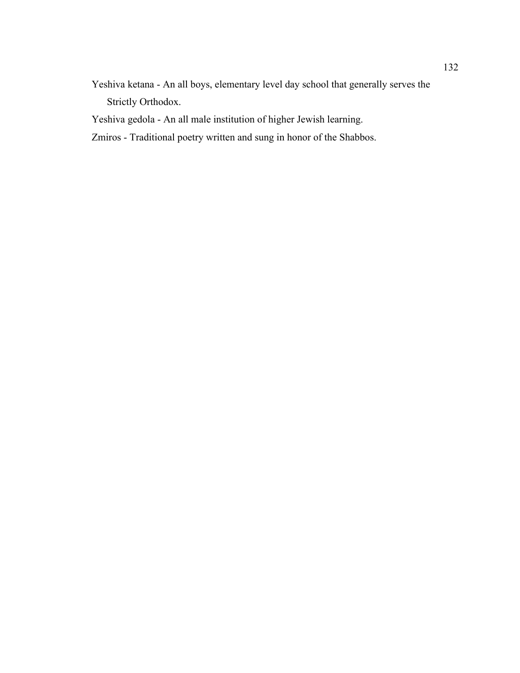Yeshiva ketana - An all boys, elementary level day school that generally serves the Strictly Orthodox.

Yeshiva gedola - An all male institution of higher Jewish learning.

Zmiros - Traditional poetry written and sung in honor of the Shabbos.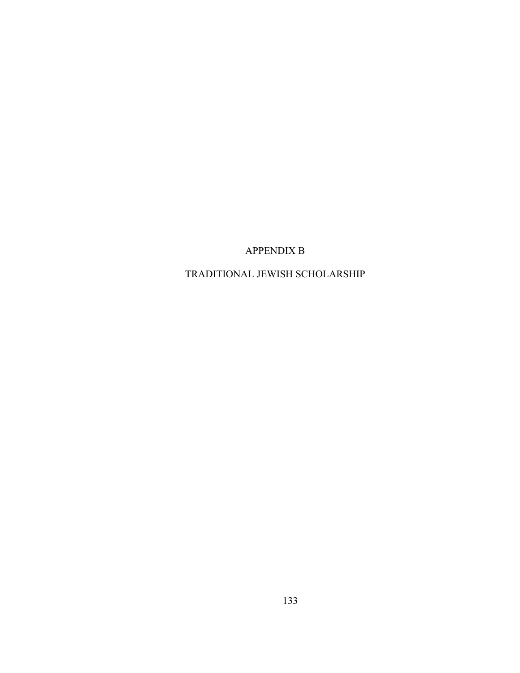APPENDIX B

TRADITIONAL JEWISH SCHOLARSHIP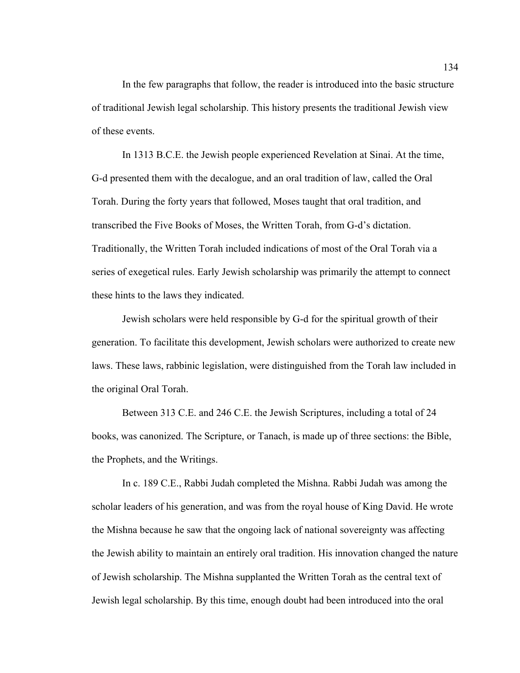In the few paragraphs that follow, the reader is introduced into the basic structure of traditional Jewish legal scholarship. This history presents the traditional Jewish view of these events.

In 1313 B.C.E. the Jewish people experienced Revelation at Sinai. At the time, G-d presented them with the decalogue, and an oral tradition of law, called the Oral Torah. During the forty years that followed, Moses taught that oral tradition, and transcribed the Five Books of Moses, the Written Torah, from G-d's dictation. Traditionally, the Written Torah included indications of most of the Oral Torah via a series of exegetical rules. Early Jewish scholarship was primarily the attempt to connect these hints to the laws they indicated.

Jewish scholars were held responsible by G-d for the spiritual growth of their generation. To facilitate this development, Jewish scholars were authorized to create new laws. These laws, rabbinic legislation, were distinguished from the Torah law included in the original Oral Torah.

Between 313 C.E. and 246 C.E. the Jewish Scriptures, including a total of 24 books, was canonized. The Scripture, or Tanach, is made up of three sections: the Bible, the Prophets, and the Writings.

In c. 189 C.E., Rabbi Judah completed the Mishna. Rabbi Judah was among the scholar leaders of his generation, and was from the royal house of King David. He wrote the Mishna because he saw that the ongoing lack of national sovereignty was affecting the Jewish ability to maintain an entirely oral tradition. His innovation changed the nature of Jewish scholarship. The Mishna supplanted the Written Torah as the central text of Jewish legal scholarship. By this time, enough doubt had been introduced into the oral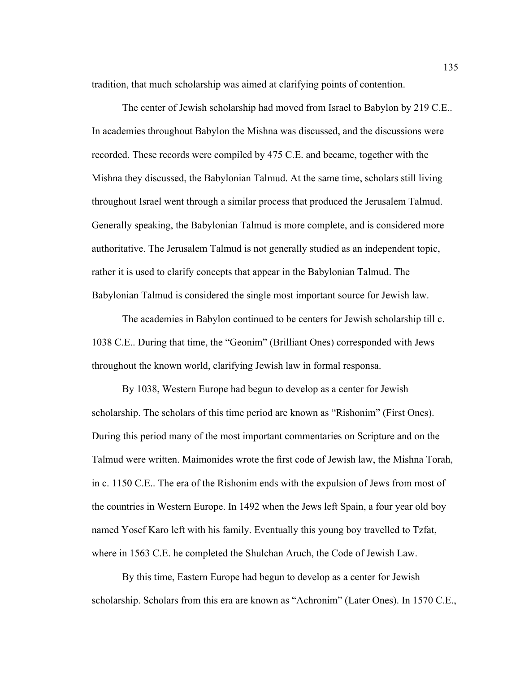tradition, that much scholarship was aimed at clarifying points of contention.

The center of Jewish scholarship had moved from Israel to Babylon by 219 C.E.. In academies throughout Babylon the Mishna was discussed, and the discussions were recorded. These records were compiled by 475 C.E. and became, together with the Mishna they discussed, the Babylonian Talmud. At the same time, scholars still living throughout Israel went through a similar process that produced the Jerusalem Talmud. Generally speaking, the Babylonian Talmud is more complete, and is considered more authoritative. The Jerusalem Talmud is not generally studied as an independent topic, rather it is used to clarify concepts that appear in the Babylonian Talmud. The Babylonian Talmud is considered the single most important source for Jewish law.

The academies in Babylon continued to be centers for Jewish scholarship till c. 1038 C.E.. During that time, the "Geonim" (Brilliant Ones) corresponded with Jews throughout the known world, clarifying Jewish law in formal responsa.

By 1038, Western Europe had begun to develop as a center for Jewish scholarship. The scholars of this time period are known as "Rishonim" (First Ones). During this period many of the most important commentaries on Scripture and on the Talmud were written. Maimonides wrote the first code of Jewish law, the Mishna Torah, in c. 1150 C.E.. The era of the Rishonim ends with the expulsion of Jews from most of the countries in Western Europe. In 1492 when the Jews left Spain, a four year old boy named Yosef Karo left with his family. Eventually this young boy travelled to Tzfat, where in 1563 C.E. he completed the Shulchan Aruch, the Code of Jewish Law.

By this time, Eastern Europe had begun to develop as a center for Jewish scholarship. Scholars from this era are known as "Achronim" (Later Ones). In 1570 C.E.,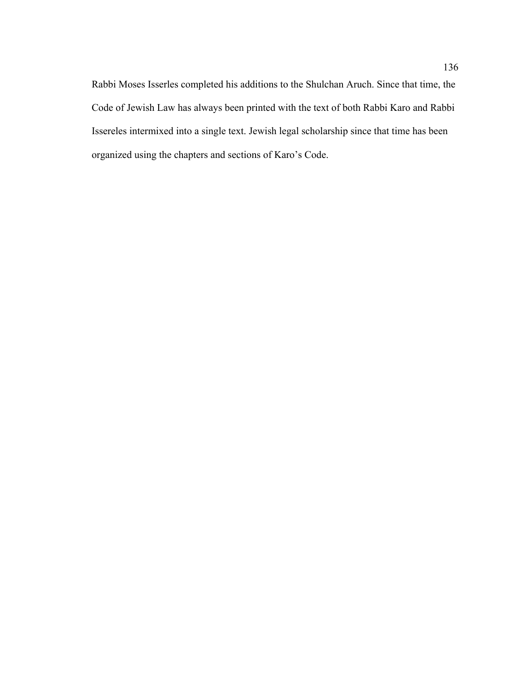Rabbi Moses Isserles completed his additions to the Shulchan Aruch. Since that time, the Code of Jewish Law has always been printed with the text of both Rabbi Karo and Rabbi Issereles intermixed into a single text. Jewish legal scholarship since that time has been organized using the chapters and sections of Karo's Code.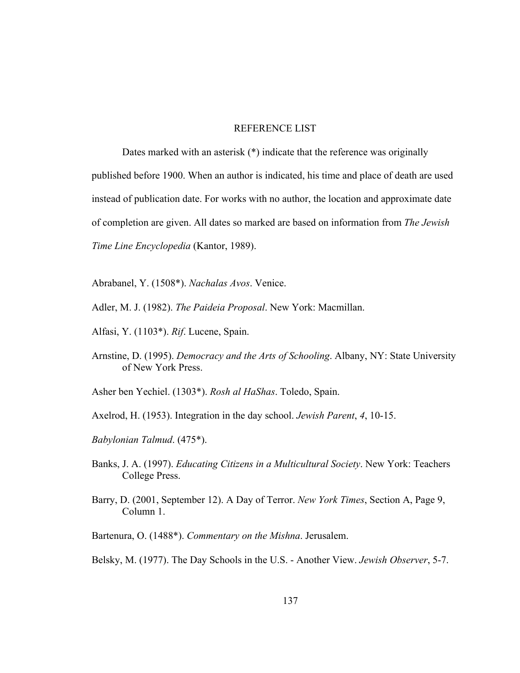## REFERENCE LIST

Dates marked with an asterisk (\*) indicate that the reference was originally published before 1900. When an author is indicated, his time and place of death are used instead of publication date. For works with no author, the location and approximate date of completion are given. All dates so marked are based on information from *The Jewish Time Line Encyclopedia* (Kantor, 1989).

Abrabanel, Y. (1508\*). *Nachalas Avos*. Venice.

- Adler, M. J. (1982). *The Paideia Proposal*. New York: Macmillan.
- Alfasi, Y. (1103\*). *Rif*. Lucene, Spain.
- Arnstine, D. (1995). *Democracy and the Arts of Schooling*. Albany, NY: State University of New York Press.

Asher ben Yechiel. (1303\*). *Rosh al HaShas*. Toledo, Spain.

- Axelrod, H. (1953). Integration in the day school. *Jewish Parent*, *4*, 10-15.
- *Babylonian Talmud*. (475\*).
- Banks, J. A. (1997). *Educating Citizens in a Multicultural Society*. New York: Teachers College Press.
- Barry, D. (2001, September 12). A Day of Terror. *New York Times*, Section A, Page 9, Column 1.
- Bartenura, O. (1488\*). *Commentary on the Mishna*. Jerusalem.

Belsky, M. (1977). The Day Schools in the U.S. - Another View. *Jewish Observer*, 5-7.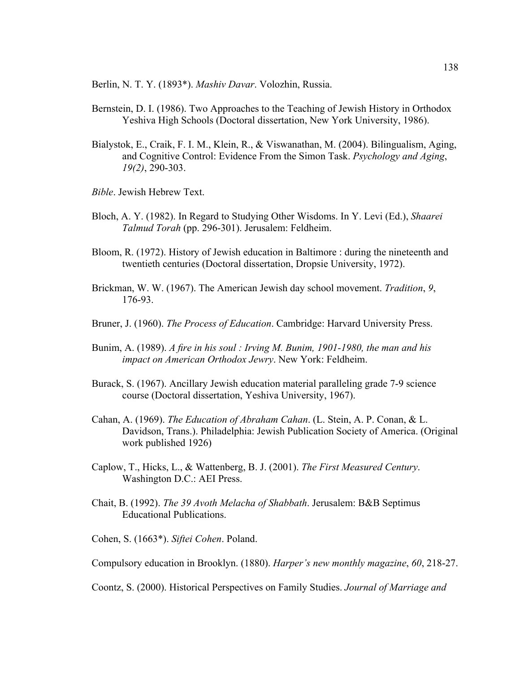Berlin, N. T. Y. (1893\*). *Mashiv Davar*. Volozhin, Russia.

- Bernstein, D. I. (1986). Two Approaches to the Teaching of Jewish History in Orthodox Yeshiva High Schools (Doctoral dissertation, New York University, 1986).
- Bialystok, E., Craik, F. I. M., Klein, R., & Viswanathan, M. (2004). Bilingualism, Aging, and Cognitive Control: Evidence From the Simon Task. *Psychology and Aging*, *19(2)*, 290-303.
- *Bible*. Jewish Hebrew Text.
- Bloch, A. Y. (1982). In Regard to Studying Other Wisdoms. In Y. Levi (Ed.), *Shaarei Talmud Torah* (pp. 296-301). Jerusalem: Feldheim.
- Bloom, R. (1972). History of Jewish education in Baltimore : during the nineteenth and twentieth centuries (Doctoral dissertation, Dropsie University, 1972).
- Brickman, W. W. (1967). The American Jewish day school movement. *Tradition*, *9*, 176-93.
- Bruner, J. (1960). *The Process of Education*. Cambridge: Harvard University Press.
- Bunim, A. (1989). *A fire in his soul : Irving M. Bunim, 1901-1980, the man and his impact on American Orthodox Jewry*. New York: Feldheim.
- Burack, S. (1967). Ancillary Jewish education material paralleling grade 7-9 science course (Doctoral dissertation, Yeshiva University, 1967).
- Cahan, A. (1969). *The Education of Abraham Cahan*. (L. Stein, A. P. Conan, & L. Davidson, Trans.). Philadelphia: Jewish Publication Society of America. (Original work published 1926)
- Caplow, T., Hicks, L., & Wattenberg, B. J. (2001). *The First Measured Century*. Washington D.C.: AEI Press.
- Chait, B. (1992). *The 39 Avoth Melacha of Shabbath*. Jerusalem: B&B Septimus Educational Publications.

Cohen, S. (1663\*). *Siftei Cohen*. Poland.

Compulsory education in Brooklyn. (1880). *Harper's new monthly magazine*, *60*, 218-27.

Coontz, S. (2000). Historical Perspectives on Family Studies. *Journal of Marriage and*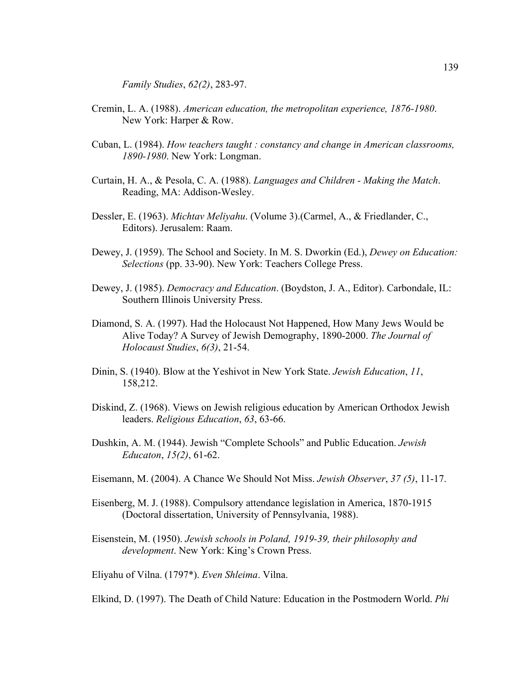*Family Studies*, *62(2)*, 283-97.

- Cremin, L. A. (1988). *American education, the metropolitan experience, 1876-1980*. New York: Harper & Row.
- Cuban, L. (1984). *How teachers taught : constancy and change in American classrooms, 1890-1980*. New York: Longman.
- Curtain, H. A., & Pesola, C. A. (1988). *Languages and Children Making the Match*. Reading, MA: Addison-Wesley.
- Dessler, E. (1963). *Michtav Meliyahu*. (Volume 3).(Carmel, A., & Friedlander, C., Editors). Jerusalem: Raam.
- Dewey, J. (1959). The School and Society. In M. S. Dworkin (Ed.), *Dewey on Education: Selections* (pp. 33-90). New York: Teachers College Press.
- Dewey, J. (1985). *Democracy and Education*. (Boydston, J. A., Editor). Carbondale, IL: Southern Illinois University Press.
- Diamond, S. A. (1997). Had the Holocaust Not Happened, How Many Jews Would be Alive Today? A Survey of Jewish Demography, 1890-2000. *The Journal of Holocaust Studies*, *6(3)*, 21-54.
- Dinin, S. (1940). Blow at the Yeshivot in New York State. *Jewish Education*, *11*, 158,212.
- Diskind, Z. (1968). Views on Jewish religious education by American Orthodox Jewish leaders. *Religious Education*, *63*, 63-66.
- Dushkin, A. M. (1944). Jewish "Complete Schools" and Public Education. *Jewish Educaton*, *15(2)*, 61-62.
- Eisemann, M. (2004). A Chance We Should Not Miss. *Jewish Observer*, *37 (5)*, 11-17.
- Eisenberg, M. J. (1988). Compulsory attendance legislation in America, 1870-1915 (Doctoral dissertation, University of Pennsylvania, 1988).
- Eisenstein, M. (1950). *Jewish schools in Poland, 1919-39, their philosophy and development*. New York: King's Crown Press.

Eliyahu of Vilna. (1797\*). *Even Shleima*. Vilna.

Elkind, D. (1997). The Death of Child Nature: Education in the Postmodern World. *Phi*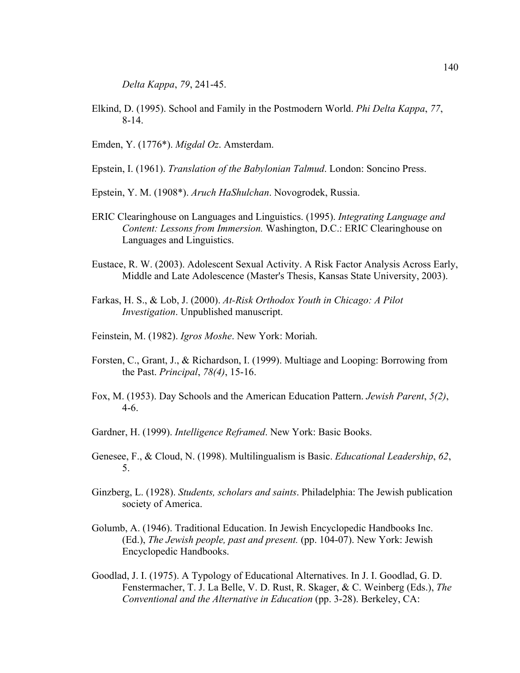*Delta Kappa*, *79*, 241-45.

Elkind, D. (1995). School and Family in the Postmodern World. *Phi Delta Kappa*, *77*, 8-14.

Emden, Y. (1776\*). *Migdal Oz*. Amsterdam.

- Epstein, I. (1961). *Translation of the Babylonian Talmud*. London: Soncino Press.
- Epstein, Y. M. (1908\*). *Aruch HaShulchan*. Novogrodek, Russia.
- ERIC Clearinghouse on Languages and Linguistics. (1995). *Integrating Language and Content: Lessons from Immersion.* Washington, D.C.: ERIC Clearinghouse on Languages and Linguistics.
- Eustace, R. W. (2003). Adolescent Sexual Activity. A Risk Factor Analysis Across Early, Middle and Late Adolescence (Master's Thesis, Kansas State University, 2003).
- Farkas, H. S., & Lob, J. (2000). *At-Risk Orthodox Youth in Chicago: A Pilot Investigation*. Unpublished manuscript.
- Feinstein, M. (1982). *Igros Moshe*. New York: Moriah.
- Forsten, C., Grant, J., & Richardson, I. (1999). Multiage and Looping: Borrowing from the Past. *Principal*, *78(4)*, 15-16.
- Fox, M. (1953). Day Schools and the American Education Pattern. *Jewish Parent*, *5(2)*, 4-6.
- Gardner, H. (1999). *Intelligence Reframed*. New York: Basic Books.
- Genesee, F., & Cloud, N. (1998). Multilingualism is Basic. *Educational Leadership*, *62*, 5.
- Ginzberg, L. (1928). *Students, scholars and saints*. Philadelphia: The Jewish publication society of America.
- Golumb, A. (1946). Traditional Education. In Jewish Encyclopedic Handbooks Inc. (Ed.), *The Jewish people, past and present.* (pp. 104-07). New York: Jewish Encyclopedic Handbooks.
- Goodlad, J. I. (1975). A Typology of Educational Alternatives. In J. I. Goodlad, G. D. Fenstermacher, T. J. La Belle, V. D. Rust, R. Skager, & C. Weinberg (Eds.), *The Conventional and the Alternative in Education* (pp. 3-28). Berkeley, CA: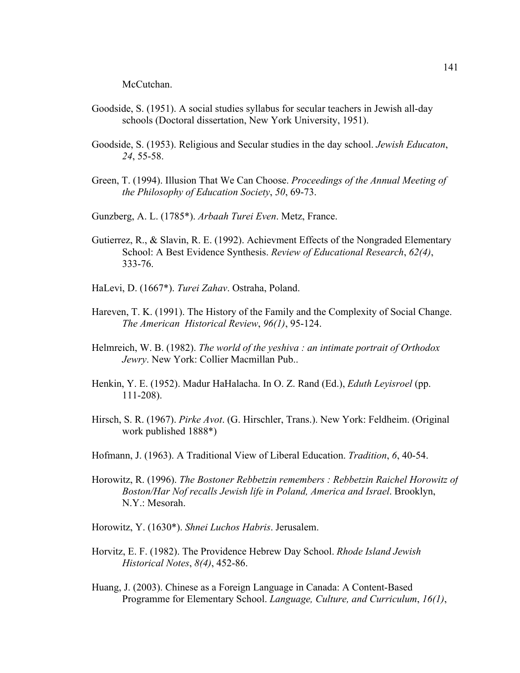McCutchan.

- Goodside, S. (1951). A social studies syllabus for secular teachers in Jewish all-day schools (Doctoral dissertation, New York University, 1951).
- Goodside, S. (1953). Religious and Secular studies in the day school. *Jewish Educaton*, *24*, 55-58.
- Green, T. (1994). Illusion That We Can Choose. *Proceedings of the Annual Meeting of the Philosophy of Education Society*, *50*, 69-73.
- Gunzberg, A. L. (1785\*). *Arbaah Turei Even*. Metz, France.
- Gutierrez, R., & Slavin, R. E. (1992). Achievment Effects of the Nongraded Elementary School: A Best Evidence Synthesis. *Review of Educational Research*, *62(4)*, 333-76.
- HaLevi, D. (1667\*). *Turei Zahav*. Ostraha, Poland.
- Hareven, T. K. (1991). The History of the Family and the Complexity of Social Change. *The American Historical Review*, *96(1)*, 95-124.
- Helmreich, W. B. (1982). *The world of the yeshiva : an intimate portrait of Orthodox Jewry*. New York: Collier Macmillan Pub..
- Henkin, Y. E. (1952). Madur HaHalacha. In O. Z. Rand (Ed.), *Eduth Leyisroel* (pp. 111-208).
- Hirsch, S. R. (1967). *Pirke Avot*. (G. Hirschler, Trans.). New York: Feldheim. (Original work published 1888\*)
- Hofmann, J. (1963). A Traditional View of Liberal Education. *Tradition*, *6*, 40-54.
- Horowitz, R. (1996). *The Bostoner Rebbetzin remembers : Rebbetzin Raichel Horowitz of Boston/Har Nof recalls Jewish life in Poland, America and Israel*. Brooklyn, N.Y.: Mesorah.
- Horowitz, Y. (1630\*). *Shnei Luchos Habris*. Jerusalem.
- Horvitz, E. F. (1982). The Providence Hebrew Day School. *Rhode Island Jewish Historical Notes*, *8(4)*, 452-86.
- Huang, J. (2003). Chinese as a Foreign Language in Canada: A Content-Based Programme for Elementary School. *Language, Culture, and Curriculum*, *16(1)*,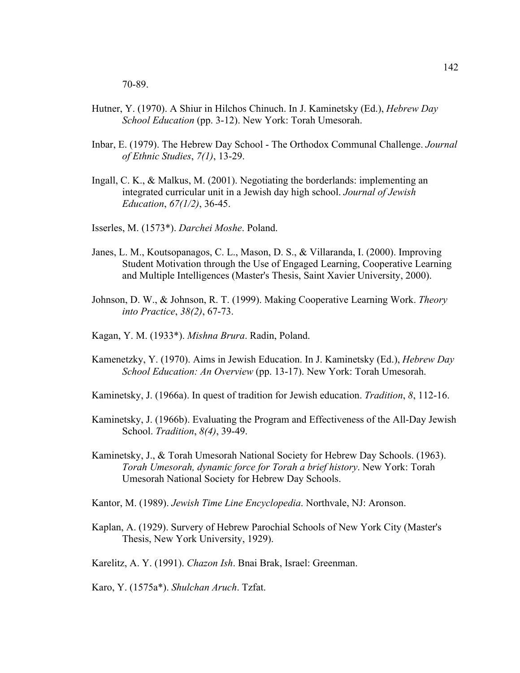70-89.

- Hutner, Y. (1970). A Shiur in Hilchos Chinuch. In J. Kaminetsky (Ed.), *Hebrew Day School Education* (pp. 3-12). New York: Torah Umesorah.
- Inbar, E. (1979). The Hebrew Day School The Orthodox Communal Challenge. *Journal of Ethnic Studies*, *7(1)*, 13-29.
- Ingall, C. K., & Malkus, M. (2001). Negotiating the borderlands: implementing an integrated curricular unit in a Jewish day high school. *Journal of Jewish Education*, *67(1/2)*, 36-45.
- Isserles, M. (1573\*). *Darchei Moshe*. Poland.
- Janes, L. M., Koutsopanagos, C. L., Mason, D. S., & Villaranda, I. (2000). Improving Student Motivation through the Use of Engaged Learning, Cooperative Learning and Multiple Intelligences (Master's Thesis, Saint Xavier University, 2000).
- Johnson, D. W., & Johnson, R. T. (1999). Making Cooperative Learning Work. *Theory into Practice*, *38(2)*, 67-73.
- Kagan, Y. M. (1933\*). *Mishna Brura*. Radin, Poland.
- Kamenetzky, Y. (1970). Aims in Jewish Education. In J. Kaminetsky (Ed.), *Hebrew Day School Education: An Overview* (pp. 13-17). New York: Torah Umesorah.
- Kaminetsky, J. (1966a). In quest of tradition for Jewish education. *Tradition*, *8*, 112-16.
- Kaminetsky, J. (1966b). Evaluating the Program and Effectiveness of the All-Day Jewish School. *Tradition*, *8(4)*, 39-49.
- Kaminetsky, J., & Torah Umesorah National Society for Hebrew Day Schools. (1963). *Torah Umesorah, dynamic force for Torah a brief history*. New York: Torah Umesorah National Society for Hebrew Day Schools.
- Kantor, M. (1989). *Jewish Time Line Encyclopedia*. Northvale, NJ: Aronson.
- Kaplan, A. (1929). Survery of Hebrew Parochial Schools of New York City (Master's Thesis, New York University, 1929).

Karelitz, A. Y. (1991). *Chazon Ish*. Bnai Brak, Israel: Greenman.

Karo, Y. (1575a\*). *Shulchan Aruch*. Tzfat.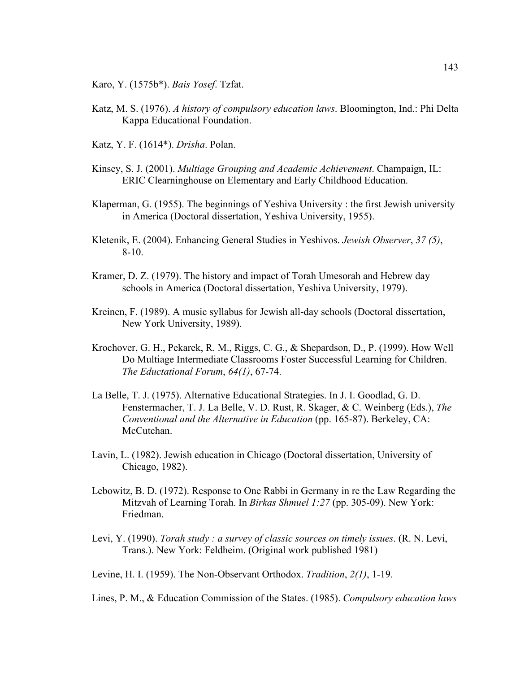- Karo, Y. (1575b\*). *Bais Yosef*. Tzfat.
- Katz, M. S. (1976). *A history of compulsory education laws*. Bloomington, Ind.: Phi Delta Kappa Educational Foundation.
- Katz, Y. F. (1614\*). *Drisha*. Polan.
- Kinsey, S. J. (2001). *Multiage Grouping and Academic Achievement*. Champaign, IL: ERIC Clearninghouse on Elementary and Early Childhood Education.
- Klaperman, G. (1955). The beginnings of Yeshiva University : the first Jewish university in America (Doctoral dissertation, Yeshiva University, 1955).
- Kletenik, E. (2004). Enhancing General Studies in Yeshivos. *Jewish Observer*, *37 (5)*, 8-10.
- Kramer, D. Z. (1979). The history and impact of Torah Umesorah and Hebrew day schools in America (Doctoral dissertation, Yeshiva University, 1979).
- Kreinen, F. (1989). A music syllabus for Jewish all-day schools (Doctoral dissertation, New York University, 1989).
- Krochover, G. H., Pekarek, R. M., Riggs, C. G., & Shepardson, D., P. (1999). How Well Do Multiage Intermediate Classrooms Foster Successful Learning for Children. *The Eductational Forum*, *64(1)*, 67-74.
- La Belle, T. J. (1975). Alternative Educational Strategies. In J. I. Goodlad, G. D. Fenstermacher, T. J. La Belle, V. D. Rust, R. Skager, & C. Weinberg (Eds.), *The Conventional and the Alternative in Education* (pp. 165-87). Berkeley, CA: McCutchan.
- Lavin, L. (1982). Jewish education in Chicago (Doctoral dissertation, University of Chicago, 1982).
- Lebowitz, B. D. (1972). Response to One Rabbi in Germany in re the Law Regarding the Mitzvah of Learning Torah. In *Birkas Shmuel 1:27* (pp. 305-09). New York: Friedman.
- Levi, Y. (1990). *Torah study : a survey of classic sources on timely issues*. (R. N. Levi, Trans.). New York: Feldheim. (Original work published 1981)

Levine, H. I. (1959). The Non-Observant Orthodox. *Tradition*, *2(1)*, 1-19.

Lines, P. M., & Education Commission of the States. (1985). *Compulsory education laws*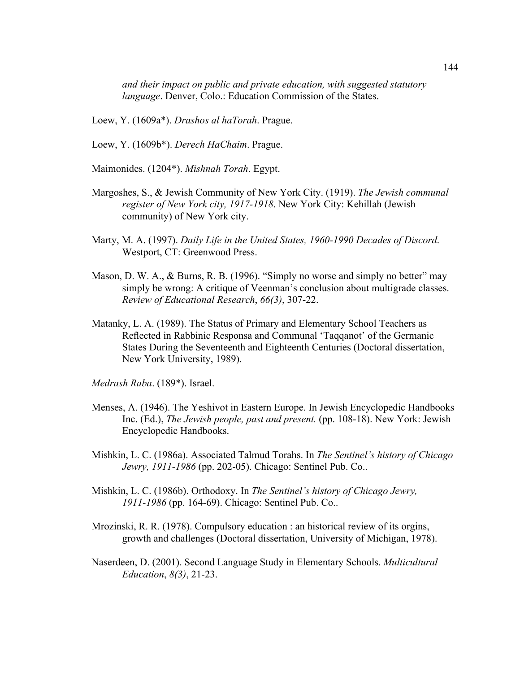*and their impact on public and private education, with suggested statutory language*. Denver, Colo.: Education Commission of the States.

Loew, Y. (1609a\*). *Drashos al haTorah*. Prague.

Loew, Y. (1609b\*). *Derech HaChaim*. Prague.

Maimonides. (1204\*). *Mishnah Torah*. Egypt.

- Margoshes, S., & Jewish Community of New York City. (1919). *The Jewish communal register of New York city, 1917-1918*. New York City: Kehillah (Jewish community) of New York city.
- Marty, M. A. (1997). *Daily Life in the United States, 1960-1990 Decades of Discord*. Westport, CT: Greenwood Press.
- Mason, D. W. A., & Burns, R. B. (1996). "Simply no worse and simply no better" may simply be wrong: A critique of Veenman's conclusion about multigrade classes. *Review of Educational Research*, *66(3)*, 307-22.
- Matanky, L. A. (1989). The Status of Primary and Elementary School Teachers as Reflected in Rabbinic Responsa and Communal 'Taqqanot' of the Germanic States During the Seventeenth and Eighteenth Centuries (Doctoral dissertation, New York University, 1989).

*Medrash Raba*. (189\*). Israel.

- Menses, A. (1946). The Yeshivot in Eastern Europe. In Jewish Encyclopedic Handbooks Inc. (Ed.), *The Jewish people, past and present.* (pp. 108-18). New York: Jewish Encyclopedic Handbooks.
- Mishkin, L. C. (1986a). Associated Talmud Torahs. In *The Sentinel's history of Chicago Jewry, 1911-1986* (pp. 202-05). Chicago: Sentinel Pub. Co..
- Mishkin, L. C. (1986b). Orthodoxy. In *The Sentinel's history of Chicago Jewry, 1911-1986* (pp. 164-69). Chicago: Sentinel Pub. Co..
- Mrozinski, R. R. (1978). Compulsory education : an historical review of its orgins, growth and challenges (Doctoral dissertation, University of Michigan, 1978).
- Naserdeen, D. (2001). Second Language Study in Elementary Schools. *Multicultural Education*, *8(3)*, 21-23.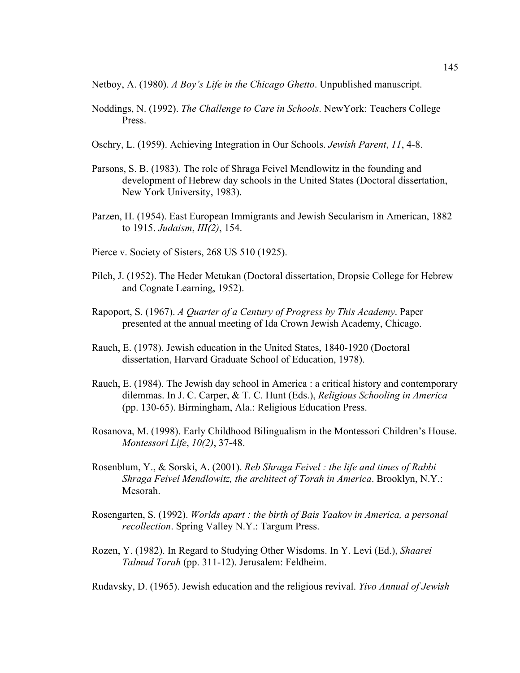Netboy, A. (1980). *A Boy's Life in the Chicago Ghetto*. Unpublished manuscript.

- Noddings, N. (1992). *The Challenge to Care in Schools*. NewYork: Teachers College Press.
- Oschry, L. (1959). Achieving Integration in Our Schools. *Jewish Parent*, *11*, 4-8.
- Parsons, S. B. (1983). The role of Shraga Feivel Mendlowitz in the founding and development of Hebrew day schools in the United States (Doctoral dissertation, New York University, 1983).
- Parzen, H. (1954). East European Immigrants and Jewish Secularism in American, 1882 to 1915. *Judaism*, *III(2)*, 154.
- Pierce v. Society of Sisters, 268 US 510 (1925).
- Pilch, J. (1952). The Heder Metukan (Doctoral dissertation, Dropsie College for Hebrew and Cognate Learning, 1952).
- Rapoport, S. (1967). *A Quarter of a Century of Progress by This Academy*. Paper presented at the annual meeting of Ida Crown Jewish Academy, Chicago.
- Rauch, E. (1978). Jewish education in the United States, 1840-1920 (Doctoral dissertation, Harvard Graduate School of Education, 1978).
- Rauch, E. (1984). The Jewish day school in America : a critical history and contemporary dilemmas. In J. C. Carper, & T. C. Hunt (Eds.), *Religious Schooling in America* (pp. 130-65). Birmingham, Ala.: Religious Education Press.
- Rosanova, M. (1998). Early Childhood Bilingualism in the Montessori Children's House. *Montessori Life*, *10(2)*, 37-48.
- Rosenblum, Y., & Sorski, A. (2001). *Reb Shraga Feivel : the life and times of Rabbi Shraga Feivel Mendlowitz, the architect of Torah in America*. Brooklyn, N.Y.: Mesorah.
- Rosengarten, S. (1992). *Worlds apart : the birth of Bais Yaakov in America, a personal recollection*. Spring Valley N.Y.: Targum Press.
- Rozen, Y. (1982). In Regard to Studying Other Wisdoms. In Y. Levi (Ed.), *Shaarei Talmud Torah* (pp. 311-12). Jerusalem: Feldheim.

Rudavsky, D. (1965). Jewish education and the religious revival. *Yivo Annual of Jewish*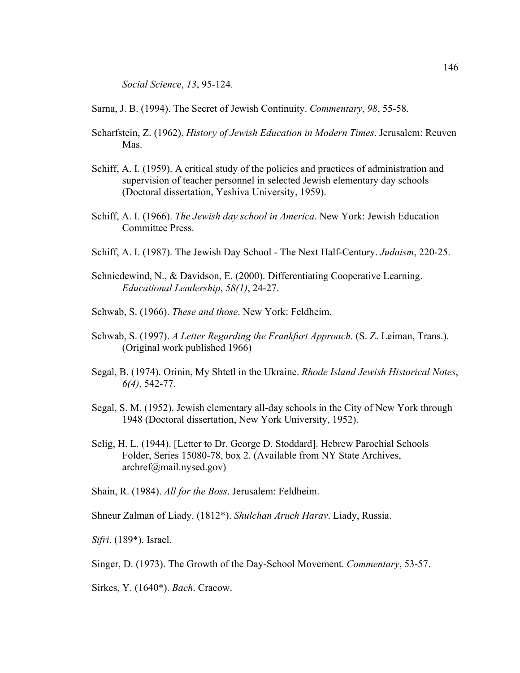*Social Science*, *13*, 95-124.

Sarna, J. B. (1994). The Secret of Jewish Continuity. *Commentary*, *98*, 55-58.

- Scharfstein, Z. (1962). *History of Jewish Education in Modern Times*. Jerusalem: Reuven Mas.
- Schiff, A. I. (1959). A critical study of the policies and practices of administration and supervision of teacher personnel in selected Jewish elementary day schools (Doctoral dissertation, Yeshiva University, 1959).
- Schiff, A. I. (1966). *The Jewish day school in America*. New York: Jewish Education Committee Press.
- Schiff, A. I. (1987). The Jewish Day School The Next Half-Century. *Judaism*, 220-25.
- Schniedewind, N., & Davidson, E. (2000). Differentiating Cooperative Learning. *Educational Leadership*, *58(1)*, 24-27.
- Schwab, S. (1966). *These and those*. New York: Feldheim.
- Schwab, S. (1997). *A Letter Regarding the Frankfurt Approach*. (S. Z. Leiman, Trans.). (Original work published 1966)
- Segal, B. (1974). Orinin, My Shtetl in the Ukraine. *Rhode Island Jewish Historical Notes*, *6(4)*, 542-77.
- Segal, S. M. (1952). Jewish elementary all-day schools in the City of New York through 1948 (Doctoral dissertation, New York University, 1952).
- Selig, H. L. (1944). [Letter to Dr. George D. Stoddard]. Hebrew Parochial Schools Folder, Series 15080-78, box 2. (Available from NY State Archives, archref@mail.nysed.gov)

Shain, R. (1984). *All for the Boss*. Jerusalem: Feldheim.

Shneur Zalman of Liady. (1812\*). *Shulchan Aruch Harav*. Liady, Russia.

*Sifri*. (189\*). Israel.

Singer, D. (1973). The Growth of the Day-School Movement. *Commentary*, 53-57.

Sirkes, Y. (1640\*). *Bach*. Cracow.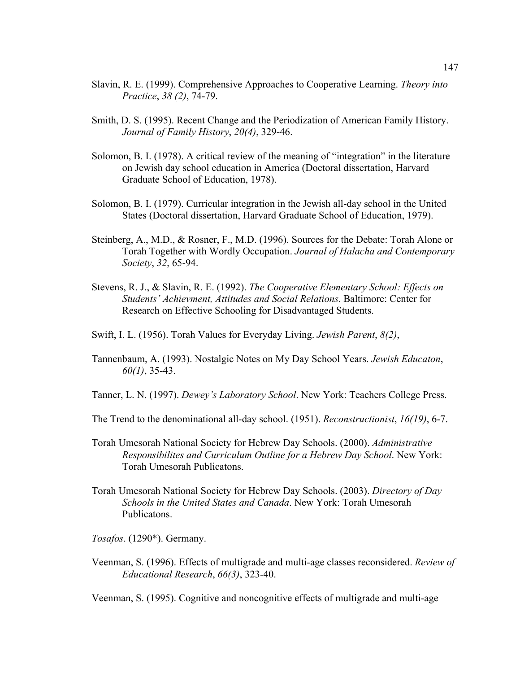- Slavin, R. E. (1999). Comprehensive Approaches to Cooperative Learning. *Theory into Practice*, *38 (2)*, 74-79.
- Smith, D. S. (1995). Recent Change and the Periodization of American Family History. *Journal of Family History*, *20(4)*, 329-46.
- Solomon, B. I. (1978). A critical review of the meaning of "integration" in the literature on Jewish day school education in America (Doctoral dissertation, Harvard Graduate School of Education, 1978).
- Solomon, B. I. (1979). Curricular integration in the Jewish all-day school in the United States (Doctoral dissertation, Harvard Graduate School of Education, 1979).
- Steinberg, A., M.D., & Rosner, F., M.D. (1996). Sources for the Debate: Torah Alone or Torah Together with Wordly Occupation. *Journal of Halacha and Contemporary Society*, *32*, 65-94.
- Stevens, R. J., & Slavin, R. E. (1992). *The Cooperative Elementary School: Effects on Students' Achievment, Attitudes and Social Relations*. Baltimore: Center for Research on Effective Schooling for Disadvantaged Students.
- Swift, I. L. (1956). Torah Values for Everyday Living. *Jewish Parent*, *8(2)*,
- Tannenbaum, A. (1993). Nostalgic Notes on My Day School Years. *Jewish Educaton*, *60(1)*, 35-43.
- Tanner, L. N. (1997). *Dewey's Laboratory School*. New York: Teachers College Press.
- The Trend to the denominational all-day school. (1951). *Reconstructionist*, *16(19)*, 6-7.
- Torah Umesorah National Society for Hebrew Day Schools. (2000). *Administrative Responsibilites and Curriculum Outline for a Hebrew Day School*. New York: Torah Umesorah Publicatons.
- Torah Umesorah National Society for Hebrew Day Schools. (2003). *Directory of Day Schools in the United States and Canada*. New York: Torah Umesorah Publicatons.
- *Tosafos*. (1290\*). Germany.
- Veenman, S. (1996). Effects of multigrade and multi-age classes reconsidered. *Review of Educational Research*, *66(3)*, 323-40.

Veenman, S. (1995). Cognitive and noncognitive effects of multigrade and multi-age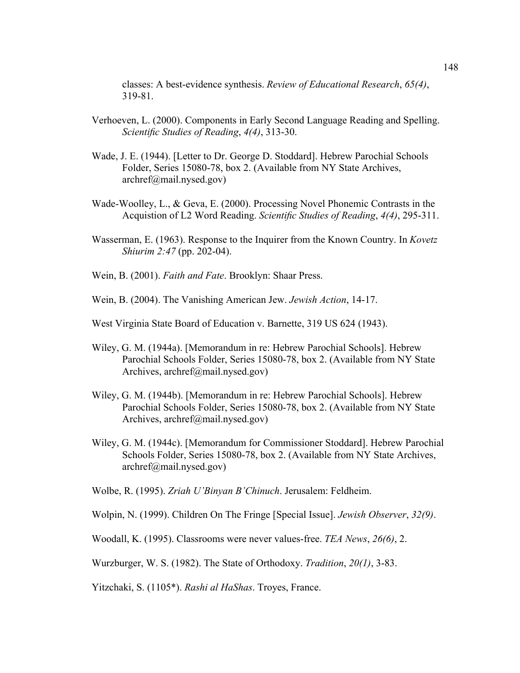classes: A best-evidence synthesis. *Review of Educational Research*, *65(4)*, 319-81.

- Verhoeven, L. (2000). Components in Early Second Language Reading and Spelling. *Scientific Studies of Reading*, *4(4)*, 313-30.
- Wade, J. E. (1944). [Letter to Dr. George D. Stoddard]. Hebrew Parochial Schools Folder, Series 15080-78, box 2. (Available from NY State Archives, archref@mail.nysed.gov)
- Wade-Woolley, L., & Geva, E. (2000). Processing Novel Phonemic Contrasts in the Acquistion of L2 Word Reading. *Scientific Studies of Reading*, *4(4)*, 295-311.
- Wasserman, E. (1963). Response to the Inquirer from the Known Country. In *Kovetz Shiurim 2:47* (pp. 202-04).
- Wein, B. (2001). *Faith and Fate*. Brooklyn: Shaar Press.
- Wein, B. (2004). The Vanishing American Jew. *Jewish Action*, 14-17.
- West Virginia State Board of Education v. Barnette, 319 US 624 (1943).
- Wiley, G. M. (1944a). [Memorandum in re: Hebrew Parochial Schools]. Hebrew Parochial Schools Folder, Series 15080-78, box 2. (Available from NY State Archives, archref@mail.nysed.gov)
- Wiley, G. M. (1944b). [Memorandum in re: Hebrew Parochial Schools]. Hebrew Parochial Schools Folder, Series 15080-78, box 2. (Available from NY State Archives, archref@mail.nysed.gov)
- Wiley, G. M. (1944c). [Memorandum for Commissioner Stoddard]. Hebrew Parochial Schools Folder, Series 15080-78, box 2. (Available from NY State Archives, archref@mail.nysed.gov)

Wolbe, R. (1995). *Zriah U'Binyan B'Chinuch*. Jerusalem: Feldheim.

- Wolpin, N. (1999). Children On The Fringe [Special Issue]. *Jewish Observer*, *32(9)*.
- Woodall, K. (1995). Classrooms were never values-free. *TEA News*, *26(6)*, 2.
- Wurzburger, W. S. (1982). The State of Orthodoxy. *Tradition*, *20(1)*, 3-83.

Yitzchaki, S. (1105\*). *Rashi al HaShas*. Troyes, France.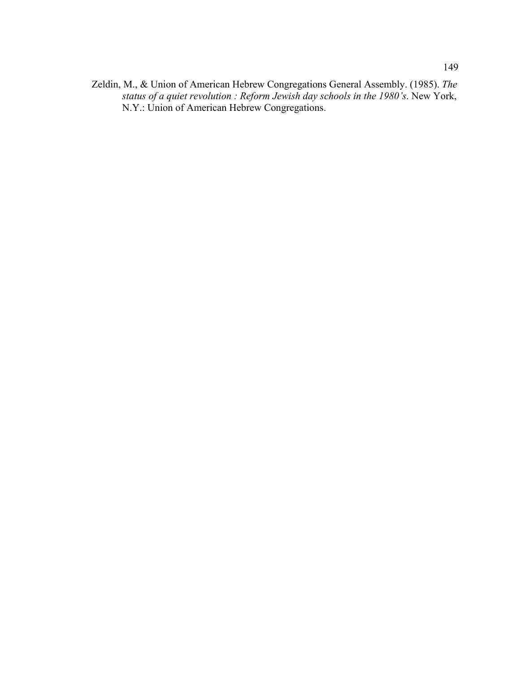Zeldin, M., & Union of American Hebrew Congregations General Assembly. (1985). *The status of a quiet revolution : Reform Jewish day schools in the 1980's*. New York, N.Y.: Union of American Hebrew Congregations.